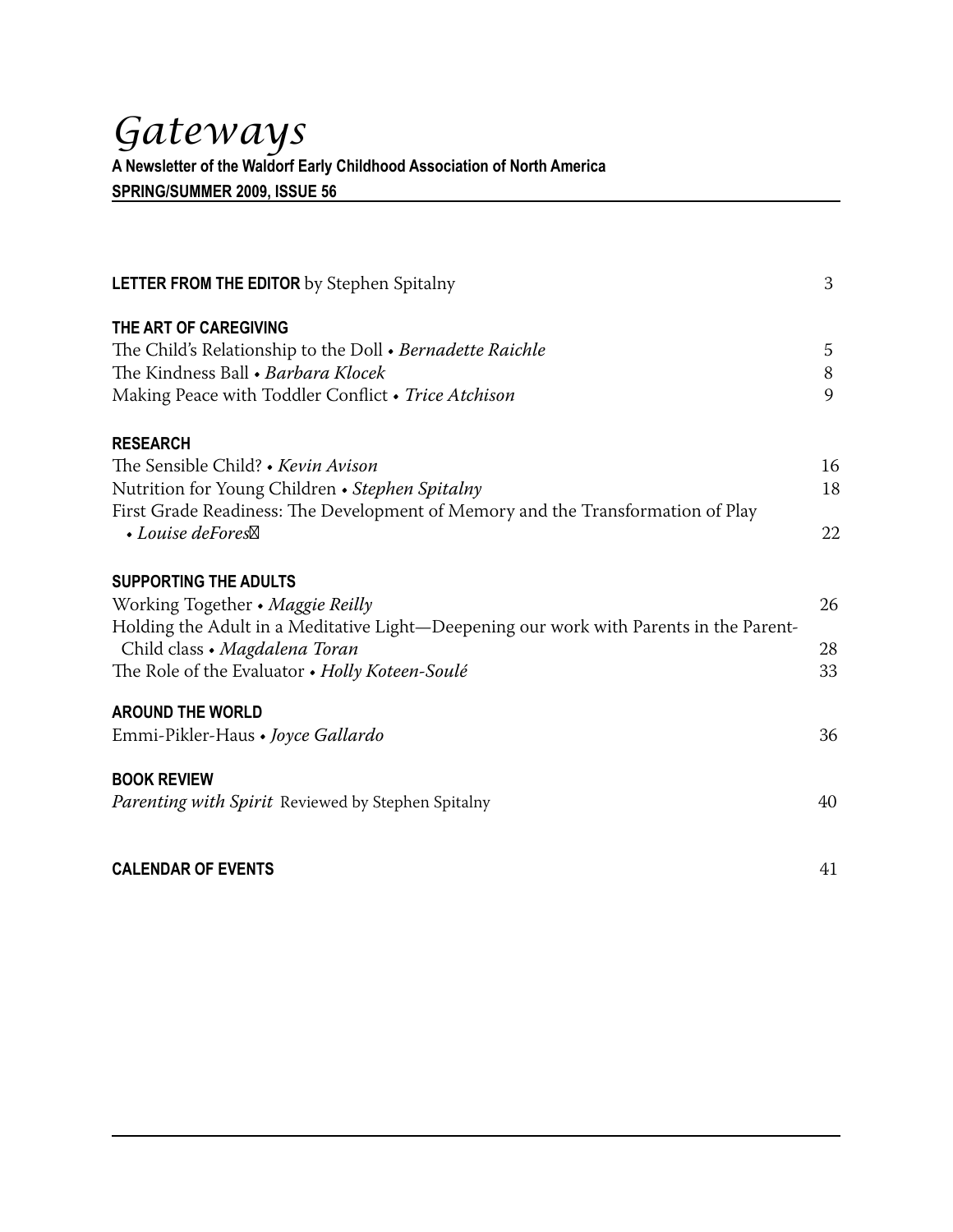# *Gateways*

**A Newsletter of the Waldorf Early Childhood Association of North America SPRING/SUMMER 2009, ISSUE 56**

| <b>LETTER FROM THE EDITOR</b> by Stephen Spitalny                                      | 3  |
|----------------------------------------------------------------------------------------|----|
| THE ART OF CAREGIVING                                                                  |    |
| The Child's Relationship to the Doll • Bernadette Raichle                              | 5  |
| The Kindness Ball • Barbara Klocek                                                     | 8  |
| Making Peace with Toddler Conflict • Trice Atchison                                    | 9  |
| <b>RESEARCH</b>                                                                        |    |
| The Sensible Child? • Kevin Avison                                                     | 16 |
| Nutrition for Young Children • Stephen Spitalny                                        | 18 |
| First Grade Readiness: The Development of Memory and the Transformation of Play        |    |
| $\bullet$ Louise deFores $\boxtimes$                                                   | 22 |
| <b>SUPPORTING THE ADULTS</b>                                                           |    |
| Working Together • Maggie Reilly                                                       | 26 |
| Holding the Adult in a Meditative Light-Deepening our work with Parents in the Parent- |    |
| Child class • Magdalena Toran                                                          | 28 |
| The Role of the Evaluator • Holly Koteen-Soulé                                         | 33 |
| <b>AROUND THE WORLD</b>                                                                |    |
| Emmi-Pikler-Haus · Joyce Gallardo                                                      | 36 |
| <b>BOOK REVIEW</b>                                                                     |    |
| <i>Parenting with Spirit</i> Reviewed by Stephen Spitalny                              | 40 |
| <b>CALENDAR OF EVENTS</b>                                                              | 41 |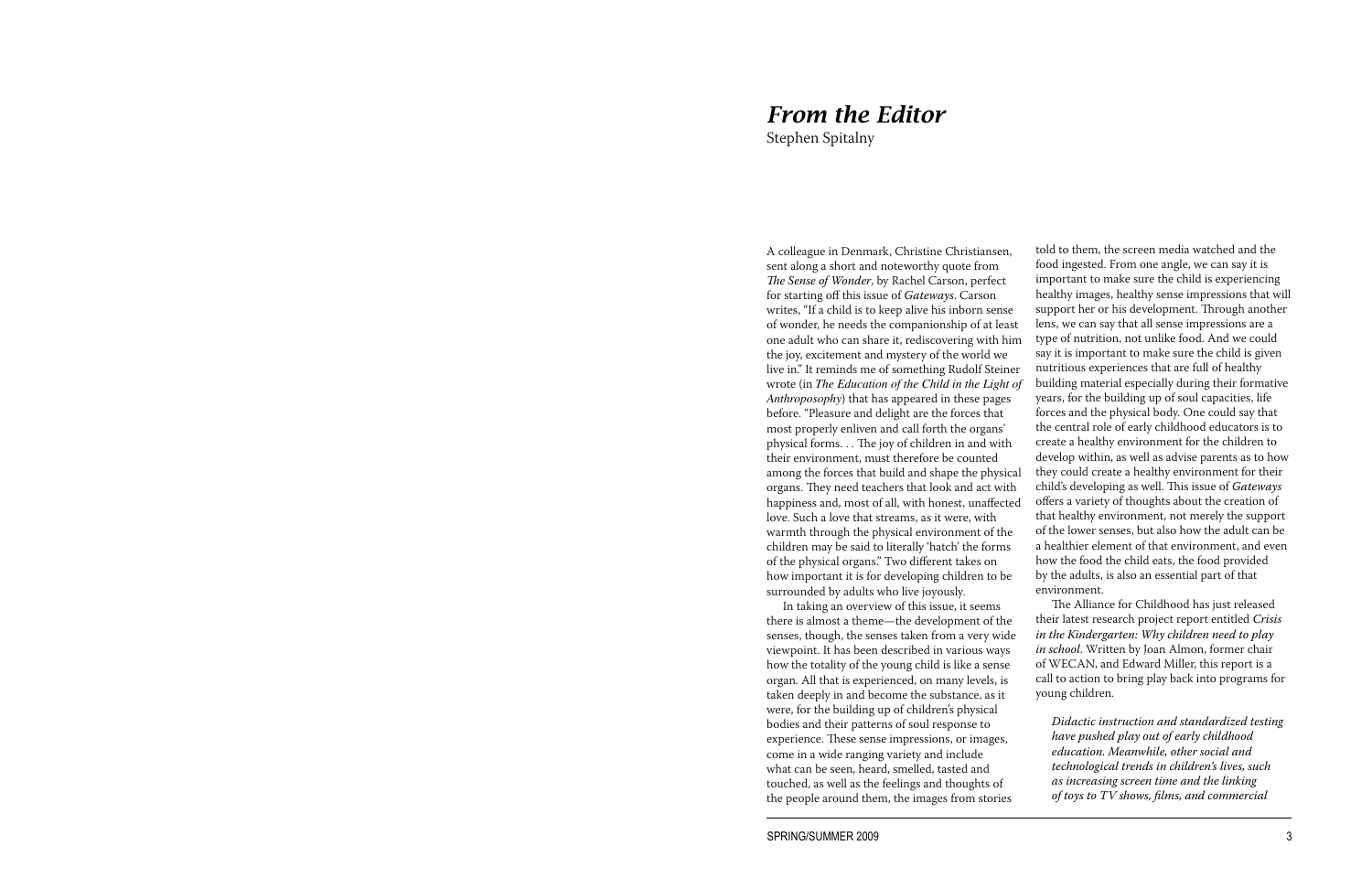# *From the Editor*

Stephen Spitalny

A colleague in Denmark, Christine Christiansen, sent along a short and noteworthy quote from *The Sense of Wonder*, by Rachel Carson, perfect for starting off this issue of *Gateways*. Carson writes, "If a child is to keep alive his inborn sense of wonder, he needs the companionship of at least one adult who can share it, rediscovering with him the joy, excitement and mystery of the world we live in." It reminds me of something Rudolf Steiner wrote (in *The Education of the Child in the Light of Anthroposophy*) that has appeared in these pages before. "Pleasure and delight are the forces that most properly enliven and call forth the organs' physical forms. . . The joy of children in and with their environment, must therefore be counted among the forces that build and shape the physical organs. They need teachers that look and act with happiness and, most of all, with honest, unaffected love. Such a love that streams, as it were, with warmth through the physical environment of the children may be said to literally 'hatch' the forms of the physical organs." Two different takes on how important it is for developing children to be surrounded by adults who live joyously. told to them, the screen media watched and the food ingested. From one angle, we can say it is important to make sure the child is experiencing healthy images, healthy sense impressions that will support her or his development. Through another lens, we can say that all sense impressions are a type of nutrition, not unlike food. And we could say it is important to make sure the child is given nutritious experiences that are full of healthy building material especially during their formative years, for the building up of soul capacities, life forces and the physical body. One could say that the central role of early childhood educators is to create a healthy environment for the children to develop within, as well as advise parents as to how they could create a healthy environment for their child's developing as well. This issue of *Gateways* offers a variety of thoughts about the creation of that healthy environment, not merely the support of the lower senses, but also how the adult can be a healthier element of that environment, and even how the food the child eats, the food provided by the adults, is also an essential part of that environment.

In taking an overview of this issue, it seems there is almost a theme—the development of the senses, though, the senses taken from a very wide viewpoint. It has been described in various ways how the totality of the young child is like a sense organ. All that is experienced, on many levels, is taken deeply in and become the substance, as it were, for the building up of children's physical bodies and their patterns of soul response to experience. These sense impressions, or images, come in a wide ranging variety and include what can be seen, heard, smelled, tasted and touched, as well as the feelings and thoughts of the people around them, the images from stories

The Alliance for Childhood has just released their latest research project report entitled *Crisis in the Kindergarten: Why children need to play in school*. Written by Joan Almon, former chair of WECAN, and Edward Miller, this report is a call to action to bring play back into programs for young children.

*Didactic instruction and standardized testing have pushed play out of early childhood education. Meanwhile, other social and technological trends in children's lives, such as increasing screen time and the linking of toys to TV shows, films, and commercial*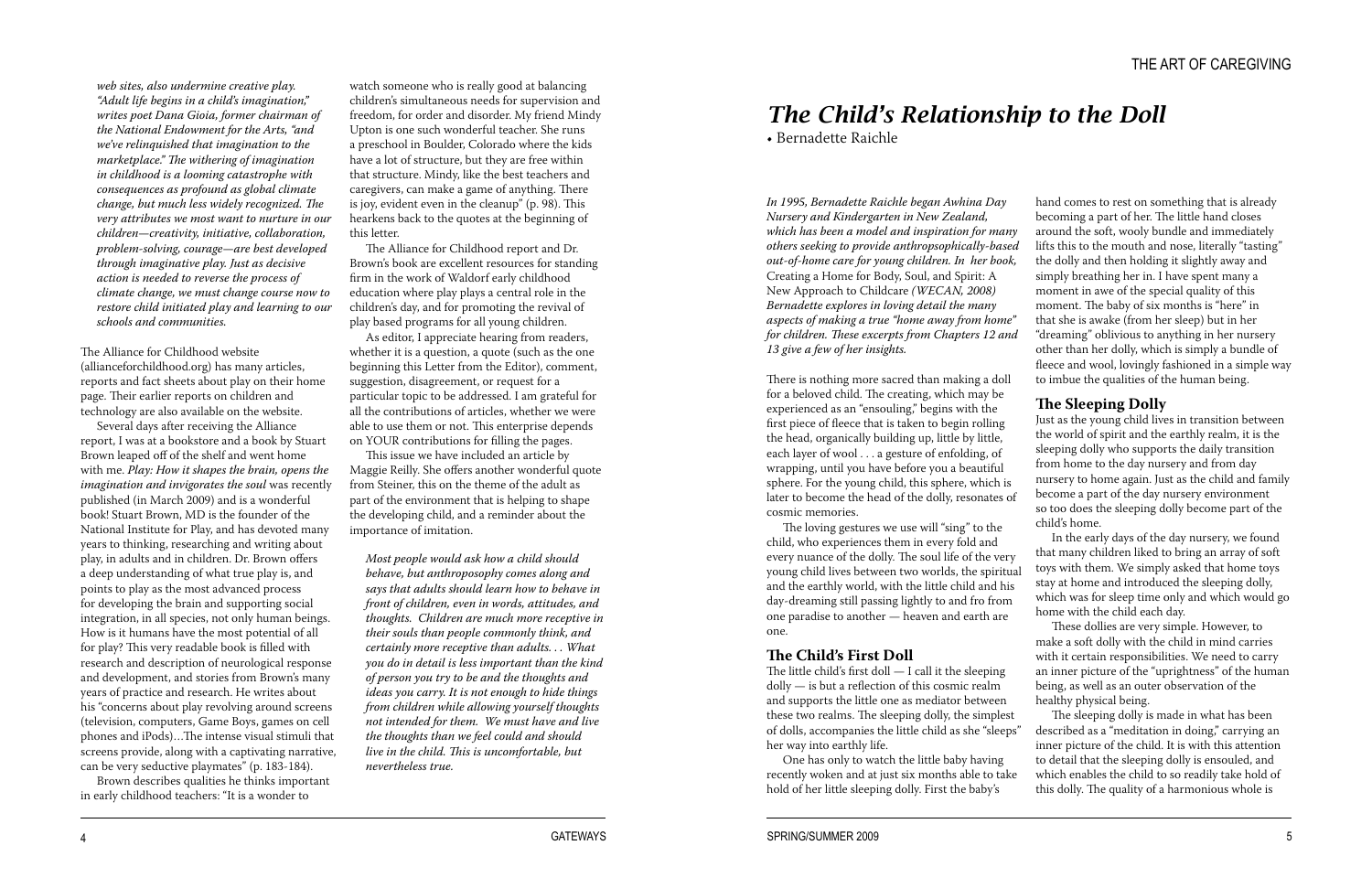## THE ART OF CAREGIVING

# *The Child's Relationship to the Doll*

• Bernadette Raichle

There is nothing more sacred than making a doll for a beloved child. The creating, which may be experienced as an "ensouling," begins with the first piece of fleece that is taken to begin rolling the head, organically building up, little by little, each layer of wool . . . a gesture of enfolding, of wrapping, until you have before you a beautiful sphere. For the young child, this sphere, which is later to become the head of the dolly, resonates of cosmic memories.

The loving gestures we use will "sing" to the child, who experiences them in every fold and every nuance of the dolly. The soul life of the very young child lives between two worlds, the spiritual and the earthly world, with the little child and his day-dreaming still passing lightly to and fro from one paradise to another — heaven and earth are one.

*In 1995, Bernadette Raichle began Awhina Day Nursery and Kindergarten in New Zealand, which has been a model and inspiration for many others seeking to provide anthropsophically-based out-of-home care for young children. In her book,*  Creating a Home for Body, Soul, and Spirit: A New Approach to Childcare *(WECAN, 2008) Bernadette explores in loving detail the many aspects of making a true "home away from home" for children. These excerpts from Chapters 12 and 13 give a few of her insights.* hand comes to rest on something that is already becoming a part of her. The little hand closes around the soft, wooly bundle and immediately lifts this to the mouth and nose, literally "tasting" the dolly and then holding it slightly away and simply breathing her in. I have spent many a moment in awe of the special quality of this moment. The baby of six months is "here" in that she is awake (from her sleep) but in her "dreaming" oblivious to anything in her nursery other than her dolly, which is simply a bundle of

## **The Child's First Doll**

The little child's first doll — I call it the sleeping dolly — is but a reflection of this cosmic realm and supports the little one as mediator between these two realms. The sleeping dolly, the simplest of dolls, accompanies the little child as she "sleeps" her way into earthly life.

One has only to watch the little baby having recently woken and at just six months able to take hold of her little sleeping dolly. First the baby's

fleece and wool, lovingly fashioned in a simple way to imbue the qualities of the human being.

#### **The Sleeping Dolly**

Just as the young child lives in transition between the world of spirit and the earthly realm, it is the sleeping dolly who supports the daily transition from home to the day nursery and from day nursery to home again. Just as the child and family become a part of the day nursery environment so too does the sleeping dolly become part of the child's home.

In the early days of the day nursery, we found that many children liked to bring an array of soft toys with them. We simply asked that home toys stay at home and introduced the sleeping dolly, which was for sleep time only and which would go home with the child each day.

These dollies are very simple. However, to make a soft dolly with the child in mind carries with it certain responsibilities. We need to carry an inner picture of the "uprightness" of the human being, as well as an outer observation of the healthy physical being.

The sleeping dolly is made in what has been described as a "meditation in doing," carrying an inner picture of the child. It is with this attention to detail that the sleeping dolly is ensouled, and which enables the child to so readily take hold of this dolly. The quality of a harmonious whole is

*web sites, also undermine creative play. "Adult life begins in a child's imagination," writes poet Dana Gioia, former chairman of the National Endowment for the Arts, "and we've relinquished that imagination to the marketplace." The withering of imagination in childhood is a looming catastrophe with consequences as profound as global climate change, but much less widely recognized. The very attributes we most want to nurture in our children—creativity, initiative, collaboration, problem-solving, courage—are best developed through imaginative play. Just as decisive action is needed to reverse the process of climate change, we must change course now to restore child initiated play and learning to our schools and communities.*

The Alliance for Childhood website (allianceforchildhood.org) has many articles, reports and fact sheets about play on their home page. Their earlier reports on children and technology are also available on the website.

Several days after receiving the Alliance report, I was at a bookstore and a book by Stuart Brown leaped off of the shelf and went home with me. *Play: How it shapes the brain, opens the imagination and invigorates the soul* was recently published (in March 2009) and is a wonderful book! Stuart Brown, MD is the founder of the National Institute for Play, and has devoted many years to thinking, researching and writing about play, in adults and in children. Dr. Brown offers a deep understanding of what true play is, and points to play as the most advanced process for developing the brain and supporting social integration, in all species, not only human beings. How is it humans have the most potential of all for play? This very readable book is filled with research and description of neurological response and development, and stories from Brown's many years of practice and research. He writes about his "concerns about play revolving around screens (television, computers, Game Boys, games on cell phones and iPods)…The intense visual stimuli that screens provide, along with a captivating narrative, can be very seductive playmates" (p. 183-184).

Brown describes qualities he thinks important in early childhood teachers: "It is a wonder to

watch someone who is really good at balancing children's simultaneous needs for supervision and freedom, for order and disorder. My friend Mindy Upton is one such wonderful teacher. She runs a preschool in Boulder, Colorado where the kids have a lot of structure, but they are free within that structure. Mindy, like the best teachers and caregivers, can make a game of anything. There is joy, evident even in the cleanup" (p. 98). This hearkens back to the quotes at the beginning of this letter.

The Alliance for Childhood report and Dr. Brown's book are excellent resources for standing firm in the work of Waldorf early childhood education where play plays a central role in the children's day, and for promoting the revival of play based programs for all young children.

As editor, I appreciate hearing from readers, whether it is a question, a quote (such as the one beginning this Letter from the Editor), comment, suggestion, disagreement, or request for a particular topic to be addressed. I am grateful for all the contributions of articles, whether we were able to use them or not. This enterprise depends on YOUR contributions for filling the pages.

This issue we have included an article by Maggie Reilly. She offers another wonderful quote from Steiner, this on the theme of the adult as part of the environment that is helping to shape the developing child, and a reminder about the importance of imitation.

*Most people would ask how a child should behave, but anthroposophy comes along and says that adults should learn how to behave in front of children, even in words, attitudes, and thoughts. Children are much more receptive in their souls than people commonly think, and certainly more receptive than adults. . . What you do in detail is less important than the kind of person you try to be and the thoughts and ideas you carry. It is not enough to hide things from children while allowing yourself thoughts not intended for them. We must have and live the thoughts than we feel could and should live in the child. This is uncomfortable, but nevertheless true.*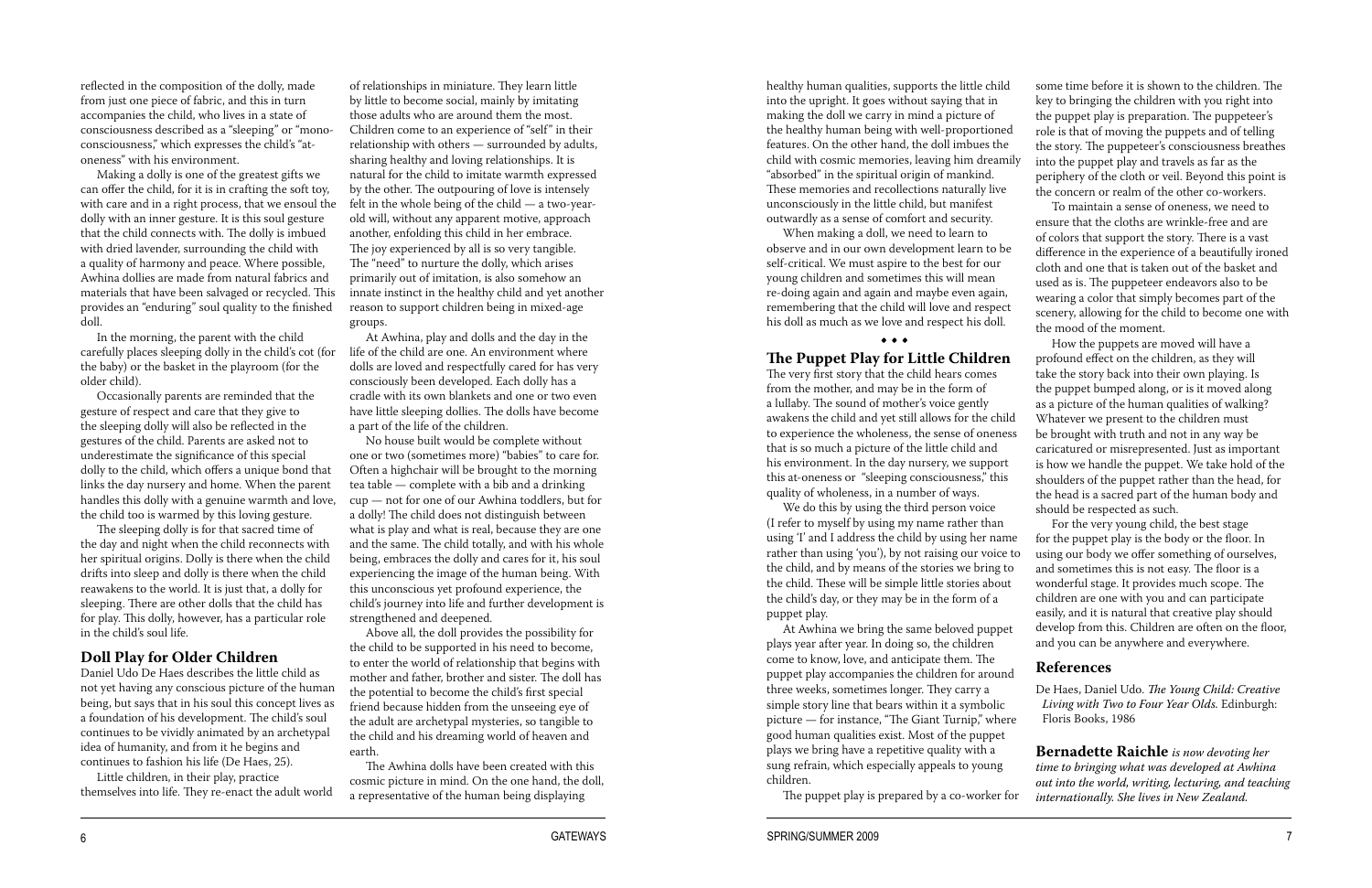reflected in the composition of the dolly, made from just one piece of fabric, and this in turn accompanies the child, who lives in a state of consciousness described as a "sleeping" or "monoconsciousness," which expresses the child's "atoneness" with his environment.

Making a dolly is one of the greatest gifts we can offer the child, for it is in crafting the soft toy, with care and in a right process, that we ensoul the dolly with an inner gesture. It is this soul gesture that the child connects with. The dolly is imbued with dried lavender, surrounding the child with a quality of harmony and peace. Where possible, Awhina dollies are made from natural fabrics and materials that have been salvaged or recycled. This provides an "enduring" soul quality to the finished doll.

In the morning, the parent with the child carefully places sleeping dolly in the child's cot (for the baby) or the basket in the playroom (for the older child).

Occasionally parents are reminded that the gesture of respect and care that they give to the sleeping dolly will also be reflected in the gestures of the child. Parents are asked not to underestimate the significance of this special dolly to the child, which offers a unique bond that links the day nursery and home. When the parent handles this dolly with a genuine warmth and love, the child too is warmed by this loving gesture.

The sleeping dolly is for that sacred time of the day and night when the child reconnects with her spiritual origins. Dolly is there when the child drifts into sleep and dolly is there when the child reawakens to the world. It is just that, a dolly for sleeping. There are other dolls that the child has for play. This dolly, however, has a particular role in the child's soul life.

### **Doll Play for Older Children**

Daniel Udo De Haes describes the little child as not yet having any conscious picture of the human being, but says that in his soul this concept lives as a foundation of his development. The child's soul continues to be vividly animated by an archetypal idea of humanity, and from it he begins and continues to fashion his life (De Haes, 25).

Little children, in their play, practice themselves into life. They re-enact the adult world of relationships in miniature. They learn little by little to become social, mainly by imitating those adults who are around them the most. Children come to an experience of "self" in their relationship with others — surrounded by adults, sharing healthy and loving relationships. It is natural for the child to imitate warmth expressed by the other. The outpouring of love is intensely felt in the whole being of the child — a two-yearold will, without any apparent motive, approach another, enfolding this child in her embrace. The joy experienced by all is so very tangible. The "need" to nurture the dolly, which arises primarily out of imitation, is also somehow an innate instinct in the healthy child and yet another reason to support children being in mixed-age groups.

At Awhina, play and dolls and the day in the life of the child are one. An environment where dolls are loved and respectfully cared for has very consciously been developed. Each dolly has a cradle with its own blankets and one or two even have little sleeping dollies. The dolls have become a part of the life of the children.

No house built would be complete without one or two (sometimes more) "babies" to care for. Often a highchair will be brought to the morning tea table — complete with a bib and a drinking cup — not for one of our Awhina toddlers, but for a dolly! The child does not distinguish between what is play and what is real, because they are one and the same. The child totally, and with his whole being, embraces the dolly and cares for it, his soul experiencing the image of the human being. With this unconscious yet profound experience, the child's journey into life and further development is strengthened and deepened.

Above all, the doll provides the possibility for the child to be supported in his need to become, to enter the world of relationship that begins with mother and father, brother and sister. The doll has the potential to become the child's first special friend because hidden from the unseeing eye of the adult are archetypal mysteries, so tangible to the child and his dreaming world of heaven and earth.

The Awhina dolls have been created with this cosmic picture in mind. On the one hand, the doll, a representative of the human being displaying

When making a doll, we need to learn to observe and in our own development learn to be self-critical. We must aspire to the best for our young children and sometimes this will mean re-doing again and again and maybe even again, remembering that the child will love and respect his doll as much as we love and respect his doll.

healthy human qualities, supports the little child into the upright. It goes without saying that in making the doll we carry in mind a picture of the healthy human being with well-proportioned features. On the other hand, the doll imbues the child with cosmic memories, leaving him dreamily "absorbed" in the spiritual origin of mankind. These memories and recollections naturally live unconsciously in the little child, but manifest outwardly as a sense of comfort and security. some time before it is shown to the children. The key to bringing the children with you right into the puppet play is preparation. The puppeteer's role is that of moving the puppets and of telling the story. The puppeteer's consciousness breathes into the puppet play and travels as far as the periphery of the cloth or veil. Beyond this point is the concern or realm of the other co-workers. To maintain a sense of oneness, we need to ensure that the cloths are wrinkle-free and are

come to know, love, and anticipate them. The puppet play accompanies the children for around three weeks, sometimes longer. They carry a simple story line that bears within it a symbolic picture — for instance, "The Giant Turnip," where good human qualities exist. Most of the puppet plays we bring have a repetitive quality with a sung refrain, which especially appeals to young children.

**• • • The Puppet Play for Little Children** The very first story that the child hears comes from the mother, and may be in the form of a lullaby. The sound of mother's voice gently awakens the child and yet still allows for the child to experience the wholeness, the sense of oneness that is so much a picture of the little child and his environment. In the day nursery, we support this at-oneness or "sleeping consciousness," this quality of wholeness, in a number of ways. We do this by using the third person voice How the puppets are moved will have a profound effect on the children, as they will take the story back into their own playing. Is the puppet bumped along, or is it moved along as a picture of the human qualities of walking? Whatever we present to the children must be brought with truth and not in any way be caricatured or misrepresented. Just as important is how we handle the puppet. We take hold of the shoulders of the puppet rather than the head, for the head is a sacred part of the human body and

The puppet play is prepared by a co-worker for

(I refer to myself by using my name rather than using 'I' and I address the child by using her name rather than using 'you'), by not raising our voice to the child, and by means of the stories we bring to the child. These will be simple little stories about the child's day, or they may be in the form of a puppet play. At Awhina we bring the same beloved puppet plays year after year. In doing so, the children should be respected as such. For the very young child, the best stage for the puppet play is the body or the floor. In using our body we offer something of ourselves, and sometimes this is not easy. The floor is a wonderful stage. It provides much scope. The children are one with you and can participate easily, and it is natural that creative play should develop from this. Children are often on the floor, and you can be anywhere and everywhere.

of colors that support the story. There is a vast difference in the experience of a beautifully ironed cloth and one that is taken out of the basket and used as is. The puppeteer endeavors also to be wearing a color that simply becomes part of the scenery, allowing for the child to become one with the mood of the moment.

#### **References**

De Haes, Daniel Udo. *The Young Child: Creative Living with Two to Four Year Olds.* Edinburgh: Floris Books, 1986

**Bernadette Raichle** *is now devoting her time to bringing what was developed at Awhina out into the world, writing, lecturing, and teaching internationally. She lives in New Zealand.*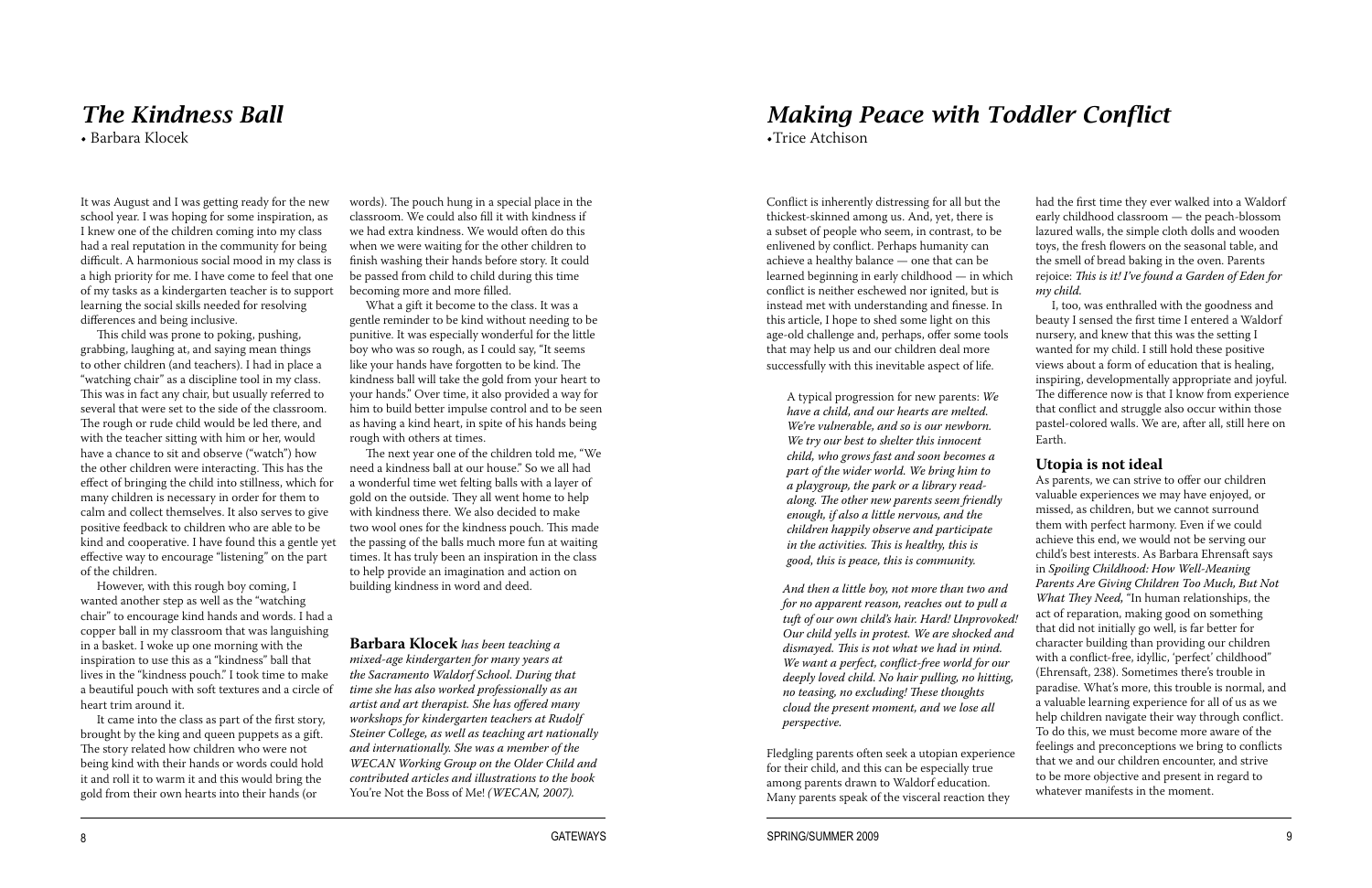It was August and I was getting ready for the new school year. I was hoping for some inspiration, as I knew one of the children coming into my class had a real reputation in the community for being difficult. A harmonious social mood in my class is a high priority for me. I have come to feel that one of my tasks as a kindergarten teacher is to support learning the social skills needed for resolving differences and being inclusive.

This child was prone to poking, pushing, grabbing, laughing at, and saying mean things to other children (and teachers). I had in place a "watching chair" as a discipline tool in my class. This was in fact any chair, but usually referred to several that were set to the side of the classroom. The rough or rude child would be led there, and with the teacher sitting with him or her, would have a chance to sit and observe ("watch") how the other children were interacting. This has the effect of bringing the child into stillness, which for many children is necessary in order for them to calm and collect themselves. It also serves to give positive feedback to children who are able to be kind and cooperative. I have found this a gentle yet effective way to encourage "listening" on the part of the children.

However, with this rough boy coming, I wanted another step as well as the "watching chair" to encourage kind hands and words. I had a copper ball in my classroom that was languishing in a basket. I woke up one morning with the inspiration to use this as a "kindness" ball that lives in the "kindness pouch." I took time to make a beautiful pouch with soft textures and a circle of heart trim around it.

It came into the class as part of the first story, brought by the king and queen puppets as a gift. The story related how children who were not being kind with their hands or words could hold it and roll it to warm it and this would bring the gold from their own hearts into their hands (or

words). The pouch hung in a special place in the classroom. We could also fill it with kindness if we had extra kindness. We would often do this when we were waiting for the other children to finish washing their hands before story. It could be passed from child to child during this time becoming more and more filled.

What a gift it become to the class. It was a gentle reminder to be kind without needing to be punitive. It was especially wonderful for the little boy who was so rough, as I could say, "It seems like your hands have forgotten to be kind. The kindness ball will take the gold from your heart to your hands." Over time, it also provided a way for him to build better impulse control and to be seen as having a kind heart, in spite of his hands being rough with others at times.

The next year one of the children told me, "We need a kindness ball at our house." So we all had a wonderful time wet felting balls with a layer of gold on the outside. They all went home to help with kindness there. We also decided to make two wool ones for the kindness pouch. This made the passing of the balls much more fun at waiting times. It has truly been an inspiration in the class to help provide an imagination and action on building kindness in word and deed.

**Barbara Klocek** *has been teaching a mixed-age kindergarten for many years at the Sacramento Waldorf School. During that time she has also worked professionally as an artist and art therapist. She has offered many workshops for kindergarten teachers at Rudolf Steiner College, as well as teaching art nationally and internationally. She was a member of the WECAN Working Group on the Older Child and contributed articles and illustrations to the book*  You're Not the Boss of Me! *(WECAN, 2007).*

# *The Kindness Ball*

• Barbara Klocek

Conflict is inherently distressing for all but the thickest-skinned among us. And, yet, there is a subset of people who seem, in contrast, to be enlivened by conflict. Perhaps humanity can achieve a healthy balance — one that can be learned beginning in early childhood — in which conflict is neither eschewed nor ignited, but is instead met with understanding and finesse. In this article, I hope to shed some light on this age-old challenge and, perhaps, offer some tools that may help us and our children deal more successfully with this inevitable aspect of life.

A typical progression for new parents: *We have a child, and our hearts are melted. We're vulnerable, and so is our newborn. We try our best to shelter this innocent child, who grows fast and soon becomes a part of the wider world. We bring him to a playgroup, the park or a library readalong. The other new parents seem friendly enough, if also a little nervous, and the children happily observe and participate in the activities. This is healthy, this is good, this is peace, this is community.*

*And then a little boy, not more than two and for no apparent reason, reaches out to pull a tuft of our own child's hair. Hard! Unprovoked! Our child yells in protest. We are shocked and dismayed. This is not what we had in mind. We want a perfect, conflict-free world for our deeply loved child. No hair pulling, no hitting, no teasing, no excluding! These thoughts cloud the present moment, and we lose all perspective.*

Fledgling parents often seek a utopian experience for their child, and this can be especially true among parents drawn to Waldorf education. Many parents speak of the visceral reaction they

# *Making Peace with Toddler Conflict*

•Trice Atchison

had the first time they ever walked into a Waldorf early childhood classroom — the peach-blossom lazured walls, the simple cloth dolls and wooden toys, the fresh flowers on the seasonal table, and the smell of bread baking in the oven. Parents rejoice: *This is it! I've found a Garden of Eden for my child.*

I, too, was enthralled with the goodness and beauty I sensed the first time I entered a Waldorf nursery, and knew that this was the setting I wanted for my child. I still hold these positive views about a form of education that is healing, inspiring, developmentally appropriate and joyful. The difference now is that I know from experience that conflict and struggle also occur within those pastel-colored walls. We are, after all, still here on Earth.

#### **Utopia is not ideal**

As parents, we can strive to offer our children valuable experiences we may have enjoyed, or missed, as children, but we cannot surround them with perfect harmony. Even if we could achieve this end, we would not be serving our child's best interests. As Barbara Ehrensaft says in *Spoiling Childhood: How Well-Meaning Parents Are Giving Children Too Much, But Not What They Need,* "In human relationships, the act of reparation, making good on something that did not initially go well, is far better for character building than providing our children with a conflict-free, idyllic, 'perfect' childhood" (Ehrensaft, 238). Sometimes there's trouble in paradise. What's more, this trouble is normal, and a valuable learning experience for all of us as we help children navigate their way through conflict. To do this, we must become more aware of the feelings and preconceptions we bring to conflicts that we and our children encounter, and strive to be more objective and present in regard to whatever manifests in the moment.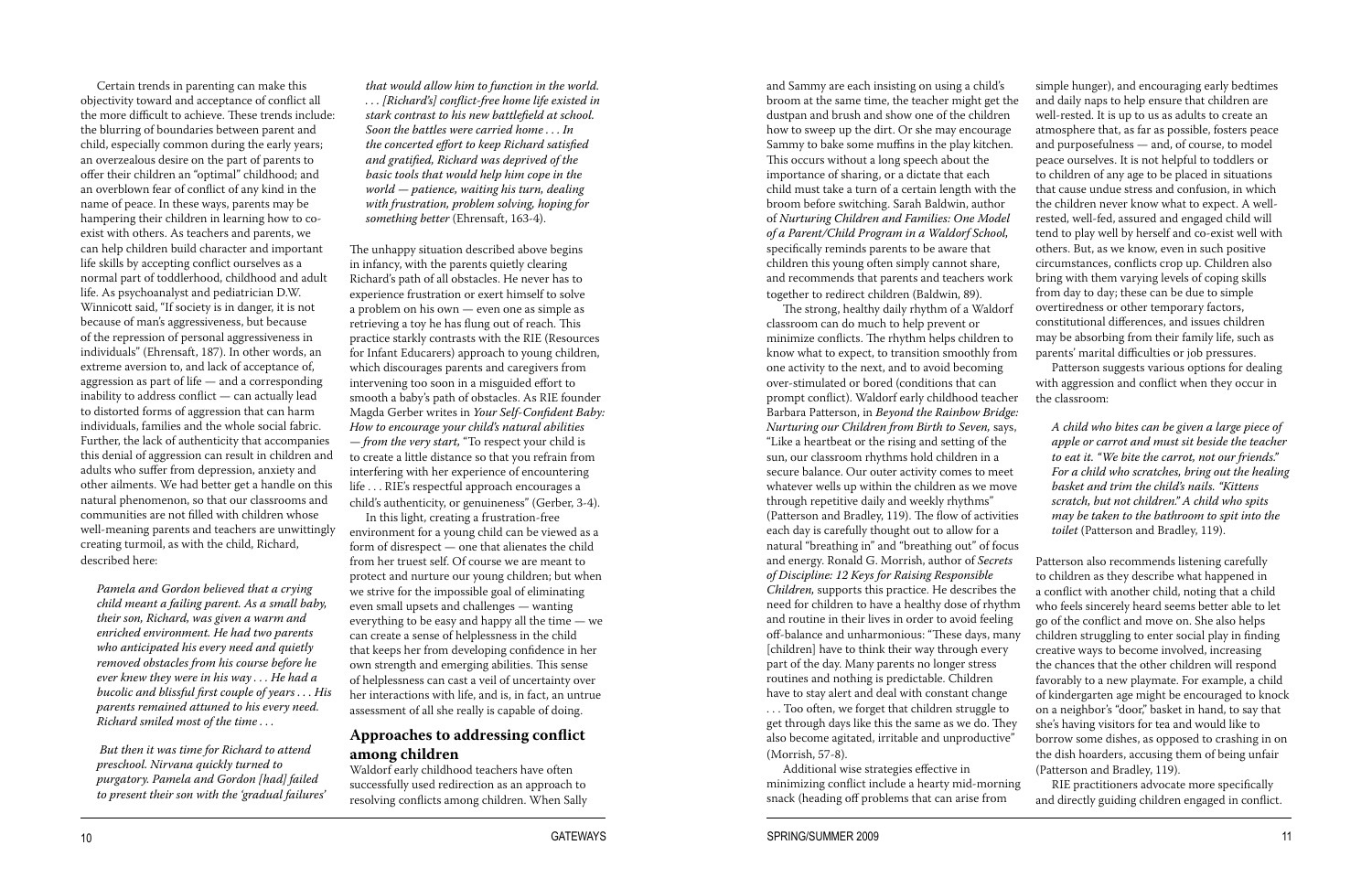Certain trends in parenting can make this objectivity toward and acceptance of conflict all the more difficult to achieve. These trends include: the blurring of boundaries between parent and child, especially common during the early years; an overzealous desire on the part of parents to offer their children an "optimal" childhood; and an overblown fear of conflict of any kind in the name of peace. In these ways, parents may be hampering their children in learning how to coexist with others. As teachers and parents, we can help children build character and important life skills by accepting conflict ourselves as a normal part of toddlerhood, childhood and adult life. As psychoanalyst and pediatrician D.W. Winnicott said, "If society is in danger, it is not because of man's aggressiveness, but because of the repression of personal aggressiveness in individuals" (Ehrensaft, 187). In other words, an extreme aversion to, and lack of acceptance of, aggression as part of life — and a corresponding inability to address conflict — can actually lead to distorted forms of aggression that can harm individuals, families and the whole social fabric. Further, the lack of authenticity that accompanies this denial of aggression can result in children and adults who suffer from depression, anxiety and other ailments. We had better get a handle on this natural phenomenon, so that our classrooms and communities are not filled with children whose well-meaning parents and teachers are unwittingly creating turmoil, as with the child, Richard, described here:

*Pamela and Gordon believed that a crying child meant a failing parent. As a small baby, their son, Richard, was given a warm and enriched environment. He had two parents who anticipated his every need and quietly removed obstacles from his course before he ever knew they were in his way . . . He had a bucolic and blissful first couple of years . . . His parents remained attuned to his every need. Richard smiled most of the time . . .*

 *But then it was time for Richard to attend preschool. Nirvana quickly turned to purgatory. Pamela and Gordon [had] failed to present their son with the 'gradual failures'*  *that would allow him to function in the world. . . . [Richard's] conflict-free home life existed in stark contrast to his new battlefield at school. Soon the battles were carried home . . . In the concerted effort to keep Richard satisfied and gratified, Richard was deprived of the basic tools that would help him cope in the world — patience, waiting his turn, dealing with frustration, problem solving, hoping for something better* (Ehrensaft, 163-4).

The unhappy situation described above begins in infancy, with the parents quietly clearing Richard's path of all obstacles. He never has to experience frustration or exert himself to solve a problem on his own — even one as simple as retrieving a toy he has flung out of reach. This practice starkly contrasts with the RIE (Resources for Infant Educarers) approach to young children, which discourages parents and caregivers from intervening too soon in a misguided effort to smooth a baby's path of obstacles. As RIE founder Magda Gerber writes in *Your Self-Confident Baby: How to encourage your child's natural abilities — from the very start,* "To respect your child is to create a little distance so that you refrain from interfering with her experience of encountering life . . . RIE's respectful approach encourages a child's authenticity, or genuineness" (Gerber, 3-4).

The strong, healthy daily rhythm of a Waldorf classroom can do much to help prevent or minimize conflicts. The rhythm helps children to know what to expect, to transition smoothly from one activity to the next, and to avoid becoming over-stimulated or bored (conditions that can prompt conflict). Waldorf early childhood teacher Barbara Patterson, in *Beyond the Rainbow Bridg Nurturing our Children from Birth to Seven,* says, "Like a heartbeat or the rising and setting of the sun, our classroom rhythms hold children in a secure balance. Our outer activity comes to mee whatever wells up within the children as we mov through repetitive daily and weekly rhythms" (Patterson and Bradley, 119). The flow of activities each day is carefully thought out to allow for a natural "breathing in" and "breathing out" of focus and energy. Ronald G. Morrish, author of *Secrets of Discipline: 12 Keys for Raising Responsible Children,* supports this practice. He describes the need for children to have a healthy dose of rhyth and routine in their lives in order to avoid feeling off-balance and unharmonious: "These days, man [children] have to think their way through every part of the day. Many parents no longer stress routines and nothing is predictable. Children have to stay alert and deal with constant change

In this light, creating a frustration-free environment for a young child can be viewed as a form of disrespect — one that alienates the child from her truest self. Of course we are meant to protect and nurture our young children; but when we strive for the impossible goal of eliminating even small upsets and challenges — wanting everything to be easy and happy all the time — we can create a sense of helplessness in the child that keeps her from developing confidence in her own strength and emerging abilities. This sense of helplessness can cast a veil of uncertainty over her interactions with life, and is, in fact, an untrue assessment of all she really is capable of doing.

## **Approaches to addressing conflict among children**

Waldorf early childhood teachers have often successfully used redirection as an approach to resolving conflicts among children. When Sally and Sammy are each insisting on using a child's broom at the same time, the teacher might get the dustpan and brush and show one of the children how to sweep up the dirt. Or she may encourage Sammy to bake some muffins in the play kitchen. This occurs without a long speech about the importance of sharing, or a dictate that each child must take a turn of a certain length with the broom before switching. Sarah Baldwin, author of *Nurturing Children and Families: One Model of a Parent/Child Program in a Waldorf School,*  specifically reminds parents to be aware that children this young often simply cannot share, and recommends that parents and teachers work together to redirect children (Baldwin, 89).

. . . Too often, we forget that children struggle to get through days like this the same as we do. The also become agitated, irritable and unproductive (Morrish, 57-8).

Additional wise strategies effective in minimizing conflict include a hearty mid-morning snack (heading off problems that can arise from

|                          | simple hunger), and encouraging early bedtimes      |
|--------------------------|-----------------------------------------------------|
| he                       | and daily naps to help ensure that children are     |
|                          | well-rested. It is up to us as adults to create an  |
| $\overline{\phantom{a}}$ | atmosphere that, as far as possible, fosters peace  |
| ì.                       | and purposefulness - and, of course, to model       |
|                          | peace ourselves. It is not helpful to toddlers or   |
|                          | to children of any age to be placed in situations   |
| ιe                       | that cause undue stress and confusion, in which     |
|                          | the children never know what to expect. A well-     |
| ļ                        | rested, well-fed, assured and engaged child will    |
|                          | tend to play well by herself and co-exist well with |
|                          | others. But, as we know, even in such positive      |
|                          | circumstances, conflicts crop up. Children also     |
| k                        | bring with them varying levels of coping skills     |
|                          | from day to day; these can be due to simple         |
| $\cdot f$                | overtiredness or other temporary factors,           |
|                          | constitutional differences, and issues children     |
| O                        | may be absorbing from their family life, such as    |
| m                        | parents' marital difficulties or job pressures.     |
|                          | Patterson suggests various options for dealing      |
|                          | with aggression and conflict when they occur in     |
| er                       | the classroom:                                      |
| re:                      |                                                     |
| s,                       | A child who bites can be given a large piece of     |
|                          | apple or carrot and must sit beside the teacher     |
|                          | to eat it. "We bite the carrot, not our friends."   |
| ۱t                       | For a child who scratches, bring out the healing    |
| ve                       | basket and trim the child's nails. "Kittens         |
|                          | scratch, but not children." A child who spits       |
| es                       | may be taken to the bathroom to spit into the       |
|                          | toilet (Patterson and Bradley, 119).                |
| us                       |                                                     |
| S                        | Patterson also recommends listening carefully       |
|                          | to children as they describe what happened in       |
| ιe                       | a conflict with another child, noting that a child  |
| ım                       | who feels sincerely heard seems better able to let  |
| g                        | go of the conflict and move on. She also helps      |
| ny                       | children struggling to enter social play in finding |
|                          | creative ways to become involved, increasing        |
|                          | the chances that the other children will respond    |
|                          | favorably to a new playmate. For example, a child   |
|                          | of kindergarten age might be encouraged to knock    |
|                          | on a neighbor's "door," basket in hand, to say that |
| эy                       | she's having visitors for tea and would like to     |
|                          | borrow some dishes, as opposed to crashing in on    |
|                          | the dish hoarders, accusing them of being unfair    |
|                          | (Patterson and Bradley, 119).                       |
| ng                       | RIE practitioners advocate more specifically        |
|                          | and directly guiding children engaged in conflict.  |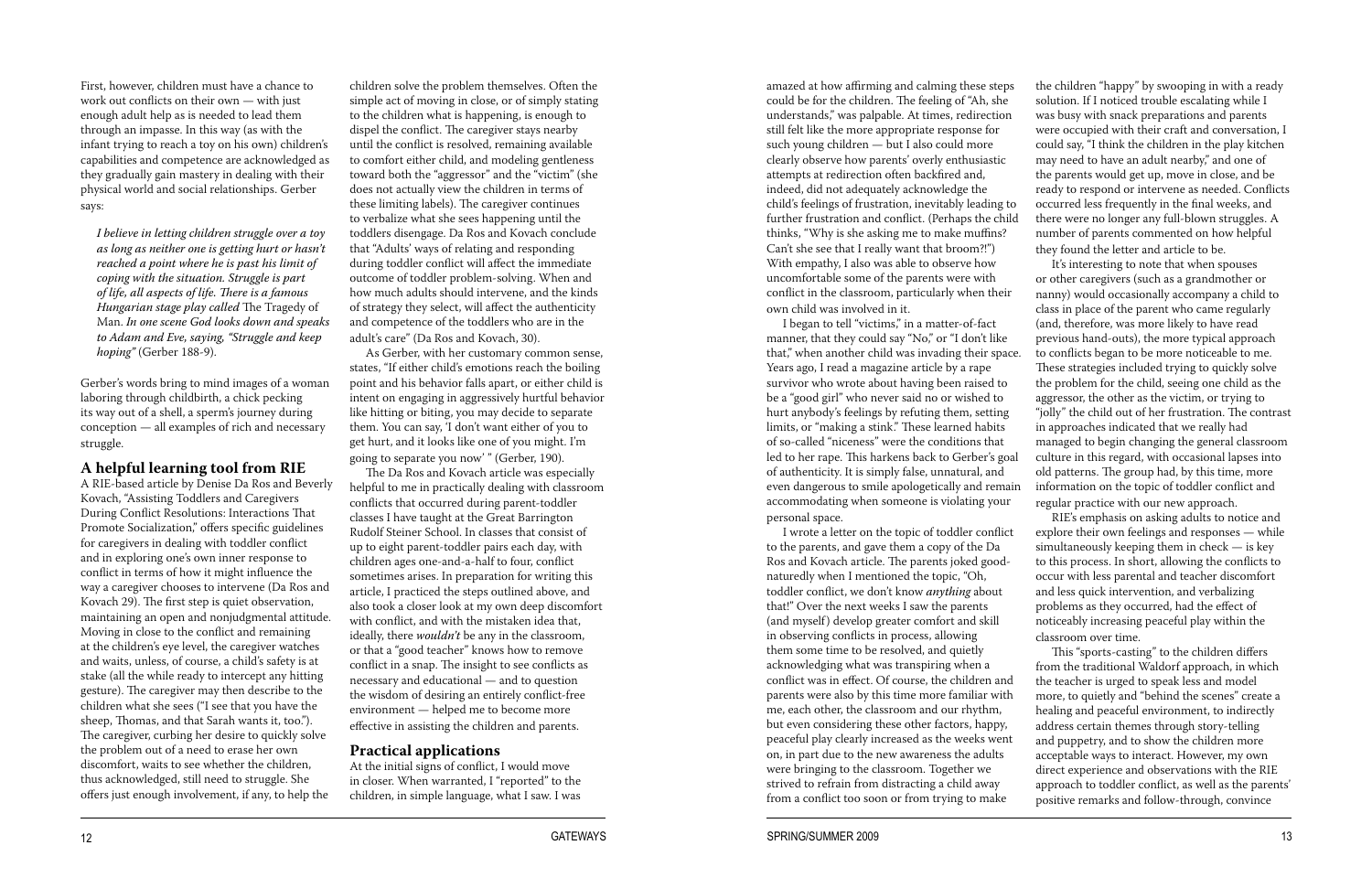First, however, children must have a chance to work out conflicts on their own — with just enough adult help as is needed to lead them through an impasse. In this way (as with the infant trying to reach a toy on his own) children's capabilities and competence are acknowledged as they gradually gain mastery in dealing with their physical world and social relationships. Gerber says:

*I believe in letting children struggle over a toy as long as neither one is getting hurt or hasn't reached a point where he is past his limit of coping with the situation. Struggle is part of life, all aspects of life. There is a famous Hungarian stage play called* The Tragedy of Man. *In one scene God looks down and speaks to Adam and Eve, saying, "Struggle and keep hoping"* (Gerber 188-9).

Gerber's words bring to mind images of a woman laboring through childbirth, a chick pecking its way out of a shell, a sperm's journey during conception — all examples of rich and necessary struggle.

#### **A helpful learning tool from RIE**

A RIE-based article by Denise Da Ros and Beverly Kovach, "Assisting Toddlers and Caregivers During Conflict Resolutions: Interactions That Promote Socialization," offers specific guidelines for caregivers in dealing with toddler conflict and in exploring one's own inner response to conflict in terms of how it might influence the way a caregiver chooses to intervene (Da Ros and Kovach 29). The first step is quiet observation, maintaining an open and nonjudgmental attitude. Moving in close to the conflict and remaining at the children's eye level, the caregiver watches and waits, unless, of course, a child's safety is at stake (all the while ready to intercept any hitting gesture). The caregiver may then describe to the children what she sees ("I see that you have the sheep, Thomas, and that Sarah wants it, too."). The caregiver, curbing her desire to quickly solve the problem out of a need to erase her own discomfort, waits to see whether the children, thus acknowledged, still need to struggle. She offers just enough involvement, if any, to help the

children solve the problem themselves. Often the simple act of moving in close, or of simply stating to the children what is happening, is enough to dispel the conflict. The caregiver stays nearby until the conflict is resolved, remaining available to comfort either child, and modeling gentleness toward both the "aggressor" and the "victim" (she does not actually view the children in terms of these limiting labels). The caregiver continues to verbalize what she sees happening until the toddlers disengage. Da Ros and Kovach conclude that "Adults' ways of relating and responding during toddler conflict will affect the immediate outcome of toddler problem-solving. When and how much adults should intervene, and the kinds of strategy they select, will affect the authenticity and competence of the toddlers who are in the adult's care" (Da Ros and Kovach, 30).

As Gerber, with her customary common sense, states, "If either child's emotions reach the boiling point and his behavior falls apart, or either child is intent on engaging in aggressively hurtful behavior like hitting or biting, you may decide to separate them. You can say, 'I don't want either of you to get hurt, and it looks like one of you might. I'm going to separate you now' " (Gerber, 190).

The Da Ros and Kovach article was especially helpful to me in practically dealing with classroom conflicts that occurred during parent-toddler classes I have taught at the Great Barrington Rudolf Steiner School. In classes that consist of up to eight parent-toddler pairs each day, with children ages one-and-a-half to four, conflict sometimes arises. In preparation for writing this article, I practiced the steps outlined above, and also took a closer look at my own deep discomfort with conflict, and with the mistaken idea that, ideally, there *wouldn't* be any in the classroom, or that a "good teacher" knows how to remove conflict in a snap. The insight to see conflicts as necessary and educational — and to question the wisdom of desiring an entirely conflict-free environment — helped me to become more effective in assisting the children and parents.

### **Practical applications**

At the initial signs of conflict, I would move in closer. When warranted, I "reported" to the children, in simple language, what I saw. I was

amazed at how affirming and calming these steps could be for the children. The feeling of "Ah, she understands," was palpable. At times, redirection still felt like the more appropriate response for such young children — but I also could more clearly observe how parents' overly enthusiastic attempts at redirection often backfired and, indeed, did not adequately acknowledge the child's feelings of frustration, inevitably leading to further frustration and conflict. (Perhaps the child thinks, "Why is she asking me to make muffins? Can't she see that I really want that broom?!") With empathy, I also was able to observe how uncomfortable some of the parents were with conflict in the classroom, particularly when their own child was involved in it. I began to tell "victims," in a matter-of-fact manner, that they could say "No," or "I don't like that," when another child was invading their space. the children "happy" by swooping in with a ready solution. If I noticed trouble escalating while I was busy with snack preparations and parents were occupied with their craft and conversation, I could say, "I think the children in the play kitchen may need to have an adult nearby," and one of the parents would get up, move in close, and be ready to respond or intervene as needed. Conflicts occurred less frequently in the final weeks, and there were no longer any full-blown struggles. A number of parents commented on how helpful they found the letter and article to be. It's interesting to note that when spouses or other caregivers (such as a grandmother or nanny) would occasionally accompany a child to class in place of the parent who came regularly (and, therefore, was more likely to have read previous hand-outs), the more typical approach to conflicts began to be more noticeable to me.

Years ago, I read a magazine article by a rape survivor who wrote about having been raised to be a "good girl" who never said no or wished to hurt anybody's feelings by refuting them, setting limits, or "making a stink." These learned habits of so-called "niceness" were the conditions that led to her rape. This harkens back to Gerber's goal of authenticity. It is simply false, unnatural, and even dangerous to smile apologetically and remain accommodating when someone is violating your personal space. These strategies included trying to quickly solve the problem for the child, seeing one child as the aggressor, the other as the victim, or trying to "jolly" the child out of her frustration. The contrast in approaches indicated that we really had managed to begin changing the general classroom culture in this regard, with occasional lapses into old patterns. The group had, by this time, more information on the topic of toddler conflict and regular practice with our new approach. RIE's emphasis on asking adults to notice and

I wrote a letter on the topic of toddler conflict to the parents, and gave them a copy of the Da Ros and Kovach article. The parents joked goodnaturedly when I mentioned the topic, "Oh, toddler conflict, we don't know *anything* about that!" Over the next weeks I saw the parents (and myself) develop greater comfort and skill in observing conflicts in process, allowing them some time to be resolved, and quietly acknowledging what was transpiring when a conflict was in effect. Of course, the children and parents were also by this time more familiar with me, each other, the classroom and our rhythm, but even considering these other factors, happy, peaceful play clearly increased as the weeks went on, in part due to the new awareness the adults were bringing to the classroom. Together we strived to refrain from distracting a child away from a conflict too soon or from trying to make explore their own feelings and responses — while simultaneously keeping them in check — is key to this process. In short, allowing the conflicts to occur with less parental and teacher discomfort and less quick intervention, and verbalizing problems as they occurred, had the effect of noticeably increasing peaceful play within the classroom over time. This "sports-casting" to the children differs from the traditional Waldorf approach, in which the teacher is urged to speak less and model more, to quietly and "behind the scenes" create a healing and peaceful environment, to indirectly address certain themes through story-telling and puppetry, and to show the children more acceptable ways to interact. However, my own direct experience and observations with the RIE approach to toddler conflict, as well as the parents' positive remarks and follow-through, convince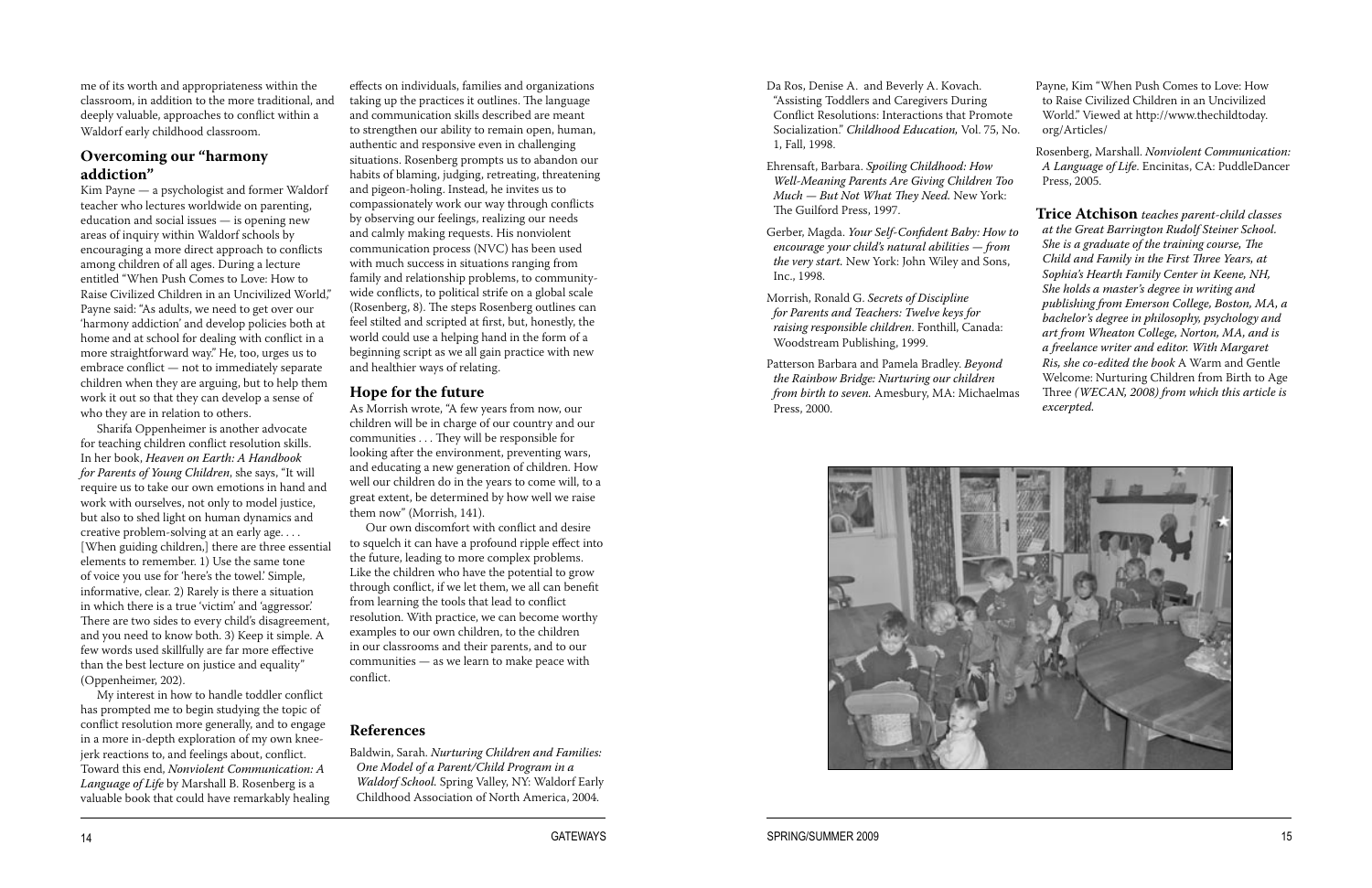me of its worth and appropriateness within the classroom, in addition to the more traditional, and deeply valuable, approaches to conflict within a Waldorf early childhood classroom.

## **Overcoming our "harmony addiction"**

Kim Payne — a psychologist and former Waldorf teacher who lectures worldwide on parenting, education and social issues — is opening new areas of inquiry within Waldorf schools by encouraging a more direct approach to conflicts among children of all ages. During a lecture entitled "When Push Comes to Love: How to Raise Civilized Children in an Uncivilized World," Payne said: "As adults, we need to get over our 'harmony addiction' and develop policies both at home and at school for dealing with conflict in a more straightforward way." He, too, urges us to embrace conflict — not to immediately separate children when they are arguing, but to help them work it out so that they can develop a sense of who they are in relation to others.

Sharifa Oppenheimer is another advocate for teaching children conflict resolution skills. In her book, *Heaven on Earth: A Handbook for Parents of Young Children*, she says, "It will require us to take our own emotions in hand and work with ourselves, not only to model justice, but also to shed light on human dynamics and creative problem-solving at an early age. . . . [When guiding children,] there are three essential elements to remember. 1) Use the same tone of voice you use for 'here's the towel.' Simple, informative, clear. 2) Rarely is there a situation in which there is a true 'victim' and 'aggressor.' There are two sides to every child's disagreement, and you need to know both. 3) Keep it simple. A few words used skillfully are far more effective than the best lecture on justice and equality" (Oppenheimer, 202).

My interest in how to handle toddler conflict has prompted me to begin studying the topic of conflict resolution more generally, and to engage in a more in-depth exploration of my own kneejerk reactions to, and feelings about, conflict. Toward this end, *Nonviolent Communication: A Language of Life* by Marshall B. Rosenberg is a valuable book that could have remarkably healing

effects on individuals, families and organizations taking up the practices it outlines. The language and communication skills described are meant to strengthen our ability to remain open, human, authentic and responsive even in challenging situations. Rosenberg prompts us to abandon our habits of blaming, judging, retreating, threatening and pigeon-holing. Instead, he invites us to compassionately work our way through conflicts by observing our feelings, realizing our needs and calmly making requests. His nonviolent communication process (NVC) has been used with much success in situations ranging from family and relationship problems, to communitywide conflicts, to political strife on a global scale (Rosenberg, 8). The steps Rosenberg outlines can feel stilted and scripted at first, but, honestly, the world could use a helping hand in the form of a beginning script as we all gain practice with new and healthier ways of relating.

### **Hope for the future**

As Morrish wrote, "A few years from now, our children will be in charge of our country and our communities . . . They will be responsible for looking after the environment, preventing wars, and educating a new generation of children. How well our children do in the years to come will, to a great extent, be determined by how well we raise them now" (Morrish, 141).

Our own discomfort with conflict and desire to squelch it can have a profound ripple effect into the future, leading to more complex problems. Like the children who have the potential to grow through conflict, if we let them, we all can benefit from learning the tools that lead to conflict resolution. With practice, we can become worthy examples to our own children, to the children in our classrooms and their parents, and to our communities — as we learn to make peace with conflict.

## **References**

Baldwin, Sarah. *Nurturing Children and Families: One Model of a Parent/Child Program in a Waldorf School.* Spring Valley, NY: Waldorf Early Childhood Association of North America, 2004.

- Da Ros, Denise A. and Beverly A. Kovach. "Assisting Toddlers and Caregivers During Conflict Resolutions: Interactions that Promote Socialization." *Childhood Education*, Vol. 75, N 1, Fall, 1998.
- Ehrensaft, Barbara. *Spoiling Childhood: How Well-Meaning Parents Are Giving Children Too Much — But Not What They Need.* New York: The Guilford Press, 1997.
- Gerber, Magda. *Your Self-Confident Baby: How to encourage your child's natural abilities — from the very start.* New York: John Wiley and Sons, Inc., 1998.
- Morrish, Ronald G. *Secrets of Discipline for Parents and Teachers: Twelve keys for raising responsible children*. Fonthill, Canada: Woodstream Publishing, 1999.
- Patterson Barbara and Pamela Bradley. *Beyond the Rainbow Bridge: Nurturing our children from birth to seven.* Amesbury, MA: Michaelmas Press, 2000.



|                 | Payne, Kim "When Push Comes to Love: How                                                          |
|-----------------|---------------------------------------------------------------------------------------------------|
|                 | to Raise Civilized Children in an Uncivilized                                                     |
| ë               | World." Viewed at http://www.thechildtoday.                                                       |
| <sup>[</sup> Ο. | org/Articles/                                                                                     |
|                 | Rosenberg, Marshall. Nonviolent Communication:<br>A Language of Life. Encinitas, CA: PuddleDancer |
|                 | Press, 2005.                                                                                      |

**Trice Atchison** *teaches parent-child classes at the Great Barrington Rudolf Steiner School. She is a graduate of the training course, The Child and Family in the First Three Years, at Sophia's Hearth Family Center in Keene, NH, She holds a master's degree in writing and publishing from Emerson College, Boston, MA, a bachelor's degree in philosophy, psychology and art from Wheaton College, Norton, MA, and is a freelance writer and editor. With Margaret Ris, she co-edited the book* A Warm and Gentle Welcome: Nurturing Children from Birth to Age Three *(WECAN, 2008) from which this article is excerpted.*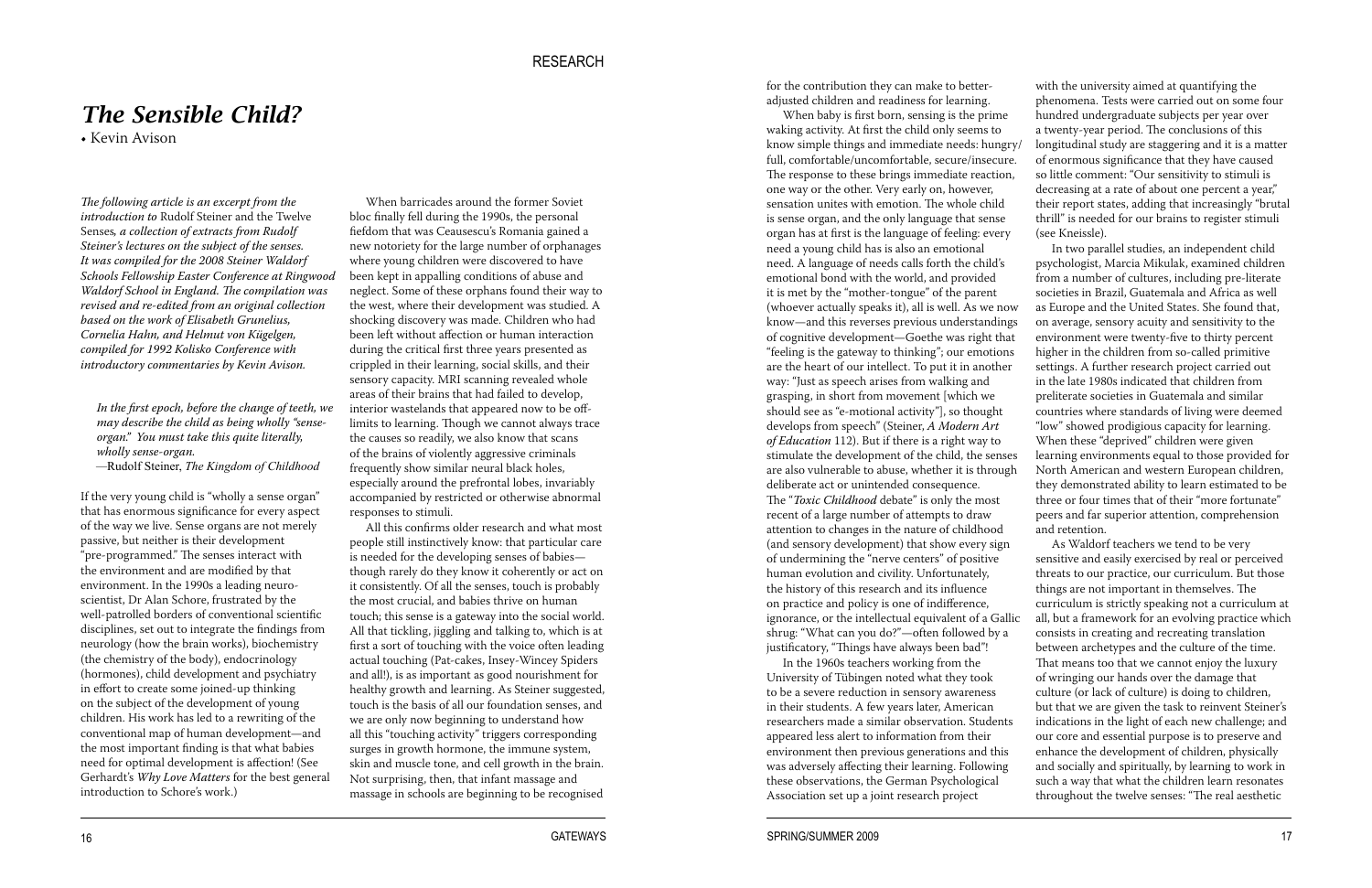## **RESEARCH**

# *The Sensible Child?*

• Kevin Avison

*The following article is an excerpt from the introduction to* Rudolf Steiner and the Twelve Senses*, a collection of extracts from Rudolf Steiner's lectures on the subject of the senses. It was compiled for the 2008 Steiner Waldorf Schools Fellowship Easter Conference at Ringwood Waldorf School in England. The compilation was revised and re-edited from an original collection based on the work of Elisabeth Grunelius, Cornelia Hahn, and Helmut von Kügelgen, compiled for 1992 Kolisko Conference with introductory commentaries by Kevin Avison.*

*In the first epoch, before the change of teeth, we may describe the child as being wholly "senseorgan." You must take this quite literally, wholly sense-organ.* 

 *—*Rudolf Steiner, *The Kingdom of Childhood*

If the very young child is "wholly a sense organ" that has enormous significance for every aspect of the way we live. Sense organs are not merely passive, but neither is their development "pre-programmed." The senses interact with the environment and are modified by that environment. In the 1990s a leading neuroscientist, Dr Alan Schore, frustrated by the well-patrolled borders of conventional scientific disciplines, set out to integrate the findings from neurology (how the brain works), biochemistry (the chemistry of the body), endocrinology (hormones), child development and psychiatry in effort to create some joined-up thinking on the subject of the development of young children. His work has led to a rewriting of the conventional map of human development—and the most important finding is that what babies need for optimal development is affection! (See Gerhardt's *Why Love Matters* for the best general introduction to Schore's work.)

When barricades around the former Soviet bloc finally fell during the 1990s, the personal fiefdom that was Ceausescu's Romania gained a new notoriety for the large number of orphanages where young children were discovered to have been kept in appalling conditions of abuse and neglect. Some of these orphans found their way to the west, where their development was studied. A shocking discovery was made. Children who had been left without affection or human interaction during the critical first three years presented as crippled in their learning, social skills, and their sensory capacity. MRI scanning revealed whole areas of their brains that had failed to develop, interior wastelands that appeared now to be offlimits to learning. Though we cannot always trace the causes so readily, we also know that scans of the brains of violently aggressive criminals frequently show similar neural black holes, especially around the prefrontal lobes, invariably accompanied by restricted or otherwise abnormal responses to stimuli.

All this confirms older research and what most people still instinctively know: that particular care is needed for the developing senses of babies though rarely do they know it coherently or act on it consistently. Of all the senses, touch is probably the most crucial, and babies thrive on human touch; this sense is a gateway into the social world. All that tickling, jiggling and talking to, which is at first a sort of touching with the voice often leading actual touching (Pat-cakes, Insey-Wincey Spiders and all!), is as important as good nourishment for healthy growth and learning. As Steiner suggested, touch is the basis of all our foundation senses, and we are only now beginning to understand how all this "touching activity" triggers corresponding surges in growth hormone, the immune system, skin and muscle tone, and cell growth in the brain. Not surprising, then, that infant massage and massage in schools are beginning to be recognised

for the contribution they can make to betteradjusted children and readiness for learning.

When baby is first born, sensing is the prime waking activity. At first the child only seems to know simple things and immediate needs: hungry/ full, comfortable/uncomfortable, secure/insecure. The response to these brings immediate reaction, one way or the other. Very early on, however, sensation unites with emotion. The whole child is sense organ, and the only language that sense organ has at first is the language of feeling: every need a young child has is also an emotional need. A language of needs calls forth the child's emotional bond with the world, and provided it is met by the "mother-tongue" of the parent (whoever actually speaks it), all is well. As we now know—and this reverses previous understandings of cognitive development—Goethe was right that "feeling is the gateway to thinking"; our emotions are the heart of our intellect. To put it in another way: "Just as speech arises from walking and grasping, in short from movement [which we should see as "e-motional activity"], so thought develops from speech" (Steiner, *A Modern Art of Education* 112). But if there is a right way to stimulate the development of the child, the senses are also vulnerable to abuse, whether it is through deliberate act or unintended consequence. The "*Toxic Childhood* debate" is only the most recent of a large number of attempts to draw attention to changes in the nature of childhood (and sensory development) that show every sign of undermining the "nerve centers" of positive human evolution and civility. Unfortunately, the history of this research and its influence on practice and policy is one of indifference, ignorance, or the intellectual equivalent of a Gallic shrug: "What can you do?"—often followed by a justificatory, "Things have always been bad"!

In the 1960s teachers working from the University of Tübingen noted what they took to be a severe reduction in sensory awareness in their students. A few years later, American researchers made a similar observation. Students appeared less alert to information from their environment then previous generations and this was adversely affecting their learning. Following these observations, the German Psychological Association set up a joint research project

with the university aimed at quantifying the phenomena. Tests were carried out on some four hundred undergraduate subjects per year over a twenty-year period. The conclusions of this longitudinal study are staggering and it is a matter of enormous significance that they have caused so little comment: "Our sensitivity to stimuli is decreasing at a rate of about one percent a year," their report states, adding that increasingly "brutal thrill" is needed for our brains to register stimuli (see Kneissle).

In two parallel studies, an independent child psychologist, Marcia Mikulak, examined children from a number of cultures, including pre-literate societies in Brazil, Guatemala and Africa as well as Europe and the United States. She found that, on average, sensory acuity and sensitivity to the environment were twenty-five to thirty percent higher in the children from so-called primitive settings. A further research project carried out in the late 1980s indicated that children from preliterate societies in Guatemala and similar countries where standards of living were deemed "low" showed prodigious capacity for learning. When these "deprived" children were given learning environments equal to those provided for North American and western European children, they demonstrated ability to learn estimated to be

three or four times that of their "more fortunate" peers and far superior attention, comprehension and retention. As Waldorf teachers we tend to be very

sensitive and easily exercised by real or perceived threats to our practice, our curriculum. But those things are not important in themselves. The curriculum is strictly speaking not a curriculum at

all, but a framework for an evolving practice which consists in creating and recreating translation between archetypes and the culture of the time. That means too that we cannot enjoy the luxury of wringing our hands over the damage that culture (or lack of culture) is doing to children, but that we are given the task to reinvent Steiner's indications in the light of each new challenge; and our core and essential purpose is to preserve and enhance the development of children, physically and socially and spiritually, by learning to work in such a way that what the children learn resonates throughout the twelve senses: "The real aesthetic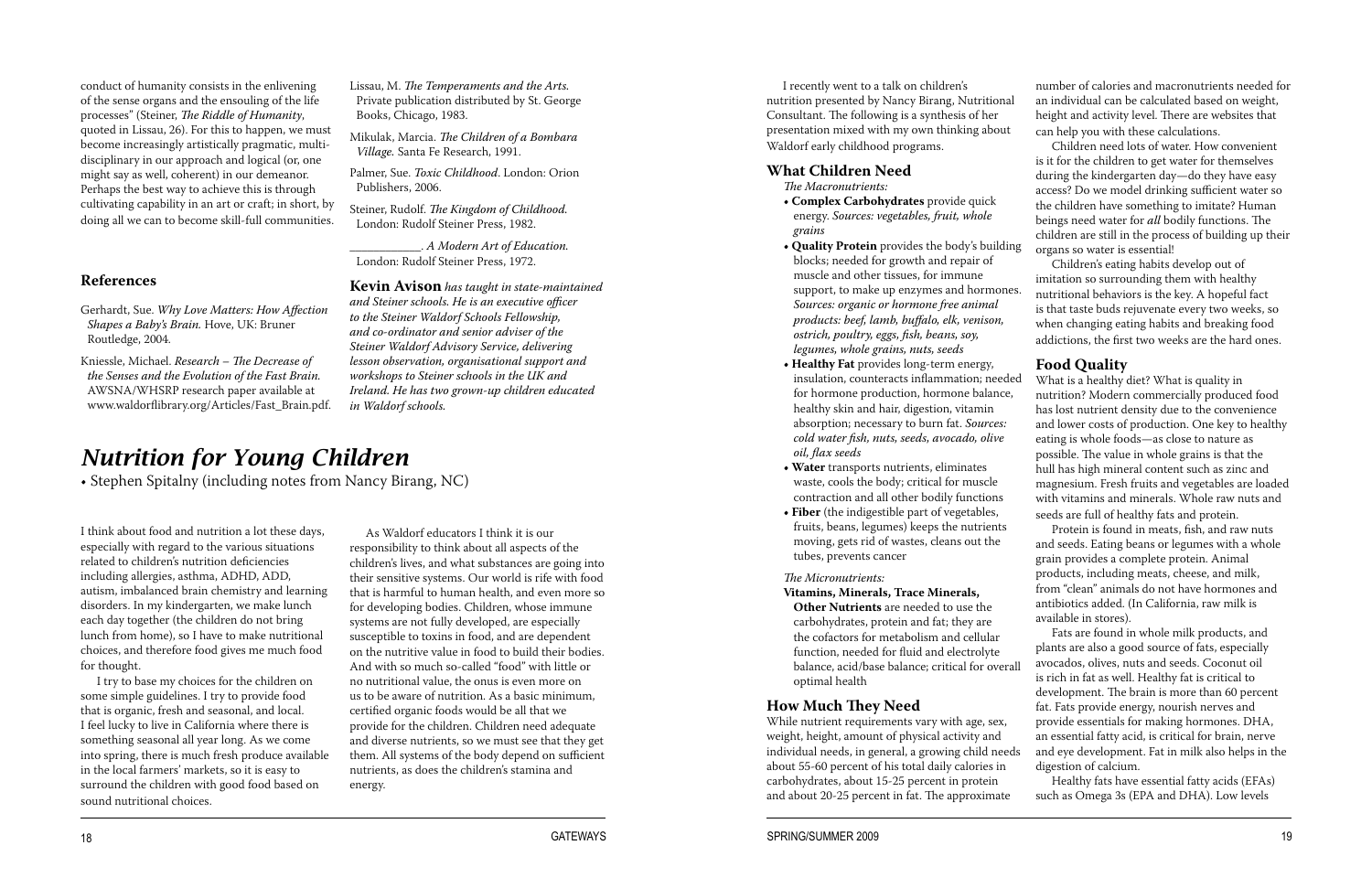conduct of humanity consists in the enlivening of the sense organs and the ensouling of the life processes" (Steiner, *The Riddle of Humanity*, quoted in Lissau, 26). For this to happen, we must become increasingly artistically pragmatic, multidisciplinary in our approach and logical (or, one might say as well, coherent) in our demeanor. Perhaps the best way to achieve this is through cultivating capability in an art or craft; in short, by doing all we can to become skill-full communities.

### **References**

Gerhardt, Sue. *Why Love Matters: How Affection Shapes a Baby's Brain.* Hove, UK: Bruner Routledge, 2004.

Kniessle, Michael. *Research – The Decrease of the Senses and the Evolution of the Fast Brain.* AWSNA/WHSRP research paper available at www.waldorflibrary.org/Articles/Fast\_Brain.pdf. Lissau, M. *The Temperaments and the Arts.* Private publication distributed by St. George Books, Chicago, 1983.

Mikulak, Marcia. *The Children of a Bombara Village.* Santa Fe Research, 1991.

Palmer, Sue. *Toxic Childhood*. London: Orion Publishers, 2006.

Steiner, Rudolf. *The Kingdom of Childhood.* London: Rudolf Steiner Press, 1982.

\_\_\_\_\_\_\_\_\_\_\_\_. *A Modern Art of Education.*  London: Rudolf Steiner Press, 1972.

**Kevin Avison** *has taught in state-maintained and Steiner schools. He is an executive officer to the Steiner Waldorf Schools Fellowship, and co-ordinator and senior adviser of the Steiner Waldorf Advisory Service, delivering lesson observation, organisational support and workshops to Steiner schools in the UK and Ireland. He has two grown-up children educated in Waldorf schools.* 

# *Nutrition for Young Children*

• Stephen Spitalny (including notes from Nancy Birang, NC)

I think about food and nutrition a lot these days, especially with regard to the various situations related to children's nutrition deficiencies including allergies, asthma, ADHD, ADD, autism, imbalanced brain chemistry and learning disorders. In my kindergarten, we make lunch each day together (the children do not bring lunch from home), so I have to make nutritional choices, and therefore food gives me much food for thought.

I try to base my choices for the children on some simple guidelines. I try to provide food that is organic, fresh and seasonal, and local. I feel lucky to live in California where there is something seasonal all year long. As we come into spring, there is much fresh produce available in the local farmers' markets, so it is easy to surround the children with good food based on sound nutritional choices.

As Waldorf educators I think it is our responsibility to think about all aspects of the children's lives, and what substances are going into their sensitive systems. Our world is rife with food that is harmful to human health, and even more so for developing bodies. Children, whose immune systems are not fully developed, are especially susceptible to toxins in food, and are dependent on the nutritive value in food to build their bodies. And with so much so-called "food" with little or no nutritional value, the onus is even more on us to be aware of nutrition. As a basic minimum, certified organic foods would be all that we provide for the children. Children need adequate and diverse nutrients, so we must see that they get them. All systems of the body depend on sufficient nutrients, as does the children's stamina and energy.

#### **What Children Need**

*The Macronutrients:*

- **Complex Carbohydrates** provide quick energy. *Sources: vegetables, fruit, whole grains*
- **Quality Protein** provides the body's building blocks; needed for growth and repair of muscle and other tissues, for immune support, to make up enzymes and hormones. *Sources: organic or hormone free animal products: beef, lamb, buffalo, elk, venison, ostrich, poultry, eggs, fish, beans, soy, legumes, whole grains, nuts, seeds*
- **Healthy Fat** provides long-term energy, insulation, counteracts inflammation; needed for hormone production, hormone balance, healthy skin and hair, digestion, vitamin absorption; necessary to burn fat. *Sources: cold water fish, nuts, seeds, avocado, olive oil, flax seeds*
- **Water** transports nutrients, eliminates waste, cools the body; critical for muscle contraction and all other bodily functions
- **Fiber** (the indigestible part of vegetables, fruits, beans, legumes) keeps the nutrients moving, gets rid of wastes, cleans out the tubes, prevents cancer

I recently went to a talk on children's nutrition presented by Nancy Birang, Nutritional Consultant. The following is a synthesis of her presentation mixed with my own thinking about Waldorf early childhood programs. number of calories and macronutrients needed for an individual can be calculated based on weight, height and activity level. There are websites that can help you with these calculations. Children need lots of water. How convenient

#### *The Micronutrients:*

**Vitamins, Minerals, Trace Minerals,** 

is it for the children to get water for themselves during the kindergarten day—do they have easy access? Do we model drinking sufficient water so the children have something to imitate? Human beings need water for *all* bodily functions. The children are still in the process of building up their organs so water is essential!

Children's eating habits develop out of imitation so surrounding them with healthy nutritional behaviors is the key. A hopeful fact is that taste buds rejuvenate every two weeks, so when changing eating habits and breaking food addictions, the first two weeks are the hard ones.

**Other Nutrients** are needed to use the carbohydrates, protein and fat; they are the cofactors for metabolism and cellular function, needed for fluid and electrolyte balance, acid/base balance; critical for overall optimal health available in stores). Fats are found in whole milk products, and plants are also a good source of fats, especially avocados, olives, nuts and seeds. Coconut oil is rich in fat as well. Healthy fat is critical to development. The brain is more than 60 percent fat. Fats provide energy, nourish nerves and provide essentials for making hormones. DHA, an essential fatty acid, is critical for brain, nerve and eye development. Fat in milk also helps in the digestion of calcium.

#### **Food Quality**

**How Much They Need** While nutrient requirements vary with age, sex, weight, height, amount of physical activity and individual needs, in general, a growing child needs about 55-60 percent of his total daily calories in carbohydrates, about 15-25 percent in protein and about 20-25 percent in fat. The approximate Healthy fats have essential fatty acids (EFAs) such as Omega 3s (EPA and DHA). Low levels

What is a healthy diet? What is quality in nutrition? Modern commercially produced food has lost nutrient density due to the convenience and lower costs of production. One key to healthy eating is whole foods—as close to nature as possible. The value in whole grains is that the hull has high mineral content such as zinc and magnesium. Fresh fruits and vegetables are loaded with vitamins and minerals. Whole raw nuts and seeds are full of healthy fats and protein.

Protein is found in meats, fish, and raw nuts and seeds. Eating beans or legumes with a whole grain provides a complete protein. Animal products, including meats, cheese, and milk, from "clean" animals do not have hormones and antibiotics added. (In California, raw milk is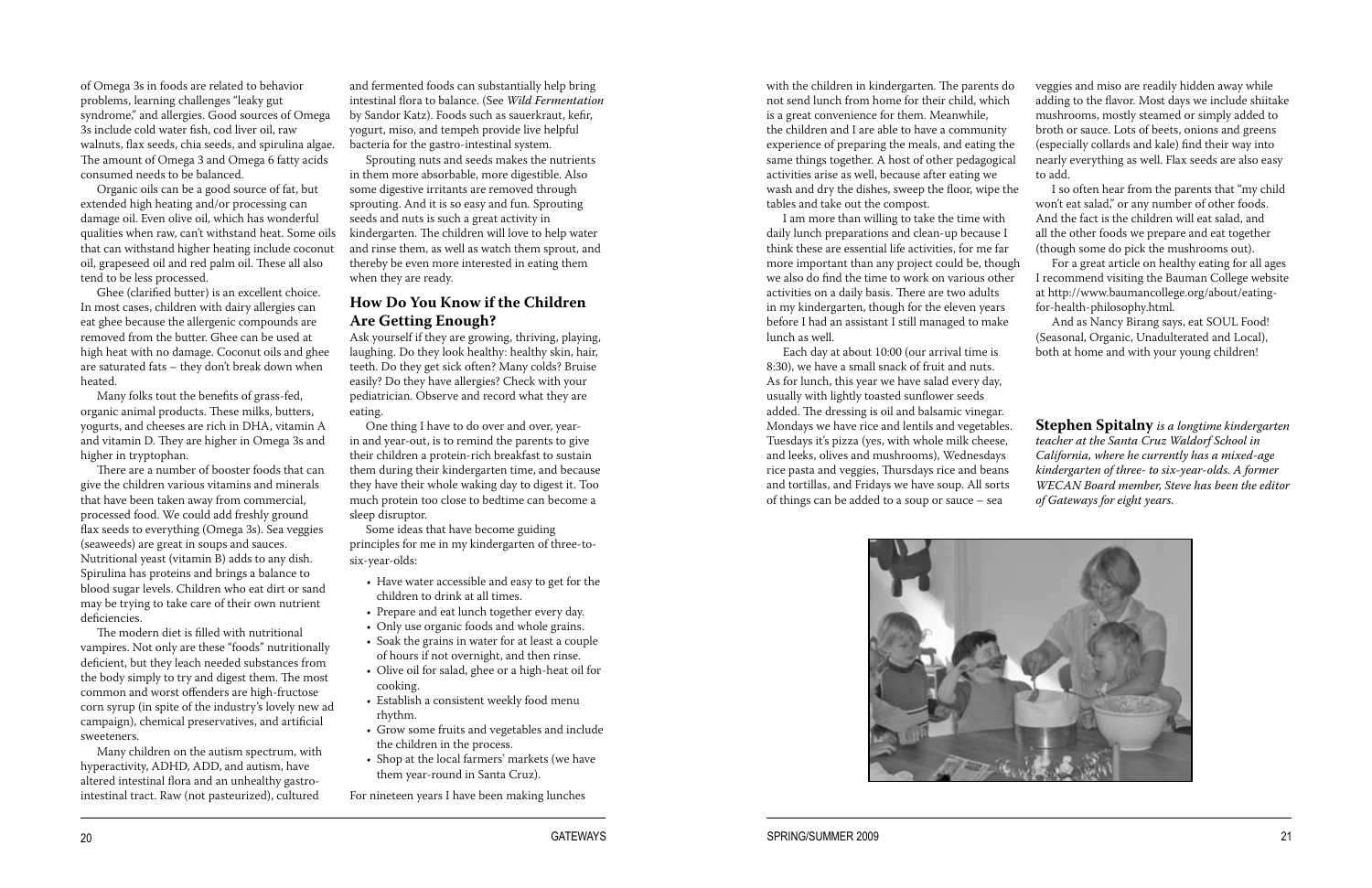of Omega 3s in foods are related to behavior problems, learning challenges "leaky gut syndrome," and allergies. Good sources of Omega 3s include cold water fish, cod liver oil, raw walnuts, flax seeds, chia seeds, and spirulina algae. The amount of Omega 3 and Omega 6 fatty acids consumed needs to be balanced.

Organic oils can be a good source of fat, but extended high heating and/or processing can damage oil. Even olive oil, which has wonderful qualities when raw, can't withstand heat. Some oils that can withstand higher heating include coconut oil, grapeseed oil and red palm oil. These all also tend to be less processed.

Ghee (clarified butter) is an excellent choice. In most cases, children with dairy allergies can eat ghee because the allergenic compounds are removed from the butter. Ghee can be used at high heat with no damage. Coconut oils and ghee are saturated fats – they don't break down when heated.

Many folks tout the benefits of grass-fed, organic animal products. These milks, butters, yogurts, and cheeses are rich in DHA, vitamin A and vitamin D. They are higher in Omega 3s and higher in tryptophan.

There are a number of booster foods that can give the children various vitamins and minerals that have been taken away from commercial, processed food. We could add freshly ground flax seeds to everything (Omega 3s). Sea veggies (seaweeds) are great in soups and sauces. Nutritional yeast (vitamin B) adds to any dish. Spirulina has proteins and brings a balance to blood sugar levels. Children who eat dirt or sand may be trying to take care of their own nutrient deficiencies.

The modern diet is filled with nutritional vampires. Not only are these "foods" nutritionally deficient, but they leach needed substances from the body simply to try and digest them. The most common and worst offenders are high-fructose corn syrup (in spite of the industry's lovely new ad campaign), chemical preservatives, and artificial sweeteners.

Many children on the autism spectrum, with hyperactivity, ADHD, ADD, and autism, have altered intestinal flora and an unhealthy gastrointestinal tract. Raw (not pasteurized), cultured

and fermented foods can substantially help bring intestinal flora to balance. (See *Wild Fermentation* by Sandor Katz). Foods such as sauerkraut, kefir, yogurt, miso, and tempeh provide live helpful bacteria for the gastro-intestinal system.

Sprouting nuts and seeds makes the nutrients in them more absorbable, more digestible. Also some digestive irritants are removed through sprouting. And it is so easy and fun. Sprouting seeds and nuts is such a great activity in kindergarten. The children will love to help water and rinse them, as well as watch them sprout, and thereby be even more interested in eating them when they are ready.

# **How Do You Know if the Children Are Getting Enough?**

Ask yourself if they are growing, thriving, playing, laughing. Do they look healthy: healthy skin, hair, teeth. Do they get sick often? Many colds? Bruise easily? Do they have allergies? Check with your pediatrician. Observe and record what they are eating.

One thing I have to do over and over, yearin and year-out, is to remind the parents to give their children a protein-rich breakfast to sustain them during their kindergarten time, and because they have their whole waking day to digest it. Too much protein too close to bedtime can become a sleep disruptor.

Some ideas that have become guiding principles for me in my kindergarten of three-tosix-year-olds:

- Have water accessible and easy to get for the children to drink at all times.
- Prepare and eat lunch together every day.
- Only use organic foods and whole grains.
- Soak the grains in water for at least a couple of hours if not overnight, and then rinse.
- Olive oil for salad, ghee or a high-heat oil for cooking.
- Establish a consistent weekly food menu rhythm.
- Grow some fruits and vegetables and include the children in the process.
- Shop at the local farmers' markets (we have them year-round in Santa Cruz).

For nineteen years I have been making lunches

with the children in kindergarten. The parents do not send lunch from home for their child, which is a great convenience for them. Meanwhile, the children and I are able to have a community experience of preparing the meals, and eating the same things together. A host of other pedagogical activities arise as well, because after eating we wash and dry the dishes, sweep the floor, wipe the tables and take out the compost.

I am more than willing to take the time with daily lunch preparations and clean-up because I think these are essential life activities, for me far more important than any project could be, though we also do find the time to work on various other activities on a daily basis. There are two adults in my kindergarten, though for the eleven years before I had an assistant I still managed to make lunch as well.

Each day at about 10:00 (our arrival time is 8:30), we have a small snack of fruit and nuts. As for lunch, this year we have salad every day, usually with lightly toasted sunflower seeds added. The dressing is oil and balsamic vinegar. Mondays we have rice and lentils and vegetables. Tuesdays it's pizza (yes, with whole milk cheese, and leeks, olives and mushrooms), Wednesdays rice pasta and veggies, Thursdays rice and beans and tortillas, and Fridays we have soup. All sorts of things can be added to a soup or sauce – sea



- veggies and miso are readily hidden away while adding to the flavor. Most days we include shiitake mushrooms, mostly steamed or simply added to broth or sauce. Lots of beets, onions and greens (especially collards and kale) find their way into
- nearly everything as well. Flax seeds are also easy to add.
	- I so often hear from the parents that "my child won't eat salad," or any number of other foods. And the fact is the children will eat salad, and all the other foods we prepare and eat together (though some do pick the mushrooms out).
- For a great article on healthy eating for all ages I recommend visiting the Bauman College website at http://www.baumancollege.org/about/eatingfor-health-philosophy.html.

And as Nancy Birang says, eat SOUL Food! (Seasonal, Organic, Unadulterated and Local), both at home and with your young children!

**Stephen Spitalny** *is a longtime kindergarten teacher at the Santa Cruz Waldorf School in California, where he currently has a mixed-age kindergarten of three- to six-year-olds. A former WECAN Board member, Steve has been the editor of Gateways for eight years.*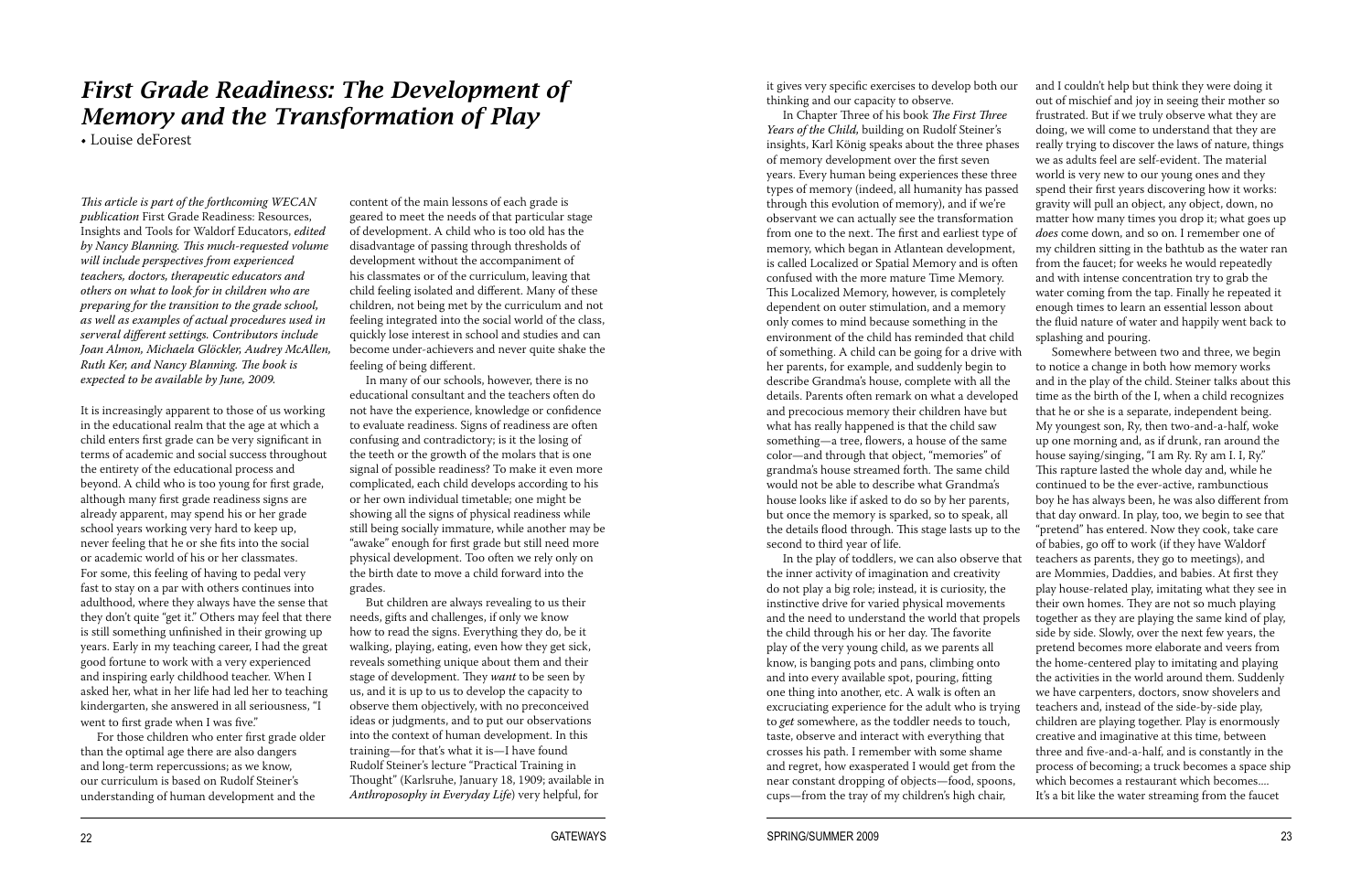*This article is part of the forthcoming WECAN publication* First Grade Readiness: Resources, Insights and Tools for Waldorf Educators, *edited by Nancy Blanning. This much-requested volume will include perspectives from experienced teachers, doctors, therapeutic educators and others on what to look for in children who are preparing for the transition to the grade school, as well as examples of actual procedures used in serveral different settings. Contributors include Joan Almon, Michaela Glöckler, Audrey McAllen, Ruth Ker, and Nancy Blanning. The book is expected to be available by June, 2009.*

It is increasingly apparent to those of us working in the educational realm that the age at which a child enters first grade can be very significant in terms of academic and social success throughout the entirety of the educational process and beyond. A child who is too young for first grade, although many first grade readiness signs are already apparent, may spend his or her grade school years working very hard to keep up, never feeling that he or she fits into the social or academic world of his or her classmates. For some, this feeling of having to pedal very fast to stay on a par with others continues into adulthood, where they always have the sense that they don't quite "get it." Others may feel that there is still something unfinished in their growing up years. Early in my teaching career, I had the great good fortune to work with a very experienced and inspiring early childhood teacher. When I asked her, what in her life had led her to teaching kindergarten, she answered in all seriousness, "I went to first grade when I was five."

For those children who enter first grade older than the optimal age there are also dangers and long-term repercussions; as we know, our curriculum is based on Rudolf Steiner's understanding of human development and the

# *First Grade Readiness: The Development of Memory and the Transformation of Play*

• Louise deForest

content of the main lessons of each grade is geared to meet the needs of that particular stage of development. A child who is too old has the disadvantage of passing through thresholds of development without the accompaniment of his classmates or of the curriculum, leaving that child feeling isolated and different. Many of these children, not being met by the curriculum and not feeling integrated into the social world of the class, quickly lose interest in school and studies and can become under-achievers and never quite shake the feeling of being different.

In many of our schools, however, there is no educational consultant and the teachers often do not have the experience, knowledge or confidence to evaluate readiness. Signs of readiness are often confusing and contradictory; is it the losing of the teeth or the growth of the molars that is one signal of possible readiness? To make it even more complicated, each child develops according to his or her own individual timetable; one might be showing all the signs of physical readiness while still being socially immature, while another may be "awake" enough for first grade but still need more physical development. Too often we rely only on the birth date to move a child forward into the grades.

But children are always revealing to us their needs, gifts and challenges, if only we know how to read the signs. Everything they do, be it walking, playing, eating, even how they get sick, reveals something unique about them and their stage of development. They *want* to be seen by us, and it is up to us to develop the capacity to observe them objectively, with no preconceived ideas or judgments, and to put our observations into the context of human development. In this training—for that's what it is—I have found Rudolf Steiner's lecture "Practical Training in Thought" (Karlsruhe, January 18, 1909; available in *Anthroposophy in Everyday Life*) very helpful, for

In Chapter Three of his book *The First Three*  and I couldn't help but think they were doing it out of mischief and joy in seeing their mother so frustrated. But if we truly observe what they are doing, we will come to understand that they are really trying to discover the laws of nature, things we as adults feel are self-evident. The material world is very new to our young ones and they spend their first years discovering how it works: gravity will pull an object, any object, down, no matter how many times you drop it; what goes up *does* come down, and so on. I remember one of my children sitting in the bathtub as the water ran from the faucet; for weeks he would repeatedly and with intense concentration try to grab the water coming from the tap. Finally he repeated it enough times to learn an essential lesson about the fluid nature of water and happily went back to splashing and pouring.

it gives very specific exercises to develop both our thinking and our capacity to observe. *Years of the Child,* building on Rudolf Steiner's insights, Karl König speaks about the three phases of memory development over the first seven years. Every human being experiences these three types of memory (indeed, all humanity has passed through this evolution of memory), and if we're observant we can actually see the transformation from one to the next. The first and earliest type of memory, which began in Atlantean development, is called Localized or Spatial Memory and is often confused with the more mature Time Memory. This Localized Memory, however, is completely dependent on outer stimulation, and a memory only comes to mind because something in the environment of the child has reminded that child of something. A child can be going for a drive with Somewhere between two and three, we begin to notice a change in both how memory works that he or she is a separate, independent being. My youngest son, Ry, then two-and-a-half, woke up one morning and, as if drunk, ran around the house saying/singing, "I am Ry. Ry am I. I, Ry." This rapture lasted the whole day and, while he continued to be the ever-active, rambunctious "pretend" has entered. Now they cook, take care

her parents, for example, and suddenly begin to describe Grandma's house, complete with all the details. Parents often remark on what a developed and precocious memory their children have but what has really happened is that the child saw something—a tree, flowers, a house of the same color—and through that object, "memories" of grandma's house streamed forth. The same child would not be able to describe what Grandma's house looks like if asked to do so by her parents, but once the memory is sparked, so to speak, all the details flood through. This stage lasts up to the second to third year of life. In the play of toddlers, we can also observe that the inner activity of imagination and creativity do not play a big role; instead, it is curiosity, the instinctive drive for varied physical movements and the need to understand the world that propels the child through his or her day. The favorite play of the very young child, as we parents all know, is banging pots and pans, climbing onto and into every available spot, pouring, fitting one thing into another, etc. A walk is often an excruciating experience for the adult who is trying to *get* somewhere, as the toddler needs to touch, taste, observe and interact with everything that crosses his path. I remember with some shame and regret, how exasperated I would get from the near constant dropping of objects—food, spoons, cups—from the tray of my children's high chair, and in the play of the child. Steiner talks about this time as the birth of the I, when a child recognizes boy he has always been, he was also different from that day onward. In play, too, we begin to see that of babies, go off to work (if they have Waldorf teachers as parents, they go to meetings), and are Mommies, Daddies, and babies. At first they play house-related play, imitating what they see in their own homes. They are not so much playing together as they are playing the same kind of play, side by side. Slowly, over the next few years, the pretend becomes more elaborate and veers from the home-centered play to imitating and playing the activities in the world around them. Suddenly we have carpenters, doctors, snow shovelers and teachers and, instead of the side-by-side play, children are playing together. Play is enormously creative and imaginative at this time, between three and five-and-a-half, and is constantly in the process of becoming; a truck becomes a space ship which becomes a restaurant which becomes.... It's a bit like the water streaming from the faucet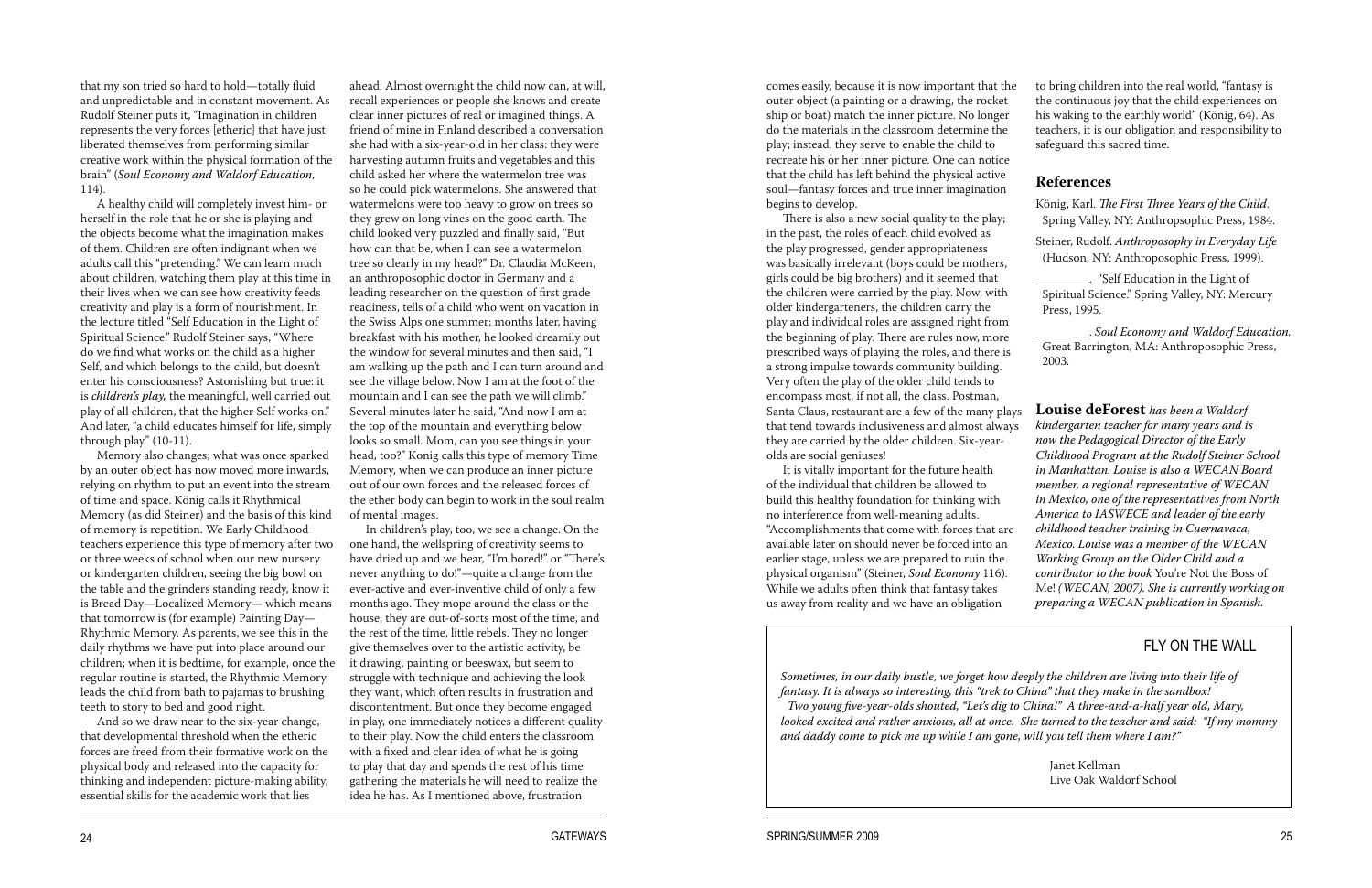that my son tried so hard to hold—totally fluid and unpredictable and in constant movement. As Rudolf Steiner puts it, "Imagination in children represents the very forces [etheric] that have just liberated themselves from performing similar creative work within the physical formation of the brain" (*Soul Economy and Waldorf Education*, 114).

A healthy child will completely invest him- or herself in the role that he or she is playing and the objects become what the imagination makes of them. Children are often indignant when we adults call this "pretending." We can learn much about children, watching them play at this time in their lives when we can see how creativity feeds creativity and play is a form of nourishment. In the lecture titled "Self Education in the Light of Spiritual Science," Rudolf Steiner says, "Where do we find what works on the child as a higher Self, and which belongs to the child, but doesn't enter his consciousness? Astonishing but true: it is *children's play,* the meaningful, well carried out play of all children, that the higher Self works on." And later, "a child educates himself for life, simply through play" (10-11).

Memory also changes; what was once sparked by an outer object has now moved more inwards, relying on rhythm to put an event into the stream of time and space. König calls it Rhythmical Memory (as did Steiner) and the basis of this kind of memory is repetition. We Early Childhood teachers experience this type of memory after two or three weeks of school when our new nursery or kindergarten children, seeing the big bowl on the table and the grinders standing ready, know it is Bread Day—Localized Memory— which means that tomorrow is (for example) Painting Day— Rhythmic Memory. As parents, we see this in the daily rhythms we have put into place around our children; when it is bedtime, for example, once the regular routine is started, the Rhythmic Memory leads the child from bath to pajamas to brushing teeth to story to bed and good night.

And so we draw near to the six-year change, that developmental threshold when the etheric forces are freed from their formative work on the physical body and released into the capacity for thinking and independent picture-making ability, essential skills for the academic work that lies

ahead. Almost overnight the child now can, at will, recall experiences or people she knows and create clear inner pictures of real or imagined things. A friend of mine in Finland described a conversation she had with a six-year-old in her class: they were harvesting autumn fruits and vegetables and this child asked her where the watermelon tree was so he could pick watermelons. She answered that watermelons were too heavy to grow on trees so they grew on long vines on the good earth. The child looked very puzzled and finally said, "But how can that be, when I can see a watermelon tree so clearly in my head?" Dr. Claudia McKeen, an anthroposophic doctor in Germany and a leading researcher on the question of first grade readiness, tells of a child who went on vacation in the Swiss Alps one summer; months later, having breakfast with his mother, he looked dreamily out the window for several minutes and then said, "I am walking up the path and I can turn around and see the village below. Now I am at the foot of the mountain and I can see the path we will climb." Several minutes later he said, "And now I am at the top of the mountain and everything below looks so small. Mom, can you see things in your head, too?" Konig calls this type of memory Time Memory, when we can produce an inner picture out of our own forces and the released forces of the ether body can begin to work in the soul realm of mental images.

In children's play, too, we see a change. On the one hand, the wellspring of creativity seems to have dried up and we hear, "I'm bored!" or "There's never anything to do!"—quite a change from the ever-active and ever-inventive child of only a few months ago. They mope around the class or the house, they are out-of-sorts most of the time, and the rest of the time, little rebels. They no longer give themselves over to the artistic activity, be it drawing, painting or beeswax, but seem to struggle with technique and achieving the look they want, which often results in frustration and discontentment. But once they become engaged in play, one immediately notices a different quality to their play. Now the child enters the classroom with a fixed and clear idea of what he is going to play that day and spends the rest of his time gathering the materials he will need to realize the idea he has. As I mentioned above, frustration

comes easily, because it is now important that the outer object (a painting or a drawing, the rocket ship or boat) match the inner picture. No longer do the materials in the classroom determine the play; instead, they serve to enable the child to recreate his or her inner picture. One can notice that the child has left behind the physical active soul—fantasy forces and true inner imagination begins to develop.

There is also a new social quality to the play; in the past, the roles of each child evolved as the play progressed, gender appropriateness was basically irrelevant (boys could be mothers, girls could be big brothers) and it seemed that the children were carried by the play. Now, with older kindergarteners, the children carry the play and individual roles are assigned right from the beginning of play. There are rules now, more prescribed ways of playing the roles, and there is a strong impulse towards community building. Very often the play of the older child tends to encompass most, if not all, the class. Postman,

to bring children into the real world, "fantasy is the continuous joy that the child experiences on his waking to the earthly world" (König, 64). As teachers, it is our obligation and responsibility to safeguard this sacred time.

#### **References**

Santa Claus, restaurant are a few of the many plays that tend towards inclusiveness and almost always they are carried by the older children. Six-yearolds are social geniuses! It is vitally important for the future health of the individual that children be allowed to build this healthy foundation for thinking with no interference from well-meaning adults. "Accomplishments that come with forces that are available later on should never be forced into an earlier stage, unless we are prepared to ruin the physical organism" (Steiner, *Soul Economy* 116). While we adults often think that fantasy takes us away from reality and we have an obligation **Louise deForest** *has been a Waldorf kindergarten teacher for many years and is now the Pedagogical Director of the Early Childhood Program at the Rudolf Steiner School in Manhattan. Louise is also a WECAN Board member, a regional representative of WECAN in Mexico, one of the representatives from North America to IASWECE and leader of the early childhood teacher training in Cuernavaca, Mexico. Louise was a member of the WECAN Working Group on the Older Child and a contributor to the book* You're Not the Boss of Me! *(WECAN, 2007). She is currently working on preparing a WECAN publication in Spanish.*

- König, Karl. *The First Three Years of the Child*. Spring Valley, NY: Anthropsophic Press, 1984.
- Steiner, Rudolf. *Anthroposophy in Everyday Life* (Hudson, NY: Anthroposophic Press, 1999).

\_\_\_\_\_\_\_\_\_. "Self Education in the Light of Spiritual Science." Spring Valley, NY: Mercury Press, 1995.

\_\_\_\_\_\_\_\_\_. *Soul Economy and Waldorf Education.*  Great Barrington, MA: Anthroposophic Press, 2003.

## **FLY ON THE WALL**

*Sometimes, in our daily bustle, we forget how deeply the children are living into their life of fantasy. It is always so interesting, this "trek to China" that they make in the sandbox! Two young five-year-olds shouted, "Let's dig to China!" A three-and-a-half year old, Mary, looked excited and rather anxious, all at once. She turned to the teacher and said: "If my mommy and daddy come to pick me up while I am gone, will you tell them where I am?"*

Janet Kellman Live Oak Waldorf School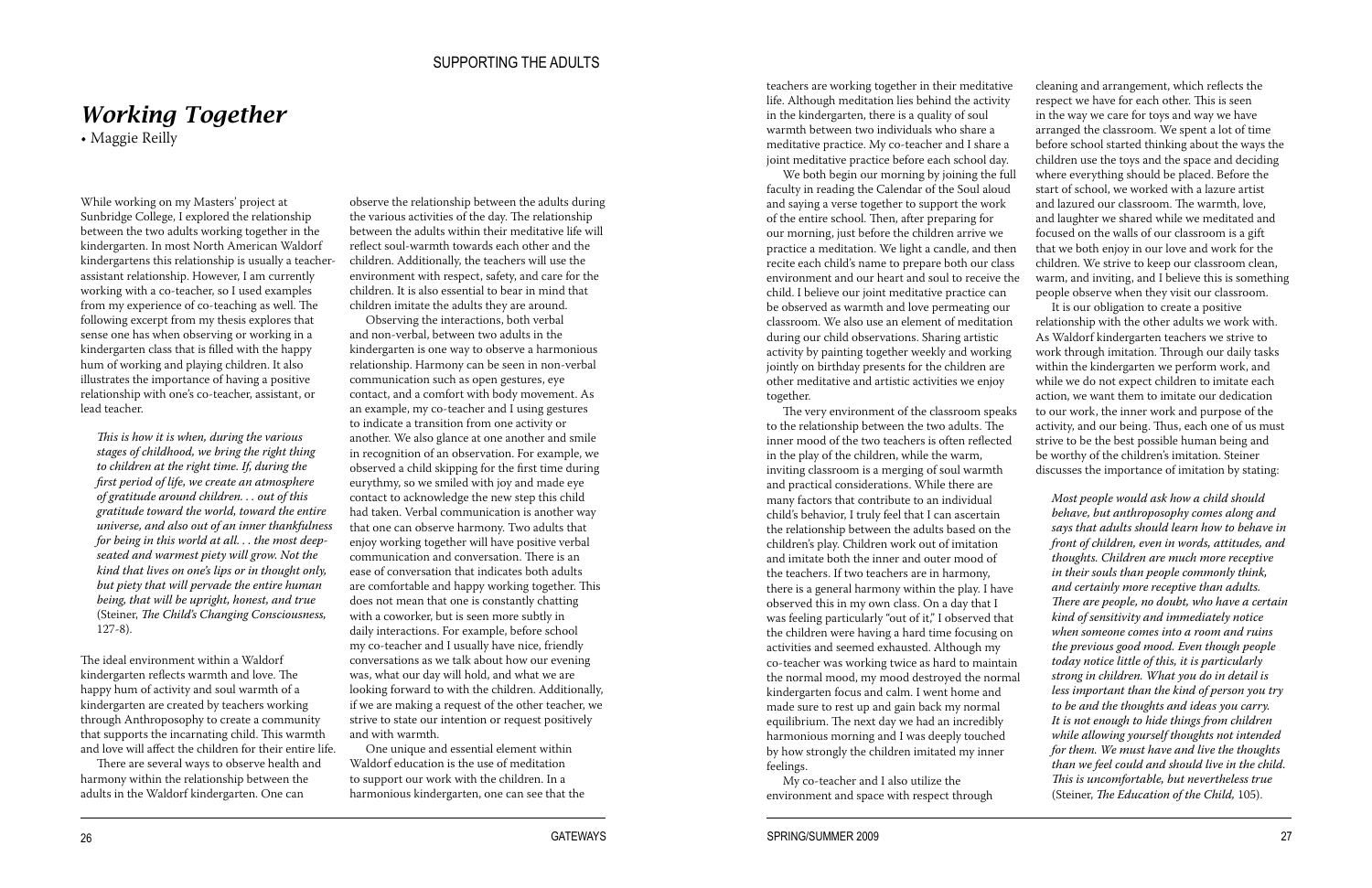# *Working Together*

• Maggie Reilly

While working on my Masters' project at Sunbridge College, I explored the relationship between the two adults working together in the kindergarten. In most North American Waldorf kindergartens this relationship is usually a teacherassistant relationship. However, I am currently working with a co-teacher, so I used examples from my experience of co-teaching as well. The following excerpt from my thesis explores that sense one has when observing or working in a kindergarten class that is filled with the happy hum of working and playing children. It also illustrates the importance of having a positive relationship with one's co-teacher, assistant, or lead teacher.

*This is how it is when, during the various stages of childhood, we bring the right thing to children at the right time. If, during the first period of life, we create an atmosphere of gratitude around children. . . out of this gratitude toward the world, toward the entire universe, and also out of an inner thankfulness for being in this world at all. . . the most deepseated and warmest piety will grow. Not the kind that lives on one's lips or in thought only, but piety that will pervade the entire human being, that will be upright, honest, and true*  (Steiner, *The Child's Changing Consciousness,*  127-8).

The ideal environment within a Waldorf kindergarten reflects warmth and love. The happy hum of activity and soul warmth of a kindergarten are created by teachers working through Anthroposophy to create a community that supports the incarnating child. This warmth and love will affect the children for their entire life.

There are several ways to observe health and harmony within the relationship between the adults in the Waldorf kindergarten. One can

observe the relationship between the adults during the various activities of the day. The relationship between the adults within their meditative life will reflect soul-warmth towards each other and the children. Additionally, the teachers will use the environment with respect, safety, and care for the children. It is also essential to bear in mind that children imitate the adults they are around.

Observing the interactions, both verbal and non-verbal, between two adults in the kindergarten is one way to observe a harmonious relationship. Harmony can be seen in non-verbal communication such as open gestures, eye contact, and a comfort with body movement. As an example, my co-teacher and I using gestures to indicate a transition from one activity or another. We also glance at one another and smile in recognition of an observation. For example, we observed a child skipping for the first time during eurythmy, so we smiled with joy and made eye contact to acknowledge the new step this child had taken. Verbal communication is another way that one can observe harmony. Two adults that enjoy working together will have positive verbal communication and conversation. There is an ease of conversation that indicates both adults are comfortable and happy working together. This does not mean that one is constantly chatting with a coworker, but is seen more subtly in daily interactions. For example, before school my co-teacher and I usually have nice, friendly conversations as we talk about how our evening was, what our day will hold, and what we are looking forward to with the children. Additionally, if we are making a request of the other teacher, we strive to state our intention or request positively and with warmth.

One unique and essential element within Waldorf education is the use of meditation to support our work with the children. In a harmonious kindergarten, one can see that the life. Although meditation lies behind the activity in the kindergarten, there is a quality of soul warmth between two individuals who share a meditative practice. My co-teacher and I share a joint meditative practice before each school day. faculty in reading the Calendar of the Soul aloud and saying a verse together to support the work of the entire school. Then, after preparing for our morning, just before the children arrive we practice a meditation. We light a candle, and then recite each child's name to prepare both our class environment and our heart and soul to receive the child. I believe our joint meditative practice can be observed as warmth and love permeating our classroom. We also use an element of meditation during our child observations. Sharing artistic activity by painting together weekly and working jointly on birthday presents for the children are other meditative and artistic activities we enjoy together. to the relationship between the two adults. The inner mood of the two teachers is often reflected

teachers are working together in their meditative We both begin our morning by joining the full The very environment of the classroom speaks cleaning and arrangement, which reflects the respect we have for each other. This is seen in the way we care for toys and way we have arranged the classroom. We spent a lot of time before school started thinking about the ways the children use the toys and the space and deciding where everything should be placed. Before the start of school, we worked with a lazure artist and lazured our classroom. The warmth, love, and laughter we shared while we meditated and focused on the walls of our classroom is a gift that we both enjoy in our love and work for the children. We strive to keep our classroom clean, warm, and inviting, and I believe this is something people observe when they visit our classroom. It is our obligation to create a positive relationship with the other adults we work with. As Waldorf kindergarten teachers we strive to work through imitation. Through our daily tasks within the kindergarten we perform work, and while we do not expect children to imitate each action, we want them to imitate our dedication to our work, the inner work and purpose of the activity, and our being. Thus, each one of us must strive to be the best possible human being and

in the play of the children, while the warm, inviting classroom is a merging of soul warmth and practical considerations. While there are many factors that contribute to an individual child's behavior, I truly feel that I can ascertain the relationship between the adults based on the children's play. Children work out of imitation and imitate both the inner and outer mood of the teachers. If two teachers are in harmony, there is a general harmony within the play. I have observed this in my own class. On a day that I was feeling particularly "out of it," I observed that the children were having a hard time focusing on activities and seemed exhausted. Although my co-teacher was working twice as hard to maintain the normal mood, my mood destroyed the normal kindergarten focus and calm. I went home and made sure to rest up and gain back my normal equilibrium. The next day we had an incredibly harmonious morning and I was deeply touched by how strongly the children imitated my inner feelings. My co-teacher and I also utilize the environment and space with respect through be worthy of the children's imitation. Steiner discusses the importance of imitation by stating: *Most people would ask how a child should behave, but anthroposophy comes along and says that adults should learn how to behave in front of children, even in words, attitudes, and thoughts. Children are much more receptive in their souls than people commonly think, and certainly more receptive than adults. There are people, no doubt, who have a certain kind of sensitivity and immediately notice when someone comes into a room and ruins the previous good mood. Even though people today notice little of this, it is particularly strong in children. What you do in detail is less important than the kind of person you try to be and the thoughts and ideas you carry. It is not enough to hide things from children while allowing yourself thoughts not intended for them. We must have and live the thoughts than we feel could and should live in the child. This is uncomfortable, but nevertheless true*  (Steiner, *The Education of the Child,* 105).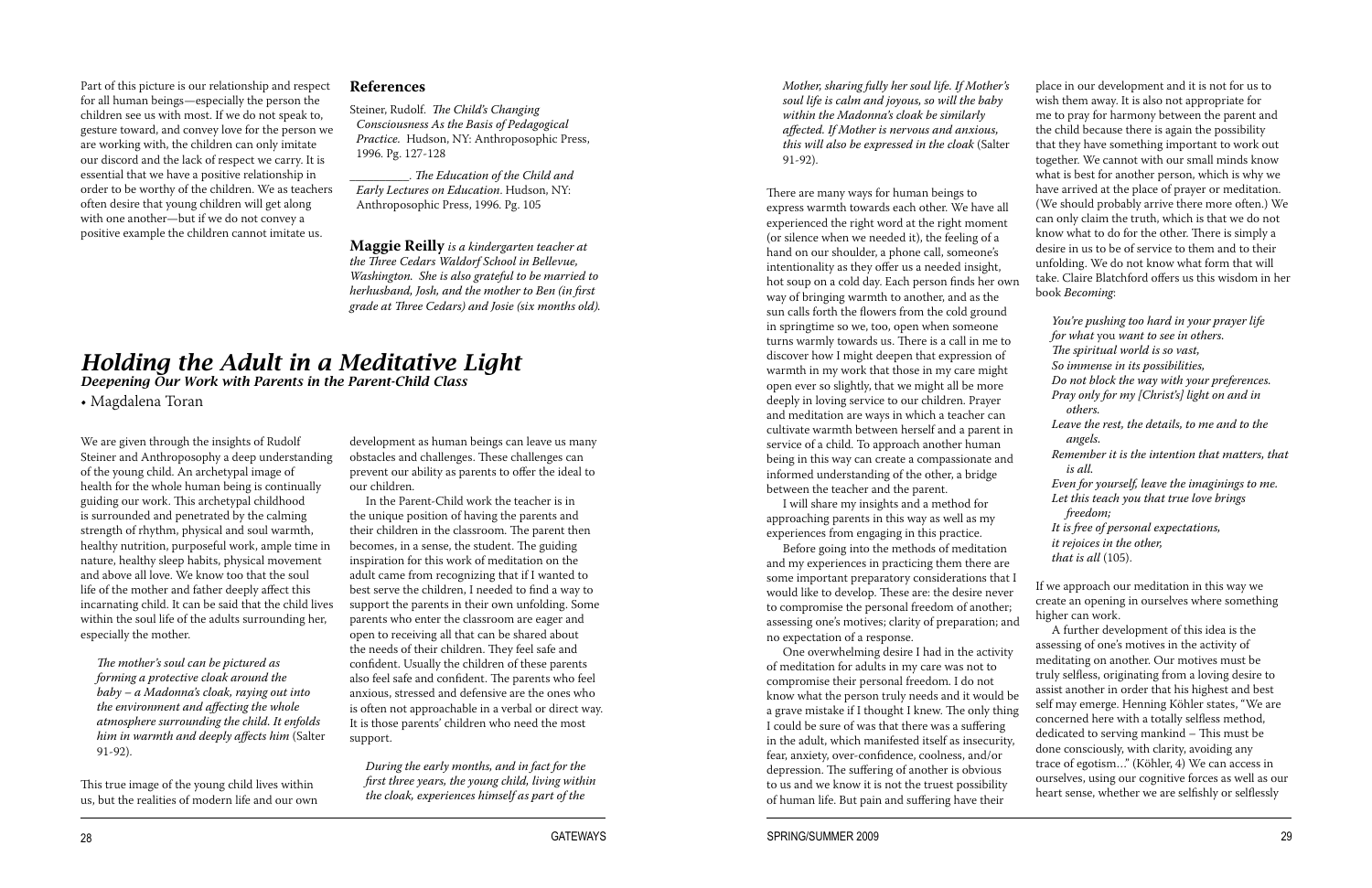Part of this picture is our relationship and respect for all human beings—especially the person the children see us with most. If we do not speak to, gesture toward, and convey love for the person we are working with, the children can only imitate our discord and the lack of respect we carry. It is essential that we have a positive relationship in order to be worthy of the children. We as teachers often desire that young children will get along with one another—but if we do not convey a positive example the children cannot imitate us.

#### **References**

Steiner, Rudolf. *The Child's Changing Consciousness As the Basis of Pedagogical Practice.* Hudson, NY: Anthroposophic Press, 1996. Pg. 127-128

\_\_\_\_\_\_\_\_\_\_. *The Education of the Child and Early Lectures on Education*. Hudson, NY: Anthroposophic Press, 1996. Pg. 105

**Maggie Reilly** *is a kindergarten teacher at the Three Cedars Waldorf School in Bellevue, Washington. She is also grateful to be married to herhusband, Josh, and the mother to Ben (in first grade at Three Cedars) and Josie (six months old).*

# *Holding the Adult in a Meditative Light Deepening Our Work with Parents in the Parent-Child Class*

• Magdalena Toran

We are given through the insights of Rudolf Steiner and Anthroposophy a deep understanding of the young child. An archetypal image of health for the whole human being is continually guiding our work. This archetypal childhood is surrounded and penetrated by the calming strength of rhythm, physical and soul warmth, healthy nutrition, purposeful work, ample time in nature, healthy sleep habits, physical movement and above all love. We know too that the soul life of the mother and father deeply affect this incarnating child. It can be said that the child lives within the soul life of the adults surrounding her, especially the mother.

*The mother's soul can be pictured as forming a protective cloak around the baby – a Madonna's cloak, raying out into the environment and affecting the whole atmosphere surrounding the child. It enfolds him in warmth and deeply affects him* (Salter 91-92).

This true image of the young child lives within us, but the realities of modern life and our own development as human beings can leave us many obstacles and challenges. These challenges can prevent our ability as parents to offer the ideal to our children.

In the Parent-Child work the teacher is in the unique position of having the parents and their children in the classroom. The parent then becomes, in a sense, the student. The guiding inspiration for this work of meditation on the adult came from recognizing that if I wanted to best serve the children, I needed to find a way to support the parents in their own unfolding. Some parents who enter the classroom are eager and open to receiving all that can be shared about the needs of their children. They feel safe and confident. Usually the children of these parents also feel safe and confident. The parents who feel anxious, stressed and defensive are the ones who is often not approachable in a verbal or direct way. It is those parents' children who need the most support.

*During the early months, and in fact for the first three years, the young child, living within the cloak, experiences himself as part of the* 

There are many ways for human beings to express warmth towards each other. We have all experienced the right word at the right moment (or silence when we needed it), the feeling of a hand on our shoulder, a phone call, someone's intentionality as they offer us a needed insight, hot soup on a cold day. Each person finds her own way of bringing warmth to another, and as the sun calls forth the flowers from the cold ground in springtime so we, too, open when someone turns warmly towards us. There is a call in me to discover how I might deepen that expression of warmth in my work that those in my care might open ever so slightly, that we might all be more deeply in loving service to our children. Prayer and meditation are ways in which a teacher can cultivate warmth between herself and a parent in service of a child. To approach another human being in this way can create a compassionate and informed understanding of the other, a bridge between the teacher and the parent.

I will share my insights and a method for approaching parents in this way as well as my experiences from engaging in this practice.

*Mother, sharing fully her soul life. If Mother's soul life is calm and joyous, so will the baby within the Madonna's cloak be similarly affected. If Mother is nervous and anxious, this will also be expressed in the cloak* (Salter 91-92). place in our development and it is not for us to wish them away. It is also not appropriate for me to pray for harmony between the parent and the child because there is again the possibility that they have something important to work out together. We cannot with our small minds know what is best for another person, which is why we have arrived at the place of prayer or meditation. (We should probably arrive there more often.) We can only claim the truth, which is that we do not know what to do for the other. There is simply a desire in us to be of service to them and to their unfolding. We do not know what form that will take. Claire Blatchford offers us this wisdom in her book *Becoming*:

Before going into the methods of meditation and my experiences in practicing them there are some important preparatory considerations that I would like to develop. These are: the desire never to compromise the personal freedom of another; assessing one's motives; clarity of preparation; and *that is all* (105). If we approach our meditation in this way we create an opening in ourselves where something higher can work. A further development of this idea is the

no expectation of a response. One overwhelming desire I had in the activity of meditation for adults in my care was not to compromise their personal freedom. I do not know what the person truly needs and it would be a grave mistake if I thought I knew. The only thing I could be sure of was that there was a suffering in the adult, which manifested itself as insecurity, fear, anxiety, over-confidence, coolness, and/or depression. The suffering of another is obvious to us and we know it is not the truest possibility of human life. But pain and suffering have their assessing of one's motives in the activity of meditating on another. Our motives must be truly selfless, originating from a loving desire to assist another in order that his highest and best self may emerge. Henning Köhler states, "We are concerned here with a totally selfless method, dedicated to serving mankind – This must be done consciously, with clarity, avoiding any trace of egotism…" (Köhler, 4) We can access in ourselves, using our cognitive forces as well as our heart sense, whether we are selfishly or selflessly

*You're pushing too hard in your prayer life for what* you *want to see in others. The spiritual world is so vast, So immense in its possibilities, Do not block the way with your preferences. Pray only for my [Christ's] light on and in others. Leave the rest, the details, to me and to the angels. Remember it is the intention that matters, that is all. Even for yourself, leave the imaginings to me. Let this teach you that true love brings freedom; It is free of personal expectations, it rejoices in the other,*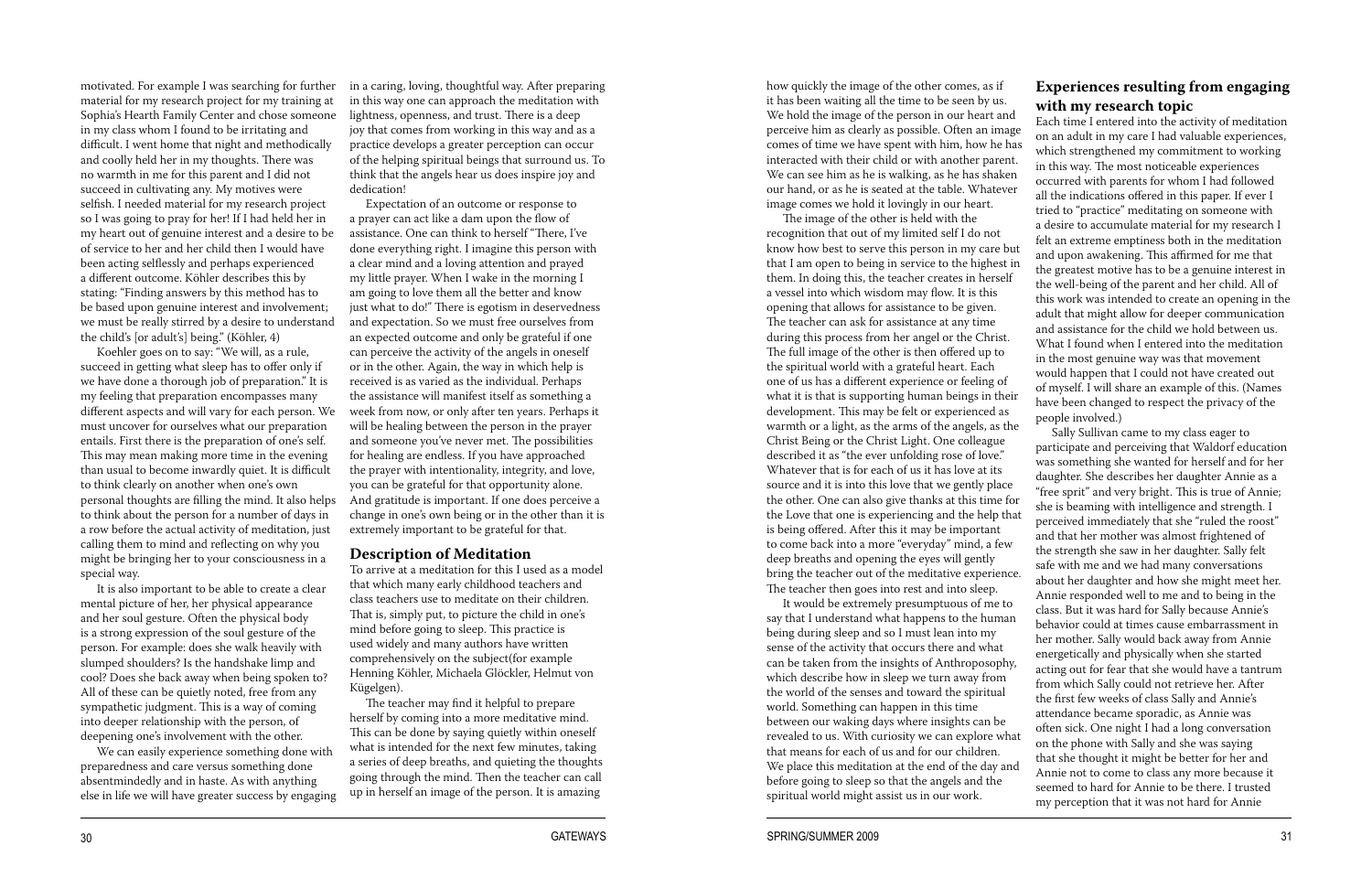motivated. For example I was searching for further material for my research project for my training at Sophia's Hearth Family Center and chose someone in my class whom I found to be irritating and difficult. I went home that night and methodically and coolly held her in my thoughts. There was no warmth in me for this parent and I did not succeed in cultivating any. My motives were selfish. I needed material for my research project so I was going to pray for her! If I had held her in my heart out of genuine interest and a desire to be of service to her and her child then I would have been acting selflessly and perhaps experienced a different outcome. Köhler describes this by stating: "Finding answers by this method has to be based upon genuine interest and involvement; we must be really stirred by a desire to understand the child's [or adult's] being." (Köhler, 4)

Koehler goes on to say: "We will, as a rule, succeed in getting what sleep has to offer only if we have done a thorough job of preparation." It is my feeling that preparation encompasses many different aspects and will vary for each person. We must uncover for ourselves what our preparation entails. First there is the preparation of one's self. This may mean making more time in the evening than usual to become inwardly quiet. It is difficult to think clearly on another when one's own personal thoughts are filling the mind. It also helps to think about the person for a number of days in a row before the actual activity of meditation, just calling them to mind and reflecting on why you might be bringing her to your consciousness in a special way.

It is also important to be able to create a clear mental picture of her, her physical appearance and her soul gesture. Often the physical body is a strong expression of the soul gesture of the person. For example: does she walk heavily with slumped shoulders? Is the handshake limp and cool? Does she back away when being spoken to? All of these can be quietly noted, free from any sympathetic judgment. This is a way of coming into deeper relationship with the person, of deepening one's involvement with the other.

We can easily experience something done with preparedness and care versus something done absentmindedly and in haste. As with anything else in life we will have greater success by engaging

in a caring, loving, thoughtful way. After preparing in this way one can approach the meditation with lightness, openness, and trust. There is a deep joy that comes from working in this way and as a practice develops a greater perception can occur of the helping spiritual beings that surround us. To think that the angels hear us does inspire joy and dedication!

Expectation of an outcome or response to a prayer can act like a dam upon the flow of assistance. One can think to herself "There, I've done everything right. I imagine this person with a clear mind and a loving attention and prayed my little prayer. When I wake in the morning I am going to love them all the better and know just what to do!" There is egotism in deservedness and expectation. So we must free ourselves from an expected outcome and only be grateful if one can perceive the activity of the angels in oneself or in the other. Again, the way in which help is received is as varied as the individual. Perhaps the assistance will manifest itself as something a week from now, or only after ten years. Perhaps it will be healing between the person in the prayer and someone you've never met. The possibilities for healing are endless. If you have approached the prayer with intentionality, integrity, and love, you can be grateful for that opportunity alone. And gratitude is important. If one does perceive a change in one's own being or in the other than it is extremely important to be grateful for that.

#### **Description of Meditation**

To arrive at a meditation for this I used as a model that which many early childhood teachers and class teachers use to meditate on their children. That is, simply put, to picture the child in one's mind before going to sleep. This practice is used widely and many authors have written comprehensively on the subject(for example Henning Köhler, Michaela Glöckler, Helmut von Kügelgen).

The teacher may find it helpful to prepare herself by coming into a more meditative mind. This can be done by saying quietly within oneself what is intended for the next few minutes, taking a series of deep breaths, and quieting the thoughts going through the mind. Then the teacher can call up in herself an image of the person. It is amazing

how quickly the image of the other comes, as if it has been waiting all the time to be seen by us. We hold the image of the person in our heart and perceive him as clearly as possible. Often an image comes of time we have spent with him, how he has interacted with their child or with another parent. We can see him as he is walking, as he has shaken our hand, or as he is seated at the table. Whatever image comes we hold it lovingly in our heart.

The image of the other is held with the recognition that out of my limited self I do not know how best to serve this person in my care but that I am open to being in service to the highest in them. In doing this, the teacher creates in herself a vessel into which wisdom may flow. It is this opening that allows for assistance to be given. The teacher can ask for assistance at any time during this process from her angel or the Christ. The full image of the other is then offered up to the spiritual world with a grateful heart. Each one of us has a different experience or feeling of what it is that is supporting human beings in their development. This may be felt or experienced as warmth or a light, as the arms of the angels, as the

### **Experiences resulting from engaging with my research topic**

Christ Being or the Christ Light. One colleague described it as "the ever unfolding rose of love." Whatever that is for each of us it has love at its source and it is into this love that we gently place the other. One can also give thanks at this time for the Love that one is experiencing and the help that is being offered. After this it may be important to come back into a more "everyday" mind, a few deep breaths and opening the eyes will gently bring the teacher out of the meditative experience. The teacher then goes into rest and into sleep. It would be extremely presumptuous of me to say that I understand what happens to the human being during sleep and so I must lean into my sense of the activity that occurs there and what can be taken from the insights of Anthroposophy, which describe how in sleep we turn away from the world of the senses and toward the spiritual world. Something can happen in this time between our waking days where insights can be revealed to us. With curiosity we can explore what that means for each of us and for our children. We place this meditation at the end of the day and before going to sleep so that the angels and the spiritual world might assist us in our work. Sally Sullivan came to my class eager to participate and perceiving that Waldorf education was something she wanted for herself and for her daughter. She describes her daughter Annie as a "free sprit" and very bright. This is true of Annie; she is beaming with intelligence and strength. I perceived immediately that she "ruled the roost" and that her mother was almost frightened of the strength she saw in her daughter. Sally felt safe with me and we had many conversations about her daughter and how she might meet her. Annie responded well to me and to being in the class. But it was hard for Sally because Annie's behavior could at times cause embarrassment in her mother. Sally would back away from Annie energetically and physically when she started acting out for fear that she would have a tantrum from which Sally could not retrieve her. After the first few weeks of class Sally and Annie's attendance became sporadic, as Annie was often sick. One night I had a long conversation on the phone with Sally and she was saying that she thought it might be better for her and Annie not to come to class any more because it seemed to hard for Annie to be there. I trusted my perception that it was not hard for Annie

Each time I entered into the activity of meditation on an adult in my care I had valuable experiences, which strengthened my commitment to working in this way. The most noticeable experiences occurred with parents for whom I had followed all the indications offered in this paper. If ever I tried to "practice" meditating on someone with a desire to accumulate material for my research I felt an extreme emptiness both in the meditation and upon awakening. This affirmed for me that the greatest motive has to be a genuine interest in the well-being of the parent and her child. All of this work was intended to create an opening in the adult that might allow for deeper communication and assistance for the child we hold between us. What I found when I entered into the meditation in the most genuine way was that movement would happen that I could not have created out of myself. I will share an example of this. (Names have been changed to respect the privacy of the people involved.)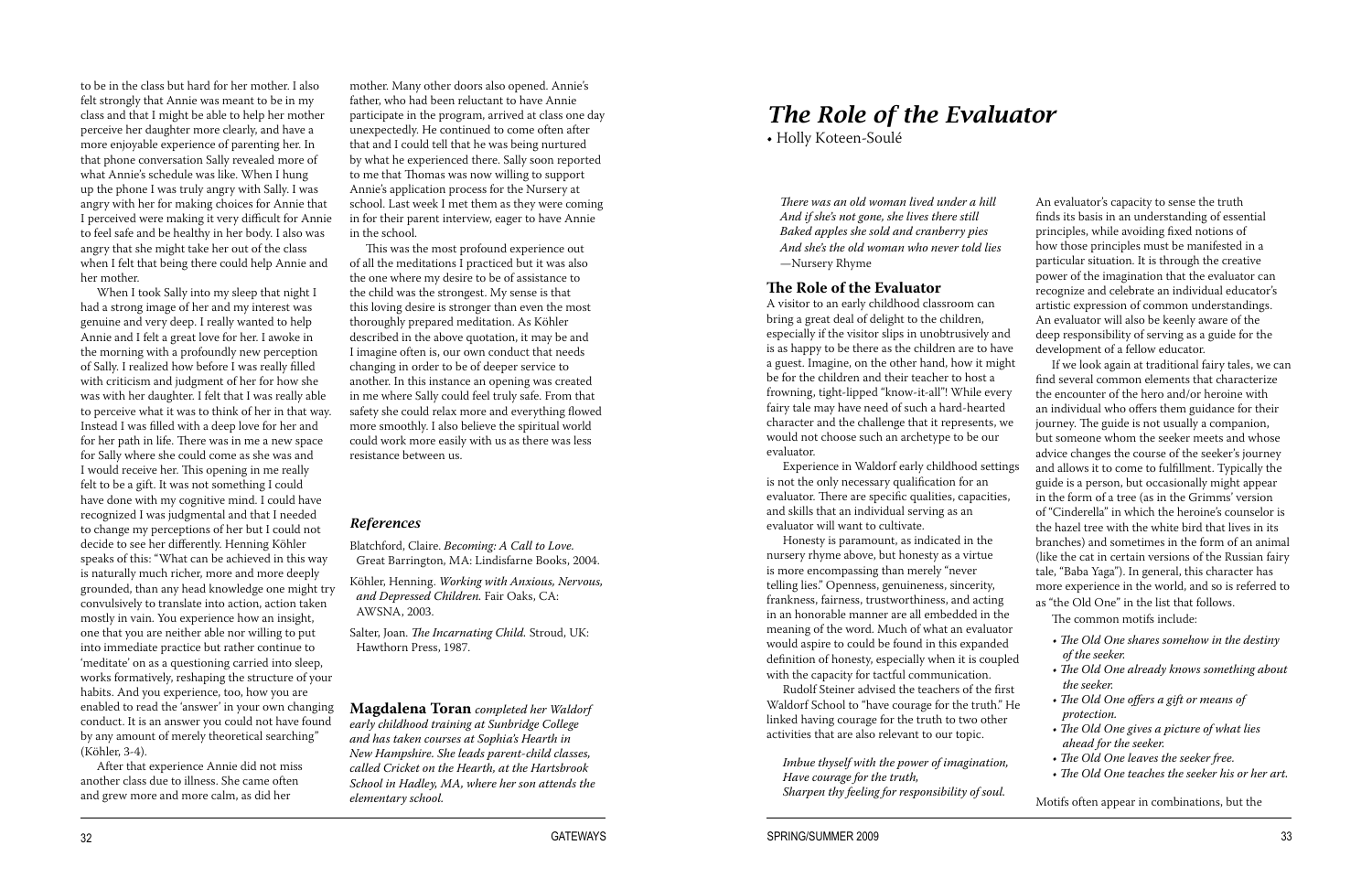to be in the class but hard for her mother. I also felt strongly that Annie was meant to be in my class and that I might be able to help her mother perceive her daughter more clearly, and have a more enjoyable experience of parenting her. In that phone conversation Sally revealed more of what Annie's schedule was like. When I hung up the phone I was truly angry with Sally. I was angry with her for making choices for Annie that I perceived were making it very difficult for Annie to feel safe and be healthy in her body. I also was angry that she might take her out of the class when I felt that being there could help Annie and her mother.

When I took Sally into my sleep that night I had a strong image of her and my interest was genuine and very deep. I really wanted to help Annie and I felt a great love for her. I awoke in the morning with a profoundly new perception of Sally. I realized how before I was really filled with criticism and judgment of her for how she was with her daughter. I felt that I was really able to perceive what it was to think of her in that way. Instead I was filled with a deep love for her and for her path in life. There was in me a new space for Sally where she could come as she was and I would receive her. This opening in me really felt to be a gift. It was not something I could have done with my cognitive mind. I could have recognized I was judgmental and that I needed to change my perceptions of her but I could not decide to see her differently. Henning Köhler speaks of this: "What can be achieved in this way is naturally much richer, more and more deeply grounded, than any head knowledge one might try convulsively to translate into action, action taken mostly in vain. You experience how an insight, one that you are neither able nor willing to put into immediate practice but rather continue to 'meditate' on as a questioning carried into sleep, works formatively, reshaping the structure of your habits. And you experience, too, how you are enabled to read the 'answer' in your own changing conduct. It is an answer you could not have found by any amount of merely theoretical searching" (Köhler, 3-4).

After that experience Annie did not miss another class due to illness. She came often and grew more and more calm, as did her

mother. Many other doors also opened. Annie's father, who had been reluctant to have Annie participate in the program, arrived at class one day unexpectedly. He continued to come often after that and I could tell that he was being nurtured by what he experienced there. Sally soon reported to me that Thomas was now willing to support Annie's application process for the Nursery at school. Last week I met them as they were coming in for their parent interview, eager to have Annie in the school.

This was the most profound experience out of all the meditations I practiced but it was also the one where my desire to be of assistance to the child was the strongest. My sense is that this loving desire is stronger than even the most thoroughly prepared meditation. As Köhler described in the above quotation, it may be and I imagine often is, our own conduct that needs changing in order to be of deeper service to another. In this instance an opening was created in me where Sally could feel truly safe. From that safety she could relax more and everything flowed more smoothly. I also believe the spiritual world could work more easily with us as there was less resistance between us.

#### *References*

Blatchford, Claire. *Becoming: A Call to Love.* Great Barrington, MA: Lindisfarne Books, 2004.

Köhler, Henning. *Working with Anxious, Nervous, and Depressed Children.* Fair Oaks, CA: AWSNA, 2003.

Salter, Joan. *The Incarnating Child.* Stroud, UK: Hawthorn Press, 1987.

**Magdalena Toran** *completed her Waldorf early childhood training at Sunbridge College and has taken courses at Sophia's Hearth in New Hampshire. She leads parent-child classes, called Cricket on the Hearth, at the Hartsbrook School in Hadley, MA, where her son attends the elementary school.*

# *The Role of the Evaluator*

• Holly Koteen-Soulé

*There was an old woman lived under a hill And if she's not gone, she lives there still Baked apples she sold and cranberry pies And she's the old woman who never told lies* —Nursery Rhyme

#### **The Role of the Evaluator**

A visitor to an early childhood classroom can bring a great deal of delight to the children, especially if the visitor slips in unobtrusively and is as happy to be there as the children are to have a guest. Imagine, on the other hand, how it might

in an honorable manner are all embedded in the meaning of the word. Much of what an evaluator would aspire to could be found in this expanded definition of honesty, especially when it is coupled with the capacity for tactful communication.

Rudolf Steiner advised the teachers of the first Waldorf School to "have courage for the truth." He linked having courage for the truth to two other activities that are also relevant to our topic.

*Imbue thyself with the power of imagination, Have courage for the truth, Sharpen thy feeling for responsibility of soul.*

be for the children and their teacher to host a frowning, tight-lipped "know-it-all"! While every fairy tale may have need of such a hard-hearted character and the challenge that it represents, we would not choose such an archetype to be our evaluator. Experience in Waldorf early childhood settings is not the only necessary qualification for an evaluator. There are specific qualities, capacities, and skills that an individual serving as an evaluator will want to cultivate. Honesty is paramount, as indicated in the nursery rhyme above, but honesty as a virtue is more encompassing than merely "never telling lies." Openness, genuineness, sincerity, frankness, fairness, trustworthiness, and acting If we look again at traditional fairy tales, we can find several common elements that characterize the encounter of the hero and/or heroine with an individual who offers them guidance for their journey. The guide is not usually a companion, but someone whom the seeker meets and whose advice changes the course of the seeker's journey and allows it to come to fulfillment. Typically the guide is a person, but occasionally might appear in the form of a tree (as in the Grimms' version of "Cinderella" in which the heroine's counselor is the hazel tree with the white bird that lives in its branches) and sometimes in the form of an animal (like the cat in certain versions of the Russian fairy tale, "Baba Yaga"). In general, this character has more experience in the world, and so is referred to as "the Old One" in the list that follows.

An evaluator's capacity to sense the truth finds its basis in an understanding of essential principles, while avoiding fixed notions of how those principles must be manifested in a particular situation. It is through the creative power of the imagination that the evaluator can recognize and celebrate an individual educator's artistic expression of common understandings. An evaluator will also be keenly aware of the deep responsibility of serving as a guide for the development of a fellow educator.

The common motifs include:

*• The Old One shares somehow in the destiny of the seeker.* 

- *The Old One already knows something about the seeker.*
- *The Old One offers a gift or means of protection.*

- *The Old One gives a picture of what lies ahead for the seeker.*
- *The Old One leaves the seeker free.*
- *The Old One teaches the seeker his or her art.*

Motifs often appear in combinations, but the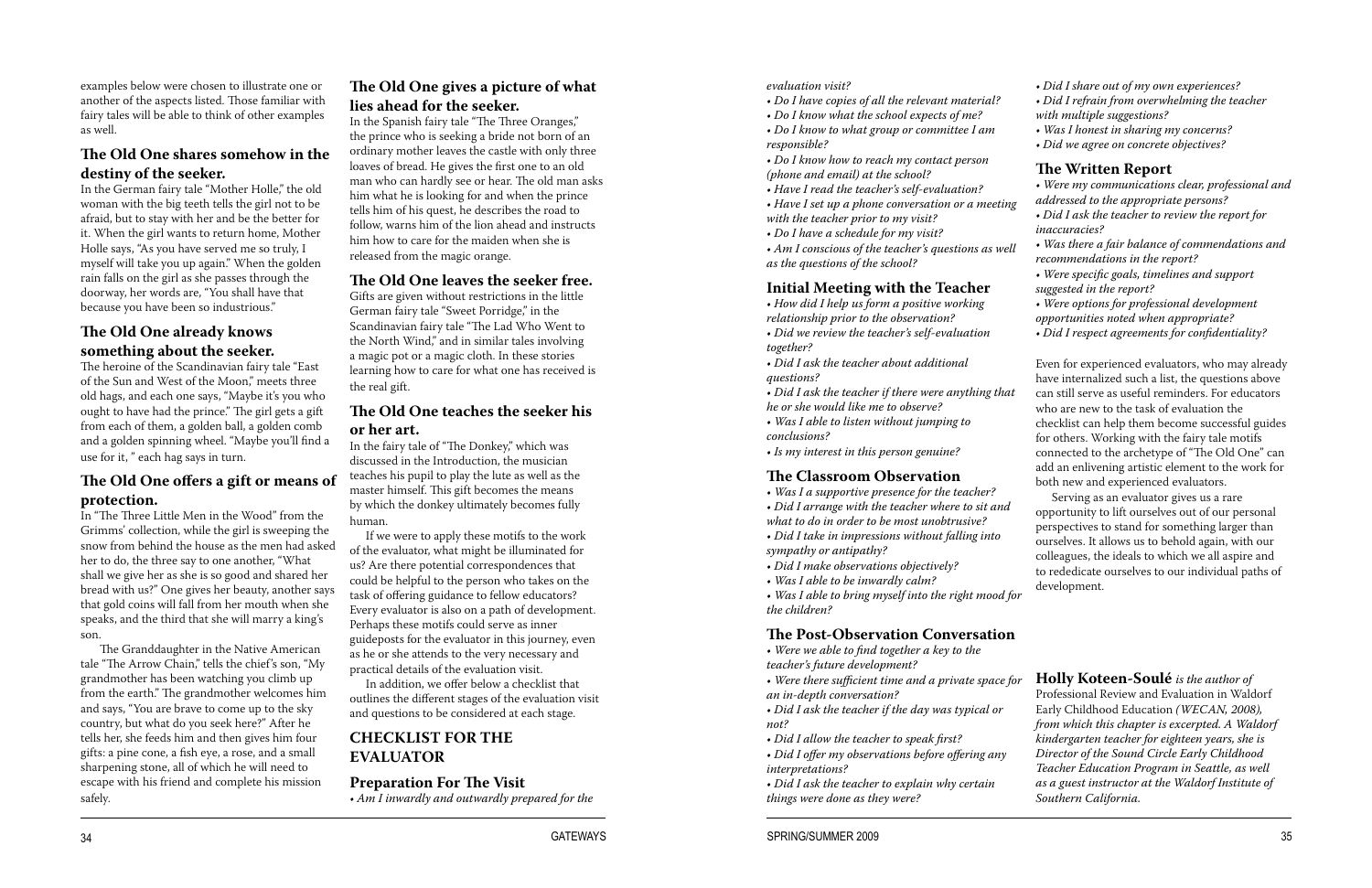examples below were chosen to illustrate one or another of the aspects listed. Those familiar with fairy tales will be able to think of other examples as well.

## **The Old One shares somehow in the destiny of the seeker.**

In the German fairy tale "Mother Holle," the old woman with the big teeth tells the girl not to be afraid, but to stay with her and be the better for it. When the girl wants to return home, Mother Holle says, "As you have served me so truly, I myself will take you up again." When the golden rain falls on the girl as she passes through the doorway, her words are, "You shall have that because you have been so industrious."

# **The Old One already knows something about the seeker.**

The heroine of the Scandinavian fairy tale "East of the Sun and West of the Moon," meets three old hags, and each one says, "Maybe it's you who ought to have had the prince." The girl gets a gift from each of them, a golden ball, a golden comb and a golden spinning wheel. "Maybe you'll find a use for it, " each hag says in turn.

## **The Old One offers a gift or means of protection.**

In "The Three Little Men in the Wood" from the Grimms' collection, while the girl is sweeping the snow from behind the house as the men had asked her to do, the three say to one another, "What shall we give her as she is so good and shared her bread with us?" One gives her beauty, another says that gold coins will fall from her mouth when she speaks, and the third that she will marry a king's son.

 The Granddaughter in the Native American tale "The Arrow Chain," tells the chief's son, "My grandmother has been watching you climb up from the earth." The grandmother welcomes him and says, "You are brave to come up to the sky country, but what do you seek here?" After he tells her, she feeds him and then gives him four gifts: a pine cone, a fish eye, a rose, and a small sharpening stone, all of which he will need to escape with his friend and complete his mission safely.

# **The Old One gives a picture of what lies ahead for the seeker.**

In the Spanish fairy tale "The Three Oranges," the prince who is seeking a bride not born of an ordinary mother leaves the castle with only three loaves of bread. He gives the first one to an old man who can hardly see or hear. The old man asks him what he is looking for and when the prince tells him of his quest, he describes the road to follow, warns him of the lion ahead and instructs him how to care for the maiden when she is released from the magic orange.

### **The Old One leaves the seeker free.**

Gifts are given without restrictions in the little German fairy tale "Sweet Porridge," in the Scandinavian fairy tale "The Lad Who Went to the North Wind," and in similar tales involving a magic pot or a magic cloth. In these stories learning how to care for what one has received is the real gift.

## **The Old One teaches the seeker his or her art.**

In the fairy tale of "The Donkey," which was discussed in the Introduction, the musician teaches his pupil to play the lute as well as the master himself. This gift becomes the means by which the donkey ultimately becomes fully human.

If we were to apply these motifs to the work of the evaluator, what might be illuminated for us? Are there potential correspondences that could be helpful to the person who takes on the task of offering guidance to fellow educators? Every evaluator is also on a path of development. Perhaps these motifs could serve as inner guideposts for the evaluator in this journey, even as he or she attends to the very necessary and practical details of the evaluation visit.

In addition, we offer below a checklist that outlines the different stages of the evaluation visit and questions to be considered at each stage.

# **CHECKLIST FOR THE EVALUATOR**

## **Preparation For The Visit**

*• Am I inwardly and outwardly prepared for the* 

*evaluation visit?*

- *Do I have copies of all the relevant material?*
- *Do I know what the school expects of me?*
- *Do I know to what group or committee I am responsible?*
- *Do I know how to reach my contact person (phone and email) at the school?*
- *Have I read the teacher's self-evaluation?*
- *Have I set up a phone conversation or a meeting with the teacher prior to my visit?*
- *Do I have a schedule for my visit?*
- *Am I conscious of the teacher's questions as well as the questions of the school?*

## **Initial Meeting with the Teacher**

- *How did I help us form a positive working relationship prior to the observation? • Did we review the teacher's self-evaluation*
- *together?*
- *Did I ask the teacher about additional questions?*
- *Did I ask the teacher if there were anything that he or she would like me to observe?*
- *Was I able to listen without jumping to conclusions?*
- *Is my interest in this person genuine?*

# **The Classroom Observation**

- *Was I a supportive presence for the teacher?*
- *Did I arrange with the teacher where to sit and what to do in order to be most unobtrusive? • Did I take in impressions without falling into sympathy or antipathy? • Did I make observations objectively? • Was I able to be inwardly calm?* Serving as an evaluator gives us a rare opportunity to lift ourselves out of our personal perspectives to stand for something larger than ourselves. It allows us to behold again, with our colleagues, the ideals to which we all aspire and to rededicate ourselves to our individual paths of development.
- 
- 
- *Was I able to bring myself into the right mood for the children?*

# **The Post-Observation Conversation**

- *Did I share out of my own experiences? • Did I refrain from overwhelming the teacher with multiple suggestions? • Was I honest in sharing my concerns?*
- 
- *Did we agree on concrete objectives?*

#### **The Written Report**

*• Were my communications clear, professional and addressed to the appropriate persons?*

- *Did I ask the teacher to review the report for inaccuracies?*
- *Was there a fair balance of commendations and recommendations in the report? • Were specific goals, timelines and support*

*suggested in the report?*

*• Were options for professional development opportunities noted when appropriate? • Did I respect agreements for confidentiality?*

- *Were we able to find together a key to the teacher's future development?*
- 
- *Were there sufficient time and a private space for an in-depth conversation? • Did I ask the teacher if the day was typical or not? • Did I allow the teacher to speak first? • Did I offer my observations before offering any interpretations? • Did I ask the teacher to explain why certain things were done as they were?* **Holly Koteen-Soulé** *is the author of*  Professional Review and Evaluation in Waldorf Early Childhood Education *(WECAN, 2008), from which this chapter is excerpted. A Waldorf kindergarten teacher for eighteen years, she is Director of the Sound Circle Early Childhood Teacher Education Program in Seattle, as well as a guest instructor at the Waldorf Institute of Southern California.*
- 
- 
- 
- 

Even for experienced evaluators, who may already have internalized such a list, the questions above can still serve as useful reminders. For educators

who are new to the task of evaluation the checklist can help them become successful guides for others. Working with the fairy tale motifs connected to the archetype of "The Old One" can add an enlivening artistic element to the work for both new and experienced evaluators.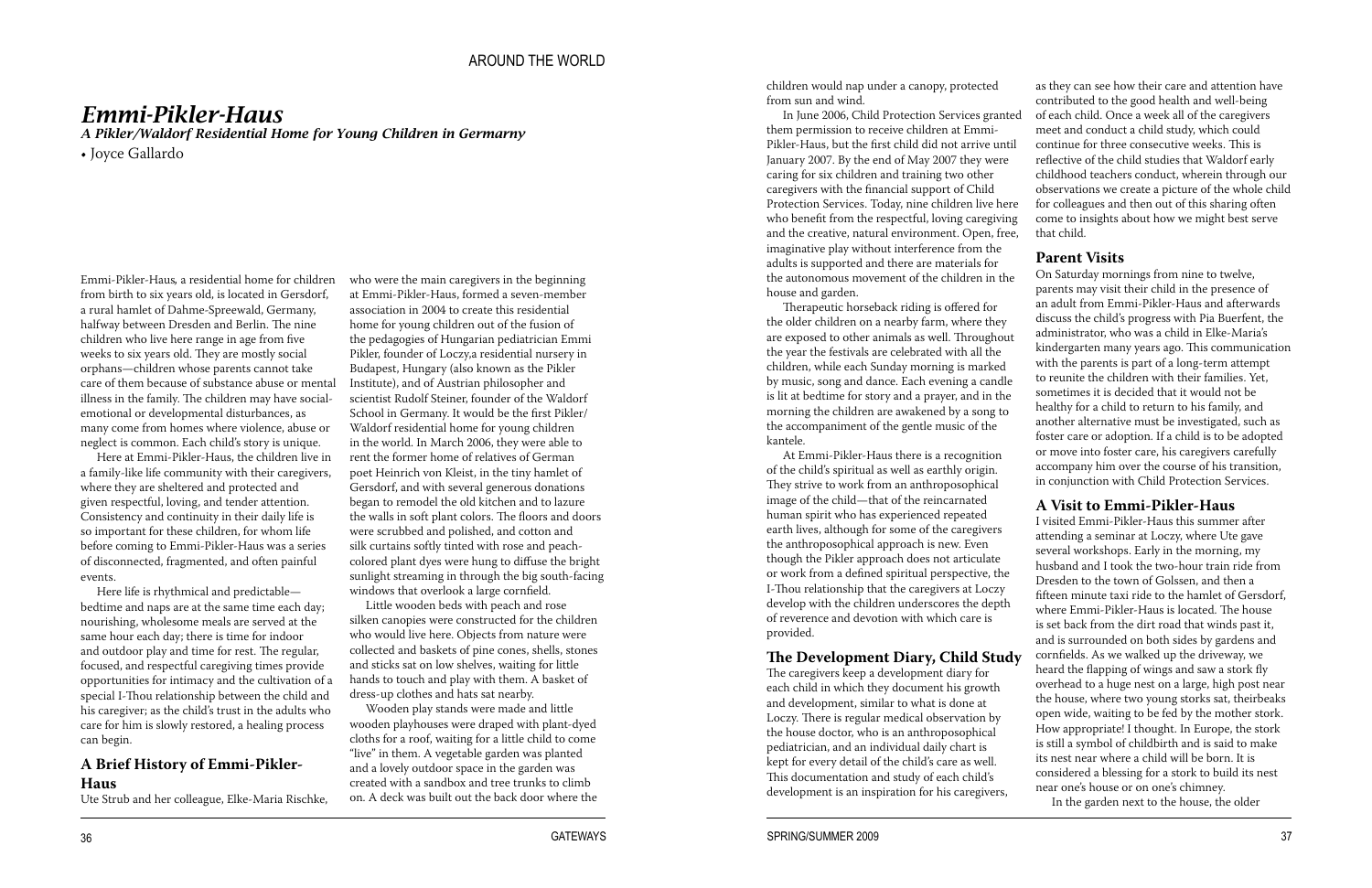# *Emmi-Pikler-Haus*

*A Pikler/Waldorf Residential Home for Young Children in Germarny*

• Joyce Gallardo

Emmi-Pikler-Haus*,* a residential home for children from birth to six years old, is located in Gersdorf, a rural hamlet of Dahme-Spreewald, Germany, halfway between Dresden and Berlin. The nine children who live here range in age from five weeks to six years old. They are mostly social orphans—children whose parents cannot take care of them because of substance abuse or mental illness in the family. The children may have socialemotional or developmental disturbances, as many come from homes where violence, abuse or neglect is common. Each child's story is unique.

Here at Emmi-Pikler-Haus, the children live in a family-like life community with their caregivers, where they are sheltered and protected and given respectful, loving, and tender attention. Consistency and continuity in their daily life is so important for these children, for whom life before coming to Emmi-Pikler-Haus was a series of disconnected, fragmented, and often painful events.

Here life is rhythmical and predictable bedtime and naps are at the same time each day; nourishing, wholesome meals are served at the same hour each day; there is time for indoor and outdoor play and time for rest. The regular, focused, and respectful caregiving times provide opportunities for intimacy and the cultivation of a special I-Thou relationship between the child and his caregiver; as the child's trust in the adults who care for him is slowly restored, a healing process can begin.

# **A Brief History of Emmi-Pikler-Haus**

Ute Strub and her colleague, Elke-Maria Rischke,

who were the main caregivers in the beginning at Emmi-Pikler-Haus, formed a seven-member association in 2004 to create this residential home for young children out of the fusion of the pedagogies of Hungarian pediatrician Emmi Pikler, founder of Loczy,a residential nursery in Budapest, Hungary (also known as the Pikler Institute), and of Austrian philosopher and scientist Rudolf Steiner, founder of the Waldorf School in Germany. It would be the first Pikler/ Waldorf residential home for young children in the world. In March 2006, they were able to rent the former home of relatives of German poet Heinrich von Kleist, in the tiny hamlet of Gersdorf, and with several generous donations began to remodel the old kitchen and to lazure the walls in soft plant colors. The floors and doors were scrubbed and polished, and cotton and silk curtains softly tinted with rose and peachcolored plant dyes were hung to diffuse the bright sunlight streaming in through the big south-facing windows that overlook a large cornfield.

Little wooden beds with peach and rose silken canopies were constructed for the children who would live here. Objects from nature were collected and baskets of pine cones, shells, stones and sticks sat on low shelves, waiting for little hands to touch and play with them. A basket of dress-up clothes and hats sat nearby.

Wooden play stands were made and little wooden playhouses were draped with plant-dyed cloths for a roof, waiting for a little child to come "live" in them. A vegetable garden was planted and a lovely outdoor space in the garden was created with a sandbox and tree trunks to climb on. A deck was built out the back door where the children would nap under a canopy, protected

from sun and wind. In June 2006, Child Protection Services granted them permission to receive children at Emmi-Pikler-Haus, but the first child did not arrive until January 2007. By the end of May 2007 they were caring for six children and training two other caregivers with the financial support of Child Protection Services. Today, nine children live here who benefit from the respectful, loving caregiving and the creative, natural environment. Open, free, imaginative play without interference from the adults is supported and there are materials for as they can see how their care and attention have contributed to the good health and well-being of each child. Once a week all of the caregivers meet and conduct a child study, which could continue for three consecutive weeks. This is reflective of the child studies that Waldorf early childhood teachers conduct, wherein through our observations we create a picture of the whole child for colleagues and then out of this sharing often come to insights about how we might best serve that child. **Parent Visits** On Saturday mornings from nine to twelve, parents may visit their child in the presence of

They strive to work from an anthroposophical image of the child—that of the reincarnated human spirit who has experienced repeated earth lives, although for some of the caregivers the anthroposophical approach is new. Even though the Pikler approach does not articulate or work from a defined spiritual perspective, the I-Thou relationship that the caregivers at Loczy develop with the children underscores the depth of reverence and devotion with which care is provided.

### **The Development Diary, Child Study**

The caregivers keep a development diary for each child in which they document his growth and development, similar to what is done at Loczy. There is regular medical observation by the house doctor, who is an anthroposophical pediatrician, and an individual daily chart is kept for every detail of the child's care as well. This documentation and study of each child's development is an inspiration for his caregivers,

the autonomous movement of the children in the house and garden. Therapeutic horseback riding is offered for the older children on a nearby farm, where they are exposed to other animals as well. Throughout the year the festivals are celebrated with all the children, while each Sunday morning is marked by music, song and dance. Each evening a candle is lit at bedtime for story and a prayer, and in the morning the children are awakened by a song to the accompaniment of the gentle music of the kantele. At Emmi-Pikler-Haus there is a recognition of the child's spiritual as well as earthly origin. an adult from Emmi-Pikler-Haus and afterwards discuss the child's progress with Pia Buerfent, the administrator, who was a child in Elke-Maria's kindergarten many years ago. This communication with the parents is part of a long-term attempt to reunite the children with their families. Yet, sometimes it is decided that it would not be healthy for a child to return to his family, and another alternative must be investigated, such as foster care or adoption. If a child is to be adopted or move into foster care, his caregivers carefully accompany him over the course of his transition, in conjunction with Child Protection Services.

### **A Visit to Emmi-Pikler-Haus**

I visited Emmi-Pikler-Haus this summer after attending a seminar at Loczy, where Ute gave several workshops. Early in the morning, my husband and I took the two-hour train ride from Dresden to the town of Golssen, and then a fifteen minute taxi ride to the hamlet of Gersdorf, where Emmi-Pikler-Haus is located. The house is set back from the dirt road that winds past it, and is surrounded on both sides by gardens and cornfields. As we walked up the driveway, we heard the flapping of wings and saw a stork fly overhead to a huge nest on a large, high post near the house, where two young storks sat, theirbeaks open wide, waiting to be fed by the mother stork. How appropriate! I thought. In Europe, the stork is still a symbol of childbirth and is said to make its nest near where a child will be born. It is considered a blessing for a stork to build its nest near one's house or on one's chimney.

In the garden next to the house, the older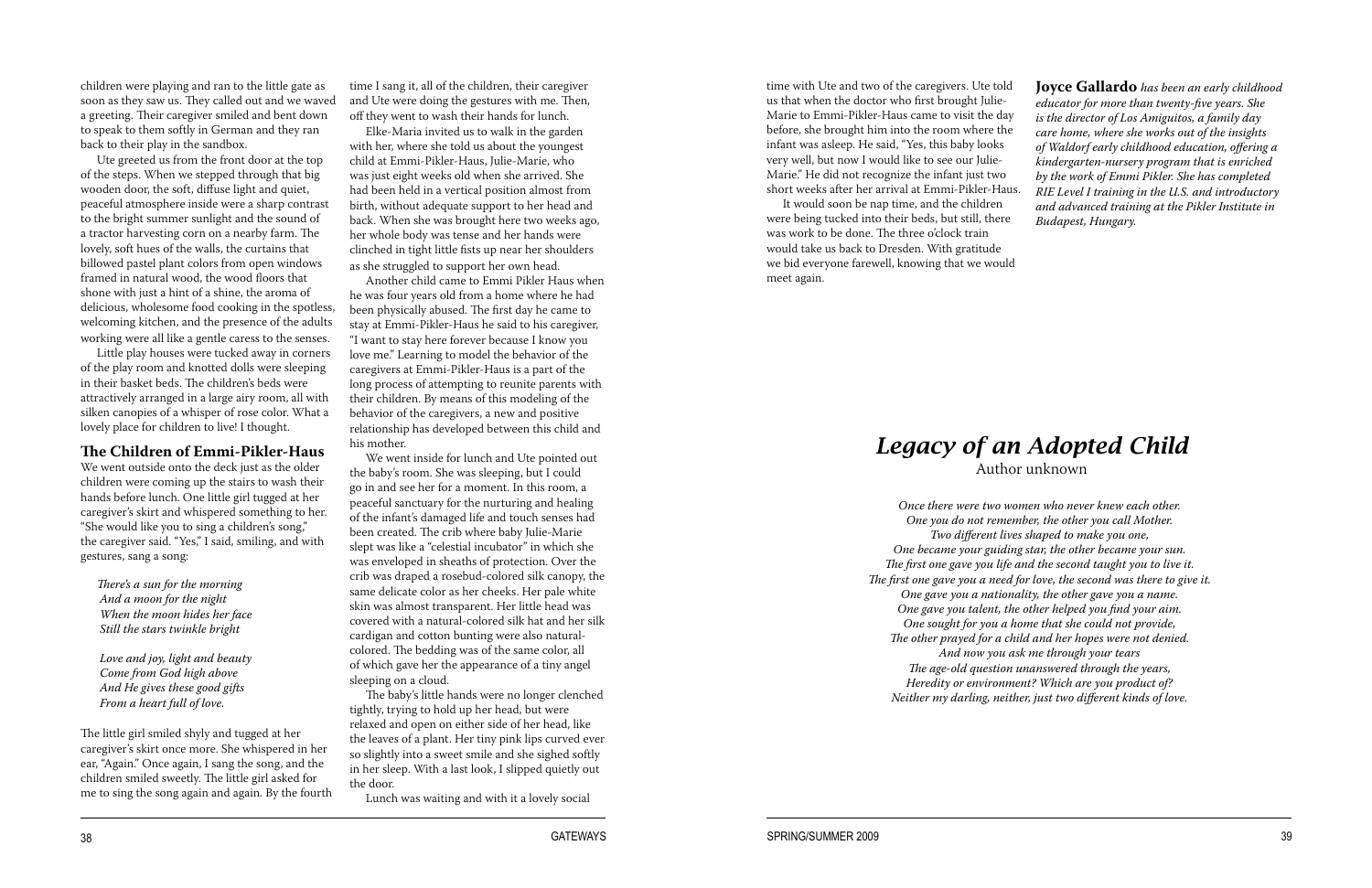children were playing and ran to the little gate as soon as they saw us. They called out and we waved a greeting. Their caregiver smiled and bent down to speak to them softly in German and they ran back to their play in the sandbox.

Ute greeted us from the front door at the top of the steps. When we stepped through that big wooden door, the soft, diffuse light and quiet, peaceful atmosphere inside were a sharp contrast to the bright summer sunlight and the sound of a tractor harvesting corn on a nearby farm. The lovely, soft hues of the walls, the curtains that billowed pastel plant colors from open windows framed in natural wood, the wood floors that shone with just a hint of a shine, the aroma of delicious, wholesome food cooking in the spotless, welcoming kitchen, and the presence of the adults working were all like a gentle caress to the senses.

Little play houses were tucked away in corners of the play room and knotted dolls were sleeping in their basket beds. The children's beds were attractively arranged in a large airy room, all with silken canopies of a whisper of rose color. What a lovely place for children to live! I thought.

### **The Children of Emmi-Pikler-Haus**

We went outside onto the deck just as the older children were coming up the stairs to wash their hands before lunch. One little girl tugged at her caregiver's skirt and whispered something to her. "She would like you to sing a children's song," the caregiver said. "Yes," I said, smiling, and with gestures, sang a song:

*There's a sun for the morning And a moon for the night When the moon hides her face Still the stars twinkle bright*

 *Love and joy, light and beauty Come from God high above And He gives these good gifts From a heart full of love.*

The little girl smiled shyly and tugged at her caregiver's skirt once more. She whispered in her ear, "Again." Once again, I sang the song, and the children smiled sweetly. The little girl asked for me to sing the song again and again. By the fourth

time I sang it, all of the children, their caregiver and Ute were doing the gestures with me. Then, off they went to wash their hands for lunch.

Elke-Maria invited us to walk in the garden with her, where she told us about the youngest child at Emmi-Pikler-Haus, Julie-Marie, who was just eight weeks old when she arrived. She had been held in a vertical position almost from birth, without adequate support to her head and back. When she was brought here two weeks ago, her whole body was tense and her hands were clinched in tight little fists up near her shoulders as she struggled to support her own head.

Another child came to Emmi Pikler Haus when he was four years old from a home where he had been physically abused. The first day he came to stay at Emmi-Pikler-Haus he said to his caregiver, "I want to stay here forever because I know you love me." Learning to model the behavior of the caregivers at Emmi-Pikler-Haus is a part of the long process of attempting to reunite parents with their children. By means of this modeling of the behavior of the caregivers, a new and positive relationship has developed between this child and his mother.

We went inside for lunch and Ute pointed out the baby's room. She was sleeping, but I could go in and see her for a moment. In this room, a peaceful sanctuary for the nurturing and healing of the infant's damaged life and touch senses had been created. The crib where baby Julie-Marie slept was like a "celestial incubator" in which she was enveloped in sheaths of protection. Over the crib was draped a rosebud-colored silk canopy, the same delicate color as her cheeks. Her pale white skin was almost transparent. Her little head was covered with a natural-colored silk hat and her silk cardigan and cotton bunting were also naturalcolored. The bedding was of the same color, all of which gave her the appearance of a tiny angel sleeping on a cloud.

The baby's little hands were no longer clenched tightly, trying to hold up her head, but were relaxed and open on either side of her head, like the leaves of a plant. Her tiny pink lips curved ever so slightly into a sweet smile and she sighed softly in her sleep. With a last look, I slipped quietly out the door.

Lunch was waiting and with it a lovely social

time with Ute and two of the caregivers. Ute told us that when the doctor who first brought Julie-Marie to Emmi-Pikler-Haus came to visit the day before, she brought him into the room where the infant was asleep. He said, "Yes, this baby looks very well, but now I would like to see our Julie-Marie." He did not recognize the infant just two short weeks after her arrival at Emmi-Pikler-Haus. *educator for more than twenty-five years. She is the director of Los Amiguitos, a family day care home, where she works out of the insights of Waldorf early childhood education, offering a kindergarten-nursery program that is enriched by the work of Emmi Pikler. She has completed RIE Level I training in the U.S. and introductory* 

| Joyce Gallardo has been an early childhood     |
|------------------------------------------------|
| educator for more than twenty-five years. She  |
| is the director of Los Amiguitos, a family day |

It would soon be nap time, and the children were being tucked into their beds, but still, there was work to be done. The three o'clock train would take us back to Dresden. With gratitude we bid everyone farewell, knowing that we would meet again. *and advanced training at the Pikler Institute in Budapest, Hungary.* 

# *Legacy of an Adopted Child* Author unknown

*Once there were two women who never knew each other. One you do not remember, the other you call Mother. Two different lives shaped to make you one, One became your guiding star, the other became your sun. The first one gave you life and the second taught you to live it. The first one gave you a need for love, the second was there to give it. One gave you a nationality, the other gave you a name. One gave you talent, the other helped you find your aim. One sought for you a home that she could not provide, The other prayed for a child and her hopes were not denied. And now you ask me through your tears The age-old question unanswered through the years, Heredity or environment? Which are you product of? Neither my darling, neither, just two different kinds of love.*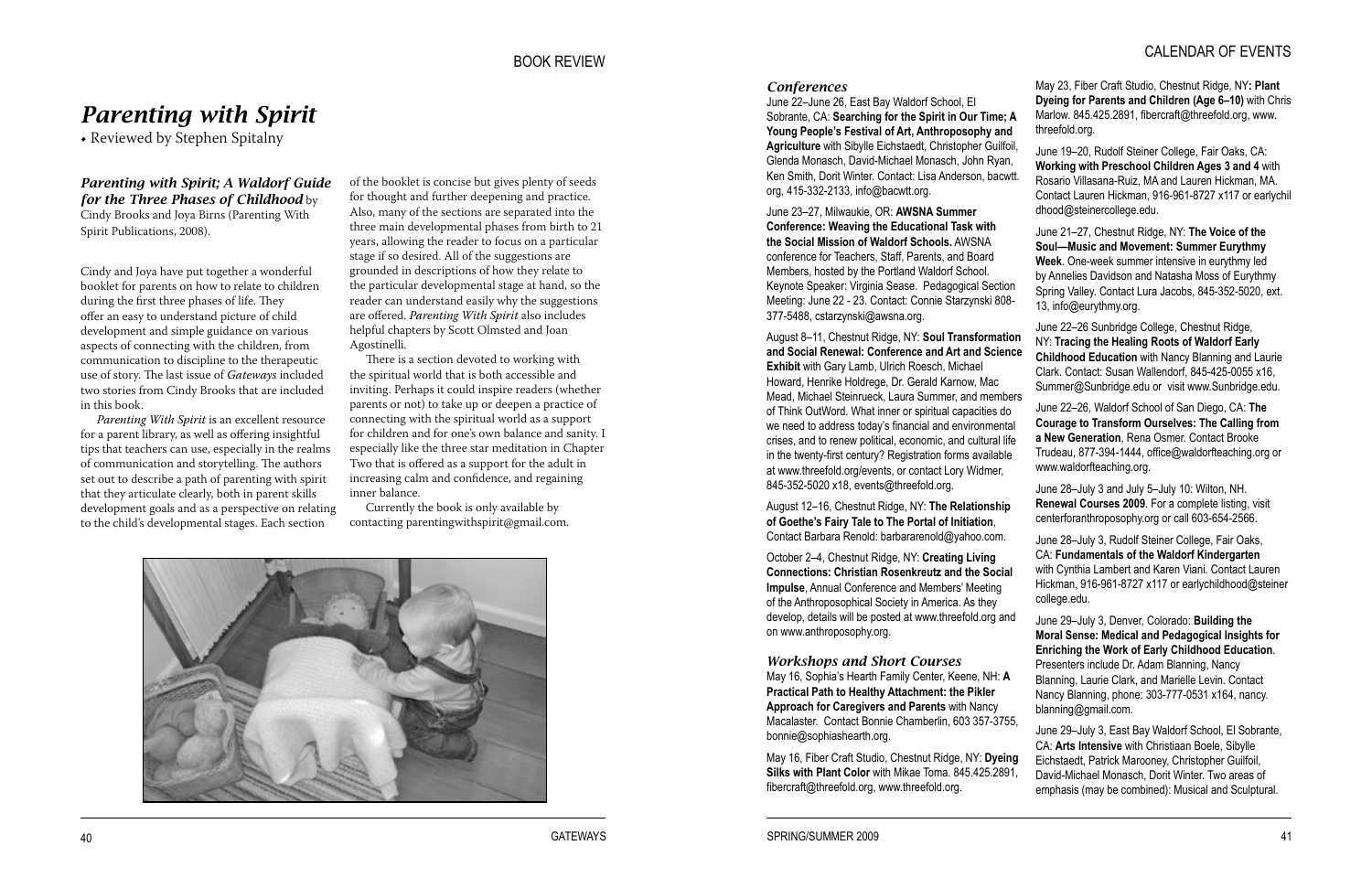# CALENDAR OF EVENTS

#### *Parenting with Spirit; A Waldorf Guide for the Three Phases of Childhood* by Cindy Brooks and Joya Birns (Parenting With Spirit Publications, 2008).

Cindy and Joya have put together a wonderful booklet for parents on how to relate to children during the first three phases of life. They offer an easy to understand picture of child development and simple guidance on various aspects of connecting with the children, from communication to discipline to the therapeutic use of story. The last issue of *Gateways* included two stories from Cindy Brooks that are included in this book.

*Parenting With Spirit* is an excellent resource for a parent library, as well as offering insightful tips that teachers can use, especially in the realms of communication and storytelling. The authors set out to describe a path of parenting with spirit that they articulate clearly, both in parent skills development goals and as a perspective on relating to the child's developmental stages. Each section

of the booklet is concise but gives plenty of seeds for thought and further deepening and practice. Also, many of the sections are separated into the three main developmental phases from birth to 21 years, allowing the reader to focus on a particular stage if so desired. All of the suggestions are grounded in descriptions of how they relate to the particular developmental stage at hand, so the reader can understand easily why the suggestions are offered. *Parenting With Spirit* also includes helpful chapters by Scott Olmsted and Joan Agostinelli.

August 8-11, Chestnut Ridge, NY: Soul Transformation and Social Renewal: Conference and Art and Scien **Exhibit** with Gary Lamb, Ulrich Roesch, Michael Howard, Henrike Holdrege, Dr. Gerald Karnow, Mac Mead, Michael Steinrueck, Laura Summer, and member of Think OutWord. What inner or spiritual capacities do we need to address today's financial and environmental crises, and to renew political, economic, and cultural lif in the twenty-first century? Registration forms available at www.threefold.org/events, or contact Lory Widmer, 845-352-5020 x18, events@threefold.org.

There is a section devoted to working with the spiritual world that is both accessible and inviting. Perhaps it could inspire readers (whether parents or not) to take up or deepen a practice of connecting with the spiritual world as a support for children and for one's own balance and sanity. I especially like the three star meditation in Chapter Two that is offered as a support for the adult in increasing calm and confidence, and regaining inner balance.

Currently the book is only available by contacting parentingwithspirit@gmail.com.



# *Parenting with Spirit*

May 16, Fiber Craft Studio, Chestnut Ridge, NY: Dyein **Silks with Plant Color** with Mikae Toma, 845,425,289 fibercraft@threefold.org, www.threefold.org.

• Reviewed by Stephen Spitalny

#### *Conferences*

June 22–June 26, East Bay Waldorf School, El Sobrante, CA: Searching for the Spirit in Our Time; **Young People's Festival of Art, Anthroposophy and Agriculture** with Sibylle Eichstaedt, Christopher Guilfo Glenda Monasch, David-Michael Monasch, John Ryan, Ken Smith, Dorit Winter. Contact: Lisa Anderson, bacw org, 415-332-2133, info@bacwtt.org.

June 23–27, Milwaukie, OR: **AWSNA Summer Conference: Weaving the Educational Task with the Social Mission of Waldorf Schools.** AWSNA conference for Teachers, Staff, Parents, and Board Members, hosted by the Portland Waldorf School. Keynote Speaker: Virginia Sease. Pedagogical Section Meeting: June 22 - 23. Contact: Connie Starzynski 808- 377-5488, cstarzynski@awsna.org.

August 12–16, Chestnut Ridge, NY: **The Relationship of Goethe's Fairy Tale to The Portal of Initiation**, Contact Barbara Renold: barbararenold@yahoo.com.

October 2–4, Chestnut Ridge, NY: **Creating Living Connections: Christian Rosenkreutz and the Social Impulse**, Annual Conference and Members' Meeting of the Anthroposophical Society in America. As they develop, details will be posted at www.threefold.org and on www.anthroposophy.org.

#### *Workshops and Short Courses*

May 16, Sophia's Hearth Family Center, Keene, NH: **A Practical Path to Healthy Attachment: the Pikler Approach for Caregivers and Parents** with Nancy Macalaster. Contact Bonnie Chamberlin, 603 357-375 bonnie@sophiashearth.org.

| A<br>ł.           | May 23, Fiber Craft Studio, Chestnut Ridge, NY: Plant<br>Dyeing for Parents and Children (Age 6-10) with Chris<br>Marlow. 845.425.2891, fibercraft@threefold.org, www.<br>threefold.org.                                                                                                                                                        |
|-------------------|-------------------------------------------------------------------------------------------------------------------------------------------------------------------------------------------------------------------------------------------------------------------------------------------------------------------------------------------------|
| ۱il,<br>۱,<br>tt. | June 19-20, Rudolf Steiner College, Fair Oaks, CA:<br>Working with Preschool Children Ages 3 and 4 with<br>Rosario Villasana-Ruiz, MA and Lauren Hickman, MA.<br>Contact Lauren Hickman, 916-961-8727 x117 or earlychil<br>dhood@steinercollege.edu.                                                                                            |
| n<br>}-           | June 21-27, Chestnut Ridge, NY: The Voice of the<br>Soul-Music and Movement: Summer Eurythmy<br>Week. One-week summer intensive in eurythmy led<br>by Annelies Davidson and Natasha Moss of Eurythmy<br>Spring Valley. Contact Lura Jacobs, 845-352-5020, ext.<br>13, info@eurythmy.org.                                                        |
| on<br>ICe<br>Эrs  | June 22-26 Sunbridge College, Chestnut Ridge,<br>NY: Tracing the Healing Roots of Waldorf Early<br><b>Childhood Education with Nancy Blanning and Laurie</b><br>Clark. Contact: Susan Wallendorf, 845-425-0055 x16,<br>Summer@Sunbridge.edu or visit www.Sunbridge.edu.                                                                         |
| эl<br>ë<br>€      | June 22-26, Waldorf School of San Diego, CA: The<br><b>Courage to Transform Ourselves: The Calling from</b><br>a New Generation, Rena Osmer. Contact Brooke<br>Trudeau, 877-394-1444, office@waldorfteaching.org or<br>www.waldorfteaching.org.                                                                                                 |
|                   | June 28-July 3 and July 5-July 10: Wilton, NH.<br>Renewal Courses 2009. For a complete listing, visit<br>centerforanthroposophy.org or call 603-654-2566.                                                                                                                                                                                       |
| Ī                 | June 28-July 3, Rudolf Steiner College, Fair Oaks,<br>CA: Fundamentals of the Waldorf Kindergarten<br>with Cynthia Lambert and Karen Viani. Contact Lauren<br>Hickman, 916-961-8727 x117 or earlychildhood@steiner<br>college.edu.                                                                                                              |
| d                 | June 29-July 3, Denver, Colorado: Building the<br>Moral Sense: Medical and Pedagogical Insights for<br><b>Enriching the Work of Early Childhood Education.</b><br>Presenters include Dr. Adam Blanning, Nancy<br>Blanning, Laurie Clark, and Marielle Levin. Contact<br>Nancy Blanning, phone: 303-777-0531 x164, nancy.<br>blanning@gmail.com. |
| 5,<br>١g<br>1,    | June 29-July 3, East Bay Waldorf School, El Sobrante,<br>CA: Arts Intensive with Christiaan Boele, Sibylle<br>Eichstaedt, Patrick Marooney, Christopher Guilfoil,<br>David-Michael Monasch, Dorit Winter. Two areas of<br>emphasis (may be combined): Musical and Sculptural.                                                                   |

# BOOK REVIEW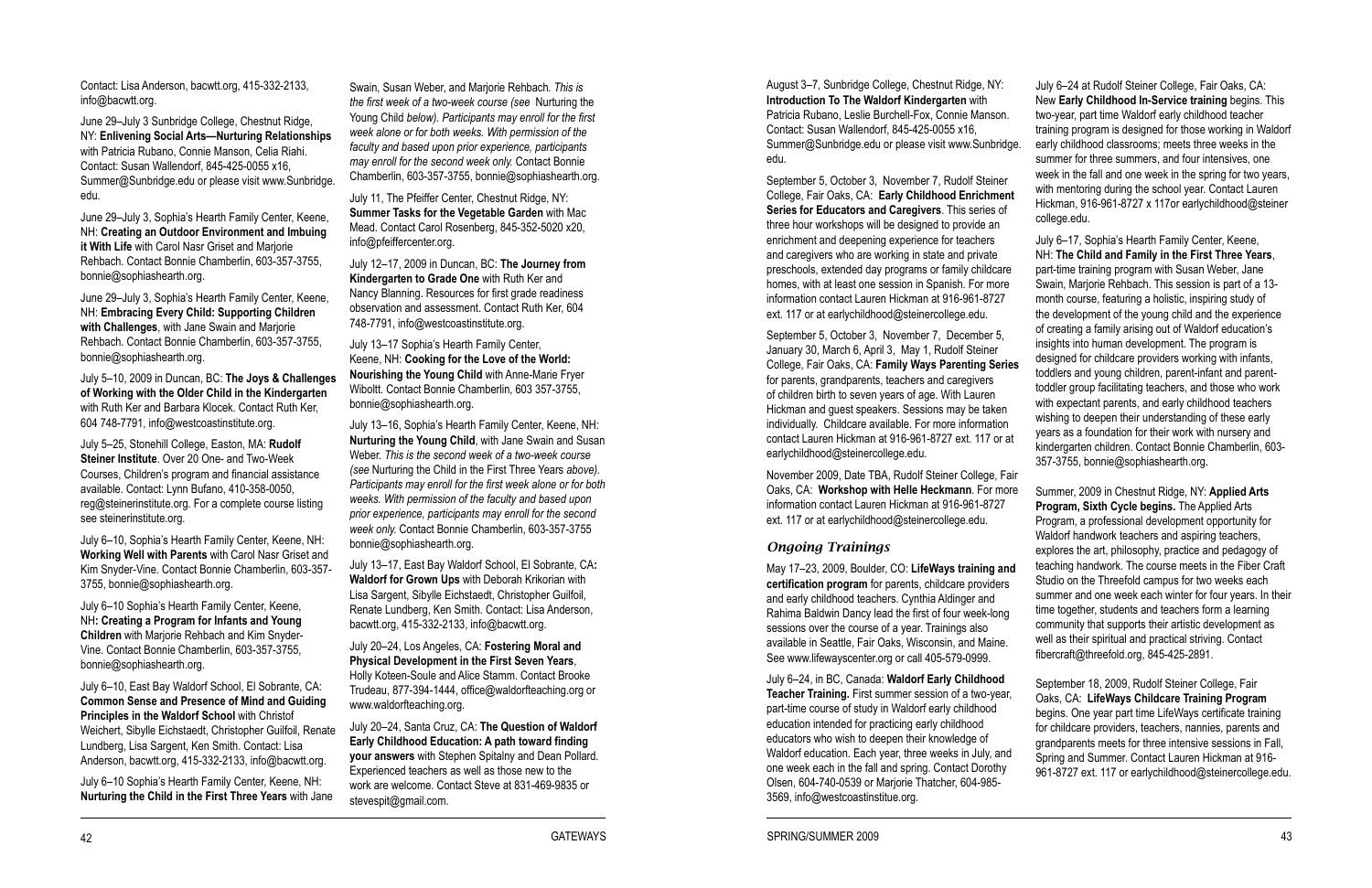Contact: Lisa Anderson, bacwtt.org, 415-332-2133, info@bacwtt.org.

June 29–July 3 Sunbridge College, Chestnut Ridge, NY: **Enlivening Social Arts—Nurturing Relationships** with Patricia Rubano, Connie Manson, Celia Riahi. Contact: Susan Wallendorf, 845-425-0055 x16, Summer@Sunbridge.edu or please visit www.Sunbridge. edu.

June 29–July 3, Sophia's Hearth Family Center, Keene, NH: **Creating an Outdoor Environment and Imbuing it With Life** with Carol Nasr Griset and Marjorie Rehbach. Contact Bonnie Chamberlin, 603-357-3755, bonnie@sophiashearth.org.

June 29–July 3, Sophia's Hearth Family Center, Keene, NH: **Embracing Every Child: Supporting Children with Challenges**, with Jane Swain and Marjorie Rehbach. Contact Bonnie Chamberlin, 603-357-3755, bonnie@sophiashearth.org.

July 5–10, 2009 in Duncan, BC: **The Joys & Challenges of Working with the Older Child in the Kindergarten** with Ruth Ker and Barbara Klocek. Contact Ruth Ker, 604 748-7791, info@westcoastinstitute.org.

July 5–25, Stonehill College, Easton, MA: **Rudolf Steiner Institute**. Over 20 One- and Two-Week Courses, Children's program and financial assistance available. Contact: Lynn Bufano, 410-358-0050, reg@steinerinstitute.org. For a complete course listing see steinerinstitute.org.

July 6–10, Sophia's Hearth Family Center, Keene, NH: **Working Well with Parents** with Carol Nasr Griset and Kim Snyder-Vine. Contact Bonnie Chamberlin, 603-357- 3755, bonnie@sophiashearth.org.

July 6–10 Sophia's Hearth Family Center, Keene, NH**: Creating a Program for Infants and Young Children** with Marjorie Rehbach and Kim Snyder-Vine. Contact Bonnie Chamberlin, 603-357-3755, bonnie@sophiashearth.org.

July 6–10, East Bay Waldorf School, El Sobrante, CA: **Common Sense and Presence of Mind and Guiding Principles in the Waldorf School** with Christof Weichert, Sibylle Eichstaedt, Christopher Guilfoil, Renate Lundberg, Lisa Sargent, Ken Smith. Contact: Lisa Anderson, bacwtt.org, 415-332-2133, info@bacwtt.org.

July 6–10 Sophia's Hearth Family Center, Keene, NH: **Nurturing the Child in the First Three Years** with Jane Swain, Susan Weber, and Marjorie Rehbach*. This is the first week of a two-week course (see* Nurturing the Young Child *below). Participants may enroll for the first week alone or for both weeks. With permission of the faculty and based upon prior experience, participants may enroll for the second week only.* Contact Bonnie Chamberlin, 603-357-3755, bonnie@sophiashearth.org.

July 11, The Pfeiffer Center, Chestnut Ridge, NY: **Summer Tasks for the Vegetable Garden** with Mac Mead. Contact Carol Rosenberg, 845-352-5020 x20, info@pfeiffercenter.org.

July 12–17, 2009 in Duncan, BC: **The Journey from Kindergarten to Grade One** with Ruth Ker and Nancy Blanning. Resources for first grade readiness observation and assessment. Contact Ruth Ker, 604 748-7791, info@westcoastinstitute.org.

July 13–17 Sophia's Hearth Family Center, Keene, NH: **Cooking for the Love of the World: Nourishing the Young Child** with Anne-Marie Fryer Wiboltt. Contact Bonnie Chamberlin, 603 357-3755, bonnie@sophiashearth.org.

July 13–16, Sophia's Hearth Family Center, Keene, NH: **Nurturing the Young Child**, with Jane Swain and Susan Weber. *This is the second week of a two-week course (see* Nurturing the Child in the First Three Years *above). Participants may enroll for the first week alone or for both weeks. With permission of the faculty and based upon prior experience, participants may enroll for the second week only.* Contact Bonnie Chamberlin, 603-357-3755 bonnie@sophiashearth.org.

July 13–17, East Bay Waldorf School, El Sobrante, CA**: Waldorf for Grown Ups** with Deborah Krikorian with Lisa Sargent, Sibylle Eichstaedt, Christopher Guilfoil, Renate Lundberg, Ken Smith. Contact: Lisa Anderson, bacwtt.org, 415-332-2133, info@bacwtt.org.

July 20–24, Los Angeles, CA: **Fostering Moral and Physical Development in the First Seven Years**, Holly Koteen-Soule and Alice Stamm. Contact Brooke Trudeau, 877-394-1444, office@waldorfteaching.org or www.waldorfteaching.org.

July 20–24, Santa Cruz, CA: **The Question of Waldorf Early Childhood Education: A path toward finding your answers** with Stephen Spitalny and Dean Pollard. Experienced teachers as well as those new to the work are welcome. Contact Steve at 831-469-9835 or stevespit@gmail.com.

August 3–7, Sunbridge College, Chestnut Ridge, NY: **Introduction To The Waldorf Kindergarten** with Patricia Rubano, Leslie Burchell-Fox, Connie Manson. Contact: Susan Wallendorf, 845-425-0055 x16, Summer@Sunbridge.edu or please visit www.Sunbridge. edu. September 5, October 3, November 7, Rudolf Steiner College, Fair Oaks, CA: **Early Childhood Enrichment Series for Educators and Caregivers**. This series of three hour workshops will be designed to provide an enrichment and deepening experience for teachers and caregivers who are working in state and private preschools, extended day programs or family childcare homes, with at least one session in Spanish. For more information contact Lauren Hickman at 916-961-8727 ext. 117 or at earlychildhood@steinercollege.edu. September 5, October 3, November 7, December 5, January 30, March 6, April 3, May 1, Rudolf Steiner College, Fair Oaks, CA: **Family Ways Parenting Series** for parents, grandparents, teachers and caregivers of children birth to seven years of age. With Lauren Hickman and guest speakers. Sessions may be taken individually. Childcare available. For more information contact Lauren Hickman at 916-961-8727 ext. 117 or at earlychildhood@steinercollege.edu. November 2009, Date TBA, Rudolf Steiner College, Fair Oaks, CA: **Workshop with Helle Heckmann**. For more information contact Lauren Hickman at 916-961-8727 ext. 117 or at earlychildhood@steinercollege.edu. *Ongoing Trainings* May 17–23, 2009, Boulder, CO: **LifeWays training and certification program** for parents, childcare providers and early childhood teachers. Cynthia Aldinger and Rahima Baldwin Dancy lead the first of four week-long sessions over the course of a year. Trainings also available in Seattle, Fair Oaks, Wisconsin, and Maine. See www.lifewayscenter.org or call 405-579-0999.

July 6–24, in BC, Canada: **Waldorf Early Childhood Teacher Training.** First summer session of a two-year, part-time course of study in Waldorf early childhood education intended for practicing early childhood educators who wish to deepen their knowledge of Waldorf education. Each year, three weeks in July, and one week each in the fall and spring. Contact Dorothy Olsen, 604-740-0539 or Marjorie Thatcher, 604-985- 3569, info@westcoastinstitue.org. September 18, 2009, Rudolf Steiner College, Fair Oaks, CA: **LifeWays Childcare Training Program** begins. One year part time LifeWays certificate training for childcare providers, teachers, nannies, parents and grandparents meets for three intensive sessions in Fall, Spring and Summer. Contact Lauren Hickman at 916- 961-8727 ext. 117 or earlychildhood@steinercollege.edu.

July 6–24 at Rudolf Steiner College, Fair Oaks, CA: New **Early Childhood In-Service training** begins. This two-year, part time Waldorf early childhood teacher training program is designed for those working in Waldorf early childhood classrooms; meets three weeks in the summer for three summers, and four intensives, one week in the fall and one week in the spring for two years. with mentoring during the school year. Contact Lauren Hickman, 916-961-8727 x 117or earlychildhood@steiner college.edu. July 6–17, Sophia's Hearth Family Center, Keene, NH: **The Child and Family in the First Three Years**, part-time training program with Susan Weber, Jane Swain, Marjorie Rehbach. This session is part of a 13 month course, featuring a holistic, inspiring study of the development of the young child and the experience of creating a family arising out of Waldorf education's insights into human development. The program is designed for childcare providers working with infants, toddlers and young children, parent-infant and parenttoddler group facilitating teachers, and those who work with expectant parents, and early childhood teachers wishing to deepen their understanding of these early years as a foundation for their work with nursery and kindergarten children. Contact Bonnie Chamberlin, 603- 357-3755, bonnie@sophiashearth.org. Summer, 2009 in Chestnut Ridge, NY: **Applied Arts Program, Sixth Cycle begins.** The Applied Arts Program, a professional development opportunity for Waldorf handwork teachers and aspiring teachers, explores the art, philosophy, practice and pedagogy of teaching handwork. The course meets in the Fiber Craft Studio on the Threefold campus for two weeks each summer and one week each winter for four years. In their time together, students and teachers form a learning community that supports their artistic development as well as their spiritual and practical striving. Contact fibercraft@threefold.org, 845-425-2891.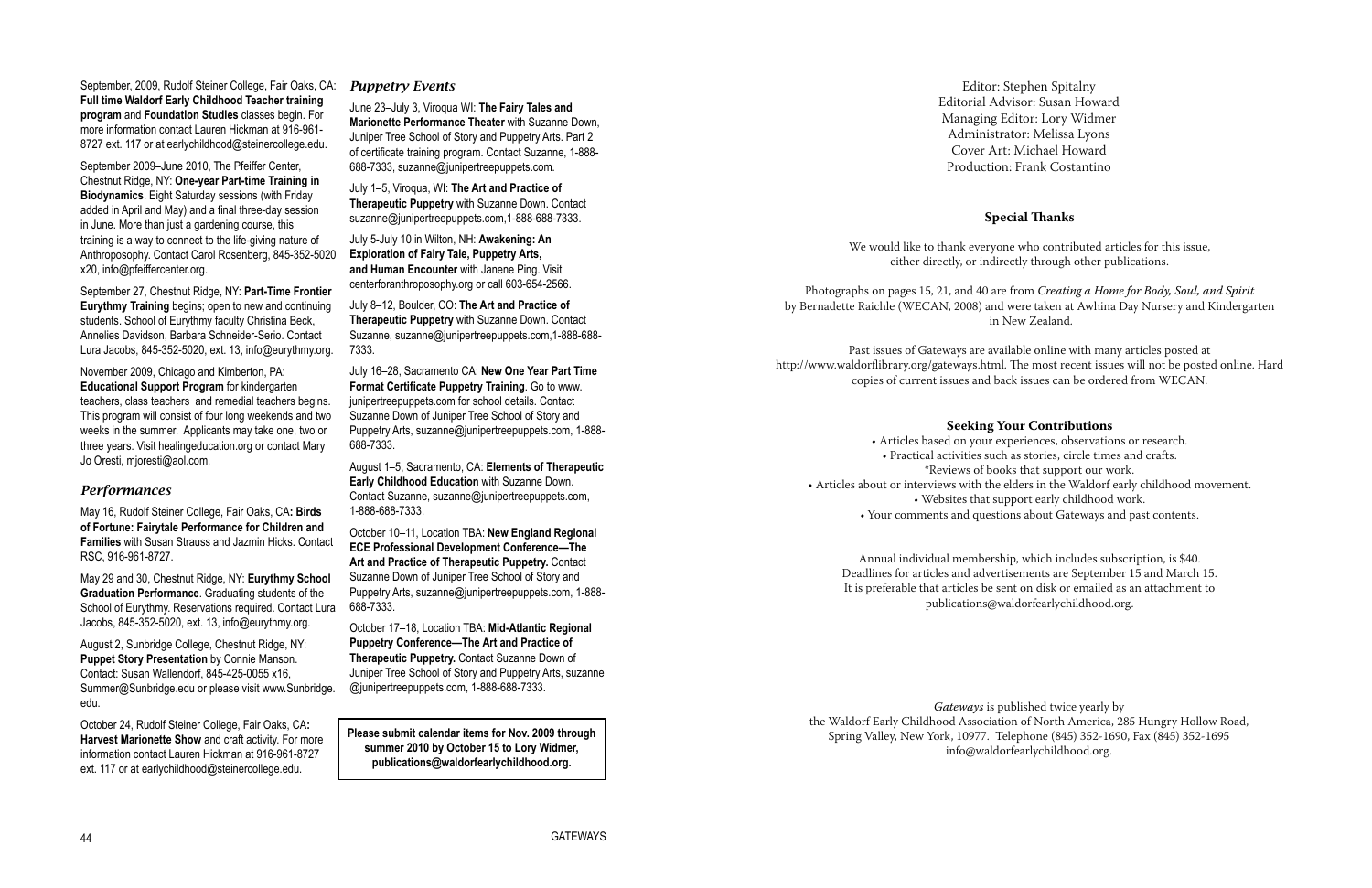September, 2009, Rudolf Steiner College, Fair Oaks, CA: **Full time Waldorf Early Childhood Teacher training program** and **Foundation Studies** classes begin. For more information contact Lauren Hickman at 916-961- 8727 ext. 117 or at earlychildhood@steinercollege.edu.

September 2009–June 2010, The Pfeiffer Center, Chestnut Ridge, NY: **One-year Part-time Training in Biodynamics**. Eight Saturday sessions (with Friday added in April and May) and a final three-day session in June. More than just a gardening course, this training is a way to connect to the life-giving nature of Anthroposophy. Contact Carol Rosenberg, 845-352-5020 x20, info@pfeiffercenter.org.

September 27, Chestnut Ridge, NY: **Part-Time Frontier Eurythmy Training** begins; open to new and continuing students. School of Eurythmy faculty Christina Beck, Annelies Davidson, Barbara Schneider-Serio. Contact Lura Jacobs, 845-352-5020, ext. 13, info@eurythmy.org.

October 24, Rudolf Steiner College, Fair Oaks, CA**: Harvest Marionette Show** and craft activity. For more information contact Lauren Hickman at 916-961-8727 ext. 117 or at earlychildhood@steinercollege.edu.

November 2009, Chicago and Kimberton, PA: **Educational Support Program** for kindergarten teachers, class teachers and remedial teachers begins. This program will consist of four long weekends and two weeks in the summer. Applicants may take one, two or three years. Visit healingeducation.org or contact Mary Jo Oresti, mjoresti@aol.com.

#### *Performances*

May 16, Rudolf Steiner College, Fair Oaks, CA**: Birds of Fortune: Fairytale Performance for Children and Families** with Susan Strauss and Jazmin Hicks. Contact RSC, 916-961-8727.

May 29 and 30, Chestnut Ridge, NY: **Eurythmy School Graduation Performance**. Graduating students of the School of Eurythmy. Reservations required. Contact Lura Jacobs, 845-352-5020, ext. 13, info@eurythmy.org.

August 2, Sunbridge College, Chestnut Ridge, NY: **Puppet Story Presentation** by Connie Manson. Contact: Susan Wallendorf, 845-425-0055 x16, Summer@Sunbridge.edu or please visit www.Sunbridge. edu.

#### *Puppetry Events*

June 23–July 3, Viroqua WI: **The Fairy Tales and Marionette Performance Theater** with Suzanne Down, Juniper Tree School of Story and Puppetry Arts. Part 2 of certificate training program. Contact Suzanne, 1-888- 688-7333, suzanne@junipertreepuppets.com.

July 1–5, Viroqua, WI: **The Art and Practice of Therapeutic Puppetry** with Suzanne Down. Contact suzanne@junipertreepuppets.com,1-888-688-7333.

July 5-July 10 in Wilton, NH: **Awakening: An Exploration of Fairy Tale, Puppetry Arts, and Human Encounter** with Janene Ping. Visit centerforanthroposophy.org or call 603-654-2566.

July 8–12, Boulder, CO: **The Art and Practice of Therapeutic Puppetry** with Suzanne Down. Contact Suzanne, suzanne@junipertreepuppets.com,1-888-688- 7333.

July 16–28, Sacramento CA: **New One Year Part Time Format Certificate Puppetry Training**. Go to www. junipertreepuppets.com for school details. Contact Suzanne Down of Juniper Tree School of Story and Puppetry Arts, suzanne@junipertreepuppets.com, 1-888- 688-7333.

August 1–5, Sacramento, CA: **Elements of Therapeutic Early Childhood Education** with Suzanne Down. Contact Suzanne, suzanne@junipertreepuppets.com, 1-888-688-7333.

October 10–11, Location TBA: **New England Regional ECE Professional Development Conference—The Art and Practice of Therapeutic Puppetry.** Contact Suzanne Down of Juniper Tree School of Story and Puppetry Arts, suzanne@junipertreepuppets.com, 1-888- 688-7333.

October 17–18, Location TBA: **Mid-Atlantic Regional Puppetry Conference—The Art and Practice of Therapeutic Puppetry.** Contact Suzanne Down of Juniper Tree School of Story and Puppetry Arts, suzanne @junipertreepuppets.com, 1-888-688-7333.

**Please submit calendar items for Nov. 2009 through summer 2010 by October 15 to Lory Widmer, publications@waldorfearlychildhood.org.**

### **Special Thanks**

We would like to thank everyone who contributed articles for this issue, either directly, or indirectly through other publications.

Photographs on pages 15, 21, and 40 are from *Creating a Home for Body, Soul, and Spirit* by Bernadette Raichle (WECAN, 2008) and were taken at Awhina Day Nursery and Kindergarten in New Zealand.

Past issues of Gateways are available online with many articles posted at http://www.waldorflibrary.org/gateways.html. The most recent issues will not be posted online. Hard copies of current issues and back issues can be ordered from WECAN.

#### **Seeking Your Contributions**

- Articles based on your experiences, observations or research.
- Practical activities such as stories, circle times and crafts.
	- \*Reviews of books that support our work.
- Articles about or interviews with the elders in the Waldorf early childhood movement.
	- Websites that support early childhood work.
	- Your comments and questions about Gateways and past contents.

Annual individual membership, which includes subscription, is \$40. Deadlines for articles and advertisements are September 15 and March 15. It is preferable that articles be sent on disk or emailed as an attachment to publications@waldorfearlychildhood.org.

Editor: Stephen Spitalny Editorial Advisor: Susan Howard Managing Editor: Lory Widmer Administrator: Melissa Lyons Cover Art: Michael Howard Production: Frank Costantino

*Gateways* is published twice yearly by the Waldorf Early Childhood Association of North America, 285 Hungry Hollow Road, Spring Valley, New York, 10977. Telephone (845) 352-1690, Fax (845) 352-1695 info@waldorfearlychildhood.org.